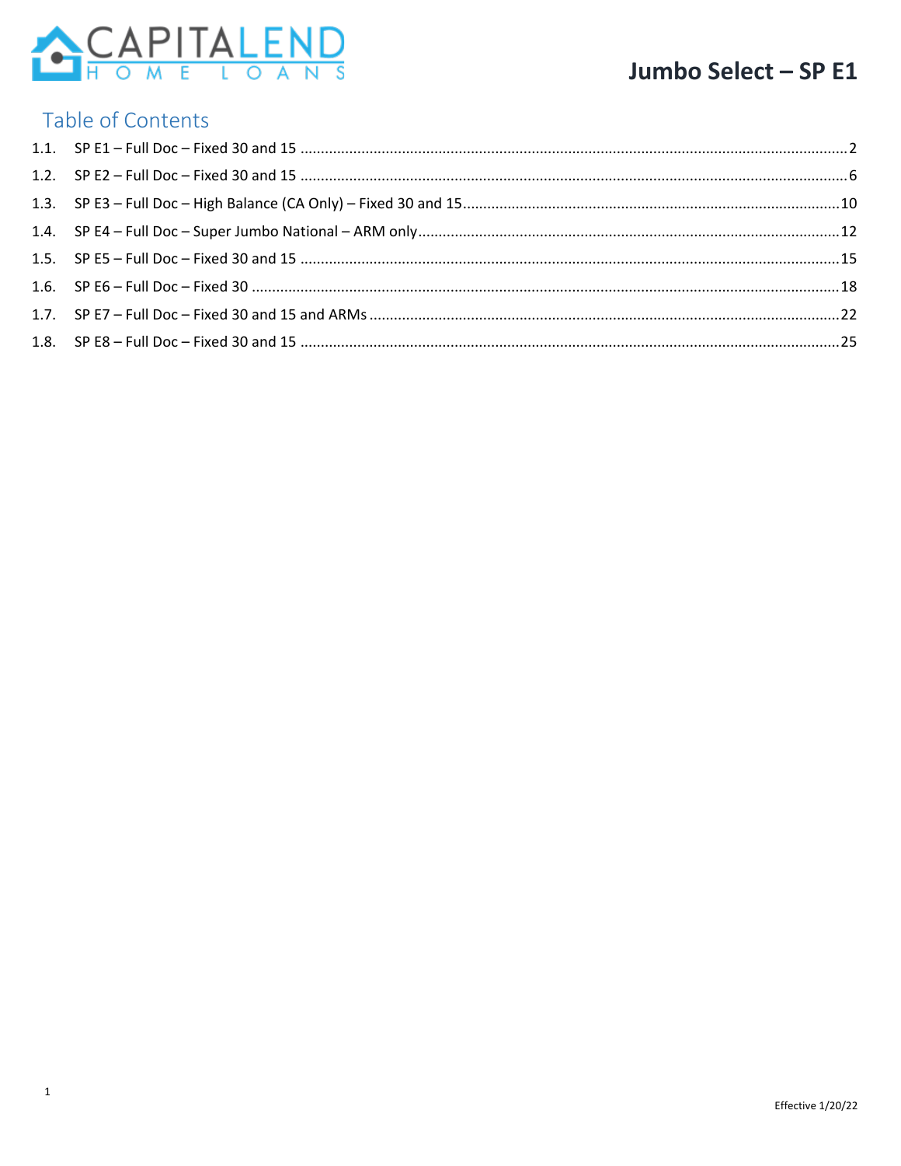

#### Table of Contents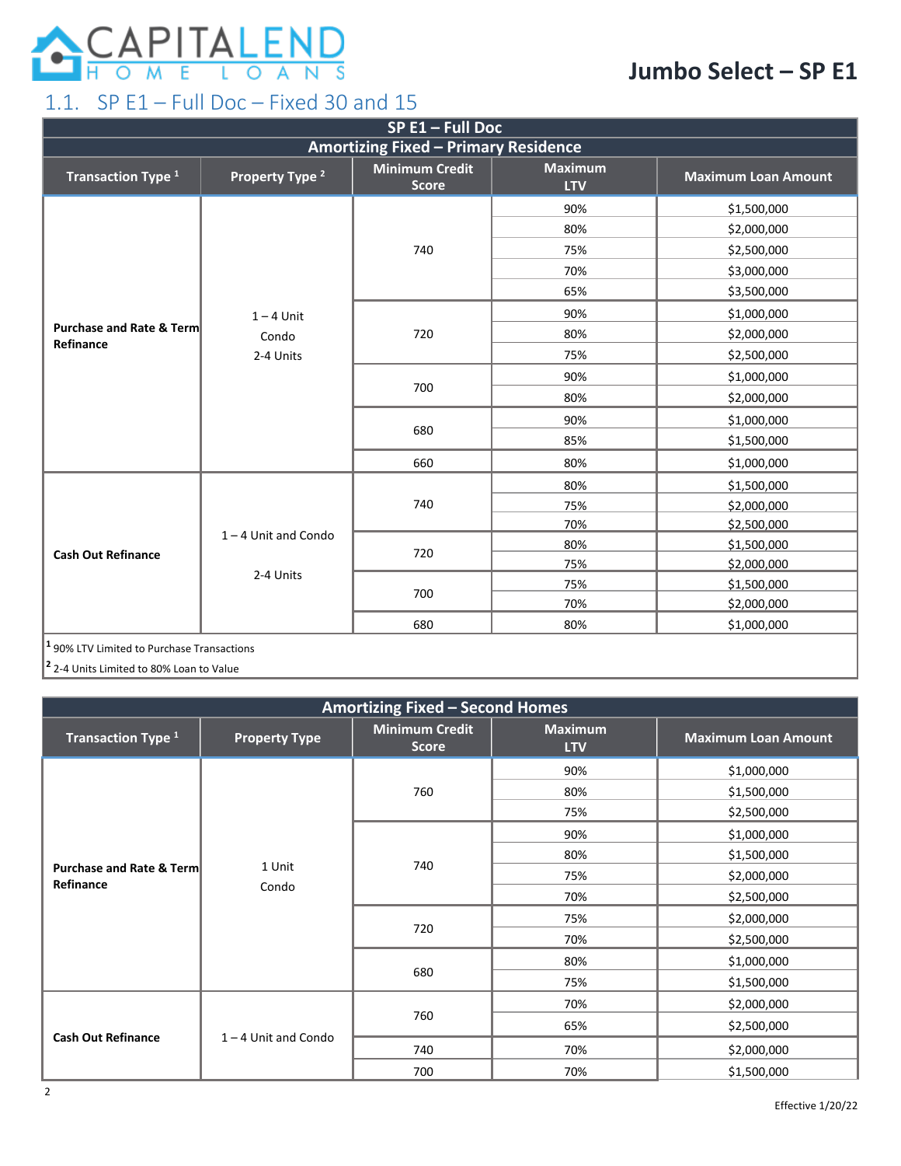

#### <span id="page-1-0"></span>1.1. SP E1 – Full Doc – Fixed 30 and 15

| $SP E1 - Full Doc$                                    |                            |                                       |                              |                            |  |
|-------------------------------------------------------|----------------------------|---------------------------------------|------------------------------|----------------------------|--|
| <b>Amortizing Fixed - Primary Residence</b>           |                            |                                       |                              |                            |  |
| Transaction Type <sup>1</sup>                         | Property Type <sup>2</sup> | <b>Minimum Credit</b><br><b>Score</b> | <b>Maximum</b><br><b>LTV</b> | <b>Maximum Loan Amount</b> |  |
|                                                       |                            |                                       | 90%                          | \$1,500,000                |  |
|                                                       |                            |                                       | 80%                          | \$2,000,000                |  |
|                                                       |                            | 740                                   | 75%                          | \$2,500,000                |  |
|                                                       |                            |                                       | 70%                          | \$3,000,000                |  |
|                                                       |                            |                                       | 65%                          | \$3,500,000                |  |
|                                                       | $1 - 4$ Unit               |                                       | 90%                          | \$1,000,000                |  |
| <b>Purchase and Rate &amp; Term</b><br>Refinance      | Condo<br>2-4 Units         | 720                                   | 80%                          | \$2,000,000                |  |
|                                                       |                            |                                       | 75%                          | \$2,500,000                |  |
|                                                       |                            | 700                                   | 90%                          | \$1,000,000                |  |
|                                                       |                            |                                       | 80%                          | \$2,000,000                |  |
|                                                       |                            | 680                                   | 90%                          | \$1,000,000                |  |
|                                                       |                            |                                       | 85%                          | \$1,500,000                |  |
|                                                       |                            | 660                                   | 80%                          | \$1,000,000                |  |
|                                                       |                            |                                       | 80%                          | \$1,500,000                |  |
|                                                       |                            | 740                                   | 75%                          | \$2,000,000                |  |
|                                                       |                            |                                       | 70%                          | \$2,500,000                |  |
|                                                       | $1 - 4$ Unit and Condo     |                                       | 80%                          | \$1,500,000                |  |
| <b>Cash Out Refinance</b>                             |                            | 720                                   | 75%                          | \$2,000,000                |  |
|                                                       | 2-4 Units                  |                                       | 75%                          | \$1,500,000                |  |
|                                                       |                            | 700                                   | 70%                          | \$2,000,000                |  |
|                                                       |                            | 680                                   | 80%                          | \$1,000,000                |  |
| <sup>1</sup> 90% LTV Limited to Purchase Transactions |                            |                                       |                              |                            |  |

**<sup>2</sup>** 2-4 Units Limited to 80% Loan to Value

| <b>Amortizing Fixed - Second Homes</b>           |                        |                                       |                              |                            |  |
|--------------------------------------------------|------------------------|---------------------------------------|------------------------------|----------------------------|--|
| Transaction Type <sup>1</sup>                    | <b>Property Type</b>   | <b>Minimum Credit</b><br><b>Score</b> | <b>Maximum</b><br><b>LTV</b> | <b>Maximum Loan Amount</b> |  |
|                                                  |                        |                                       | 90%                          | \$1,000,000                |  |
|                                                  |                        | 760                                   | 80%                          | \$1,500,000                |  |
|                                                  |                        |                                       | 75%                          | \$2,500,000                |  |
|                                                  |                        |                                       | 90%                          | \$1,000,000                |  |
|                                                  | 1 Unit<br>Condo        | 740                                   | 80%                          | \$1,500,000                |  |
| <b>Purchase and Rate &amp; Term</b><br>Refinance |                        |                                       | 75%                          | \$2,000,000                |  |
|                                                  |                        |                                       | 70%                          | \$2,500,000                |  |
|                                                  |                        | 720<br>680                            | 75%                          | \$2,000,000                |  |
|                                                  |                        |                                       | 70%                          | \$2,500,000                |  |
|                                                  |                        |                                       | 80%                          | \$1,000,000                |  |
|                                                  |                        |                                       | 75%                          | \$1,500,000                |  |
|                                                  |                        |                                       | 70%                          | \$2,000,000                |  |
|                                                  |                        | 760                                   | 65%                          | \$2,500,000                |  |
| <b>Cash Out Refinance</b>                        | $1 - 4$ Unit and Condo | 740                                   | 70%                          | \$2,000,000                |  |
|                                                  |                        | 700                                   | 70%                          | \$1,500,000                |  |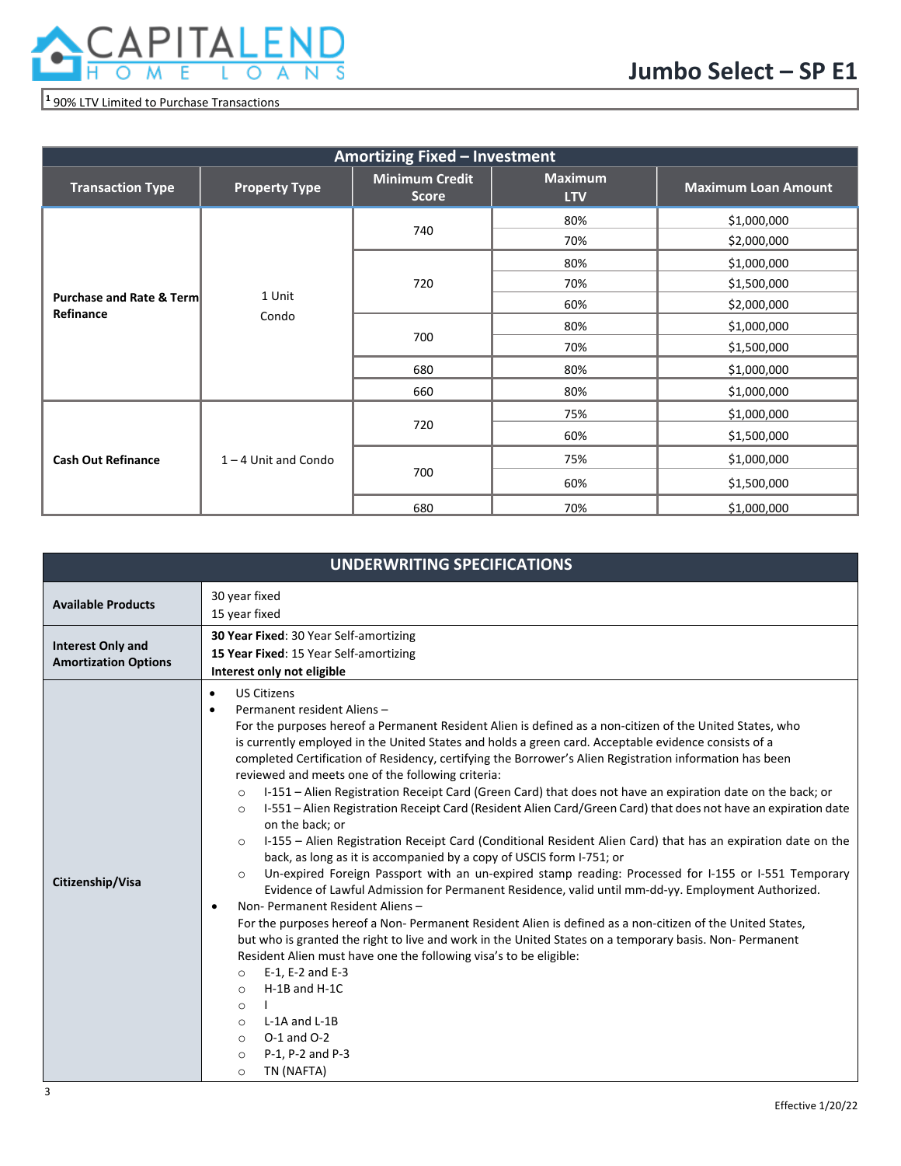

#### **<sup>1</sup>** 90% LTV Limited to Purchase Transactions

| Amortizing Fixed - Investment                    |                        |                                       |                              |                            |  |
|--------------------------------------------------|------------------------|---------------------------------------|------------------------------|----------------------------|--|
| <b>Transaction Type</b>                          | <b>Property Type</b>   | <b>Minimum Credit</b><br><b>Score</b> | <b>Maximum</b><br><b>LTV</b> | <b>Maximum Loan Amount</b> |  |
|                                                  |                        |                                       | 80%                          | \$1,000,000                |  |
|                                                  |                        | 740                                   | 70%                          | \$2,000,000                |  |
|                                                  |                        |                                       | 80%                          | \$1,000,000                |  |
|                                                  | 1 Unit<br>Condo        | 720                                   | 70%                          | \$1,500,000                |  |
| <b>Purchase and Rate &amp; Term</b><br>Refinance |                        |                                       | 60%                          | \$2,000,000                |  |
|                                                  |                        | 700                                   | 80%                          | \$1,000,000                |  |
|                                                  |                        |                                       | 70%                          | \$1,500,000                |  |
|                                                  |                        | 680                                   | 80%                          | \$1,000,000                |  |
|                                                  |                        | 660                                   | 80%                          | \$1,000,000                |  |
|                                                  |                        |                                       | 75%                          | \$1,000,000                |  |
|                                                  |                        | 720<br>60%                            |                              | \$1,500,000                |  |
| <b>Cash Out Refinance</b>                        | $1 - 4$ Unit and Condo |                                       | 75%                          | \$1,000,000                |  |
|                                                  |                        | 700                                   | 60%                          | \$1,500,000                |  |
|                                                  |                        | 680                                   | 70%                          | \$1,000,000                |  |

|                             | <b>UNDERWRITING SPECIFICATIONS</b>                                                                                                                                                                                                                                                                                                                                                                                                                                                                                                                                                                                                                                                                                                                                                                                                                                                                                                                                                                                                                                                                                                                                                                                                                                                                                                                                                                                                                                                                                                                                                                                                                                                                        |
|-----------------------------|-----------------------------------------------------------------------------------------------------------------------------------------------------------------------------------------------------------------------------------------------------------------------------------------------------------------------------------------------------------------------------------------------------------------------------------------------------------------------------------------------------------------------------------------------------------------------------------------------------------------------------------------------------------------------------------------------------------------------------------------------------------------------------------------------------------------------------------------------------------------------------------------------------------------------------------------------------------------------------------------------------------------------------------------------------------------------------------------------------------------------------------------------------------------------------------------------------------------------------------------------------------------------------------------------------------------------------------------------------------------------------------------------------------------------------------------------------------------------------------------------------------------------------------------------------------------------------------------------------------------------------------------------------------------------------------------------------------|
| <b>Available Products</b>   | 30 year fixed                                                                                                                                                                                                                                                                                                                                                                                                                                                                                                                                                                                                                                                                                                                                                                                                                                                                                                                                                                                                                                                                                                                                                                                                                                                                                                                                                                                                                                                                                                                                                                                                                                                                                             |
|                             | 15 year fixed                                                                                                                                                                                                                                                                                                                                                                                                                                                                                                                                                                                                                                                                                                                                                                                                                                                                                                                                                                                                                                                                                                                                                                                                                                                                                                                                                                                                                                                                                                                                                                                                                                                                                             |
| <b>Interest Only and</b>    | <b>30 Year Fixed: 30 Year Self-amortizing</b>                                                                                                                                                                                                                                                                                                                                                                                                                                                                                                                                                                                                                                                                                                                                                                                                                                                                                                                                                                                                                                                                                                                                                                                                                                                                                                                                                                                                                                                                                                                                                                                                                                                             |
| <b>Amortization Options</b> | 15 Year Fixed: 15 Year Self-amortizing                                                                                                                                                                                                                                                                                                                                                                                                                                                                                                                                                                                                                                                                                                                                                                                                                                                                                                                                                                                                                                                                                                                                                                                                                                                                                                                                                                                                                                                                                                                                                                                                                                                                    |
|                             | Interest only not eligible                                                                                                                                                                                                                                                                                                                                                                                                                                                                                                                                                                                                                                                                                                                                                                                                                                                                                                                                                                                                                                                                                                                                                                                                                                                                                                                                                                                                                                                                                                                                                                                                                                                                                |
| Citizenship/Visa            | <b>US Citizens</b><br>$\bullet$<br>Permanent resident Aliens-<br>$\bullet$<br>For the purposes hereof a Permanent Resident Alien is defined as a non-citizen of the United States, who<br>is currently employed in the United States and holds a green card. Acceptable evidence consists of a<br>completed Certification of Residency, certifying the Borrower's Alien Registration information has been<br>reviewed and meets one of the following criteria:<br>I-151 - Alien Registration Receipt Card (Green Card) that does not have an expiration date on the back; or<br>$\circ$<br>I-551 - Alien Registration Receipt Card (Resident Alien Card/Green Card) that does not have an expiration date<br>$\circ$<br>on the back; or<br>I-155 – Alien Registration Receipt Card (Conditional Resident Alien Card) that has an expiration date on the<br>$\circ$<br>back, as long as it is accompanied by a copy of USCIS form I-751; or<br>Un-expired Foreign Passport with an un-expired stamp reading: Processed for I-155 or I-551 Temporary<br>$\circ$<br>Evidence of Lawful Admission for Permanent Residence, valid until mm-dd-yy. Employment Authorized.<br>Non-Permanent Resident Aliens-<br>$\bullet$<br>For the purposes hereof a Non-Permanent Resident Alien is defined as a non-citizen of the United States,<br>but who is granted the right to live and work in the United States on a temporary basis. Non-Permanent<br>Resident Alien must have one the following visa's to be eligible:<br>E-1, E-2 and E-3<br>$\circ$<br>$H-1B$ and $H-1C$<br>$\circ$<br>$\circ$<br>L-1A and L-1B<br>$\circ$<br>$O-1$ and $O-2$<br>$\circ$<br>P-1, P-2 and P-3<br>$\circ$<br>TN (NAFTA)<br>$\circ$ |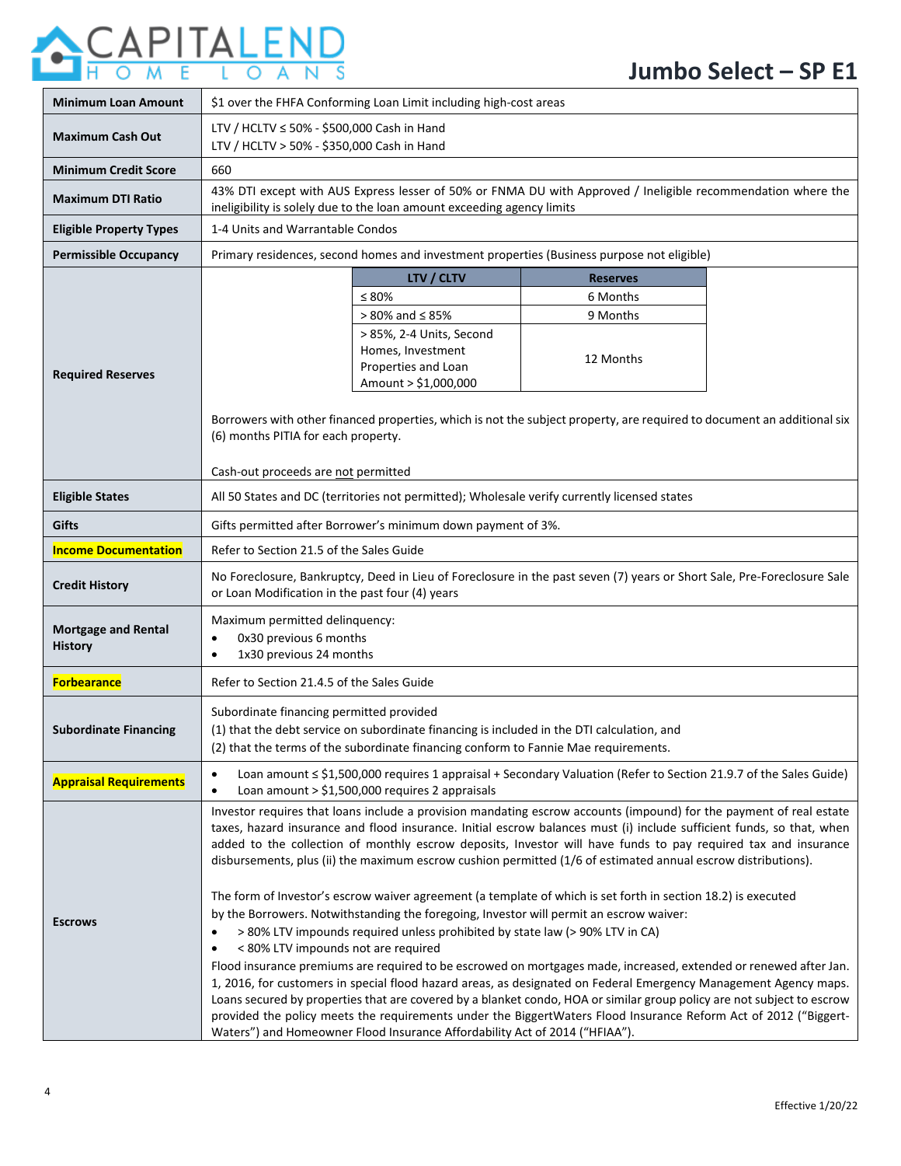# **ACAPITALEND**

| <b>Minimum Loan Amount</b>                   | \$1 over the FHFA Conforming Loan Limit including high-cost areas                                                                                                                                                                                                                                                                                                                                                                                                                                                                                                                                                                                                                                                                                                                                                                                                                                                                                    |                                                                                              |                                                                                                                   |  |  |
|----------------------------------------------|------------------------------------------------------------------------------------------------------------------------------------------------------------------------------------------------------------------------------------------------------------------------------------------------------------------------------------------------------------------------------------------------------------------------------------------------------------------------------------------------------------------------------------------------------------------------------------------------------------------------------------------------------------------------------------------------------------------------------------------------------------------------------------------------------------------------------------------------------------------------------------------------------------------------------------------------------|----------------------------------------------------------------------------------------------|-------------------------------------------------------------------------------------------------------------------|--|--|
| <b>Maximum Cash Out</b>                      | LTV / HCLTV ≤ 50% - \$500,000 Cash in Hand<br>LTV / HCLTV > 50% - \$350,000 Cash in Hand                                                                                                                                                                                                                                                                                                                                                                                                                                                                                                                                                                                                                                                                                                                                                                                                                                                             |                                                                                              |                                                                                                                   |  |  |
| <b>Minimum Credit Score</b>                  | 660                                                                                                                                                                                                                                                                                                                                                                                                                                                                                                                                                                                                                                                                                                                                                                                                                                                                                                                                                  |                                                                                              |                                                                                                                   |  |  |
| <b>Maximum DTI Ratio</b>                     |                                                                                                                                                                                                                                                                                                                                                                                                                                                                                                                                                                                                                                                                                                                                                                                                                                                                                                                                                      | ineligibility is solely due to the loan amount exceeding agency limits                       | 43% DTI except with AUS Express lesser of 50% or FNMA DU with Approved / Ineligible recommendation where the      |  |  |
| <b>Eligible Property Types</b>               | 1-4 Units and Warrantable Condos                                                                                                                                                                                                                                                                                                                                                                                                                                                                                                                                                                                                                                                                                                                                                                                                                                                                                                                     |                                                                                              |                                                                                                                   |  |  |
| <b>Permissible Occupancy</b>                 |                                                                                                                                                                                                                                                                                                                                                                                                                                                                                                                                                                                                                                                                                                                                                                                                                                                                                                                                                      |                                                                                              | Primary residences, second homes and investment properties (Business purpose not eligible)                        |  |  |
|                                              |                                                                                                                                                                                                                                                                                                                                                                                                                                                                                                                                                                                                                                                                                                                                                                                                                                                                                                                                                      | LTV / CLTV                                                                                   | <b>Reserves</b>                                                                                                   |  |  |
|                                              |                                                                                                                                                                                                                                                                                                                                                                                                                                                                                                                                                                                                                                                                                                                                                                                                                                                                                                                                                      | $\leq 80\%$                                                                                  | 6 Months                                                                                                          |  |  |
|                                              |                                                                                                                                                                                                                                                                                                                                                                                                                                                                                                                                                                                                                                                                                                                                                                                                                                                                                                                                                      | $> 80\%$ and $\leq 85\%$                                                                     | 9 Months                                                                                                          |  |  |
| <b>Required Reserves</b>                     |                                                                                                                                                                                                                                                                                                                                                                                                                                                                                                                                                                                                                                                                                                                                                                                                                                                                                                                                                      | > 85%, 2-4 Units, Second<br>Homes, Investment<br>Properties and Loan<br>Amount > \$1,000,000 | 12 Months                                                                                                         |  |  |
|                                              | Borrowers with other financed properties, which is not the subject property, are required to document an additional six<br>(6) months PITIA for each property.                                                                                                                                                                                                                                                                                                                                                                                                                                                                                                                                                                                                                                                                                                                                                                                       |                                                                                              |                                                                                                                   |  |  |
|                                              | Cash-out proceeds are not permitted                                                                                                                                                                                                                                                                                                                                                                                                                                                                                                                                                                                                                                                                                                                                                                                                                                                                                                                  |                                                                                              |                                                                                                                   |  |  |
| <b>Eligible States</b>                       |                                                                                                                                                                                                                                                                                                                                                                                                                                                                                                                                                                                                                                                                                                                                                                                                                                                                                                                                                      |                                                                                              | All 50 States and DC (territories not permitted); Wholesale verify currently licensed states                      |  |  |
| Gifts                                        | Gifts permitted after Borrower's minimum down payment of 3%.                                                                                                                                                                                                                                                                                                                                                                                                                                                                                                                                                                                                                                                                                                                                                                                                                                                                                         |                                                                                              |                                                                                                                   |  |  |
| <b>Income Documentation</b>                  | Refer to Section 21.5 of the Sales Guide                                                                                                                                                                                                                                                                                                                                                                                                                                                                                                                                                                                                                                                                                                                                                                                                                                                                                                             |                                                                                              |                                                                                                                   |  |  |
| <b>Credit History</b>                        | No Foreclosure, Bankruptcy, Deed in Lieu of Foreclosure in the past seven (7) years or Short Sale, Pre-Foreclosure Sale<br>or Loan Modification in the past four (4) years                                                                                                                                                                                                                                                                                                                                                                                                                                                                                                                                                                                                                                                                                                                                                                           |                                                                                              |                                                                                                                   |  |  |
| <b>Mortgage and Rental</b><br><b>History</b> | Maximum permitted delinquency:<br>0x30 previous 6 months<br>1x30 previous 24 months                                                                                                                                                                                                                                                                                                                                                                                                                                                                                                                                                                                                                                                                                                                                                                                                                                                                  |                                                                                              |                                                                                                                   |  |  |
| <b>Forbearance</b>                           | Refer to Section 21.4.5 of the Sales Guide                                                                                                                                                                                                                                                                                                                                                                                                                                                                                                                                                                                                                                                                                                                                                                                                                                                                                                           |                                                                                              |                                                                                                                   |  |  |
| <b>Subordinate Financing</b>                 | Subordinate financing permitted provided<br>(1) that the debt service on subordinate financing is included in the DTI calculation, and<br>(2) that the terms of the subordinate financing conform to Fannie Mae requirements.                                                                                                                                                                                                                                                                                                                                                                                                                                                                                                                                                                                                                                                                                                                        |                                                                                              |                                                                                                                   |  |  |
| <b>Appraisal Requirements</b>                | $\bullet$<br>$\bullet$                                                                                                                                                                                                                                                                                                                                                                                                                                                                                                                                                                                                                                                                                                                                                                                                                                                                                                                               | Loan amount $>$ \$1,500,000 requires 2 appraisals                                            | Loan amount ≤ \$1,500,000 requires 1 appraisal + Secondary Valuation (Refer to Section 21.9.7 of the Sales Guide) |  |  |
| <b>Escrows</b>                               | Investor requires that loans include a provision mandating escrow accounts (impound) for the payment of real estate<br>taxes, hazard insurance and flood insurance. Initial escrow balances must (i) include sufficient funds, so that, when<br>added to the collection of monthly escrow deposits, Investor will have funds to pay required tax and insurance<br>disbursements, plus (ii) the maximum escrow cushion permitted (1/6 of estimated annual escrow distributions).<br>The form of Investor's escrow waiver agreement (a template of which is set forth in section 18.2) is executed<br>by the Borrowers. Notwithstanding the foregoing, Investor will permit an escrow waiver:<br>> 80% LTV impounds required unless prohibited by state law (> 90% LTV in CA)<br>$\bullet$<br>< 80% LTV impounds not are required<br>Flood insurance premiums are required to be escrowed on mortgages made, increased, extended or renewed after Jan. |                                                                                              |                                                                                                                   |  |  |
|                                              | 1, 2016, for customers in special flood hazard areas, as designated on Federal Emergency Management Agency maps.<br>Loans secured by properties that are covered by a blanket condo, HOA or similar group policy are not subject to escrow<br>provided the policy meets the requirements under the BiggertWaters Flood Insurance Reform Act of 2012 ("Biggert-<br>Waters") and Homeowner Flood Insurance Affordability Act of 2014 ("HFIAA").                                                                                                                                                                                                                                                                                                                                                                                                                                                                                                        |                                                                                              |                                                                                                                   |  |  |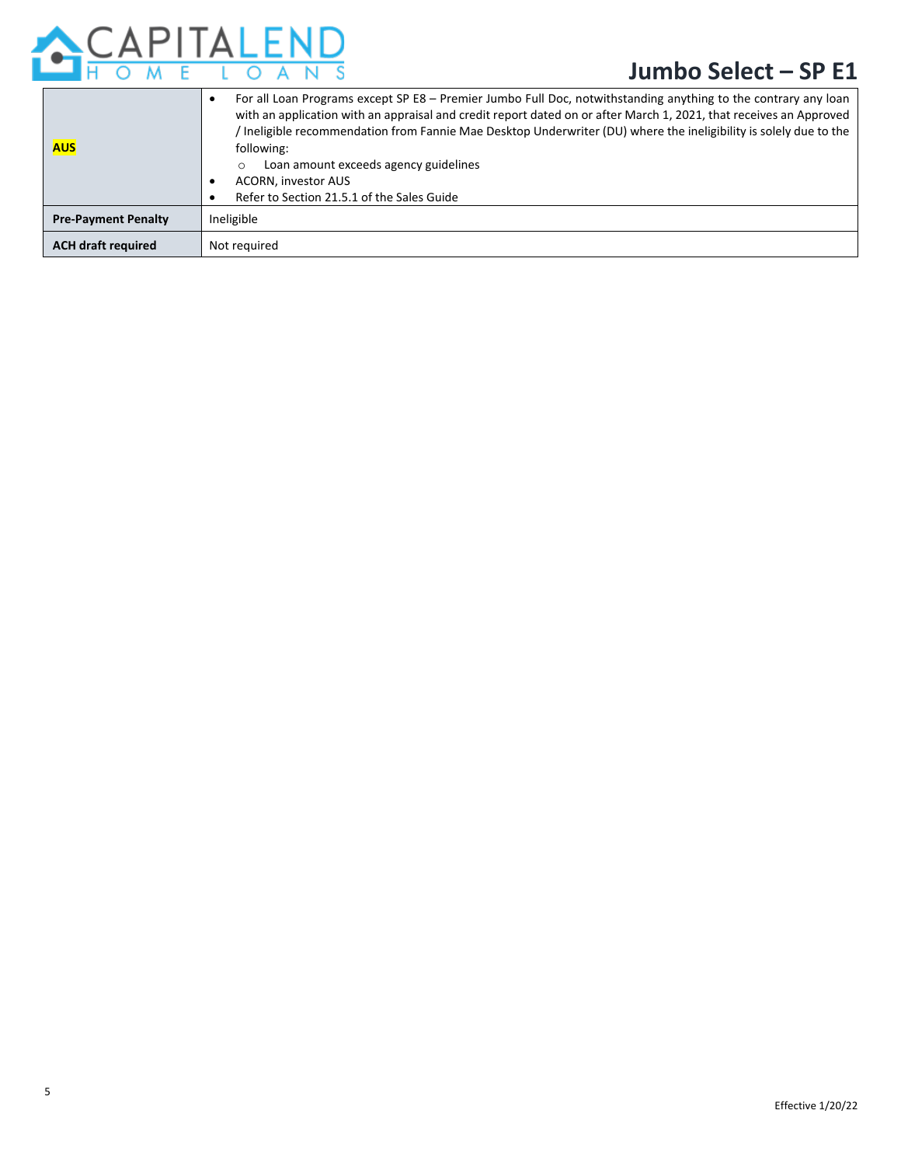

| <b>AUS</b>                 | For all Loan Programs except SP E8 - Premier Jumbo Full Doc, notwithstanding anything to the contrary any loan<br>with an application with an appraisal and credit report dated on or after March 1, 2021, that receives an Approved<br>/ Ineligible recommendation from Fannie Mae Desktop Underwriter (DU) where the ineligibility is solely due to the<br>following:<br>Loan amount exceeds agency guidelines<br>$\circ$<br><b>ACORN, investor AUS</b><br>Refer to Section 21.5.1 of the Sales Guide |
|----------------------------|---------------------------------------------------------------------------------------------------------------------------------------------------------------------------------------------------------------------------------------------------------------------------------------------------------------------------------------------------------------------------------------------------------------------------------------------------------------------------------------------------------|
| <b>Pre-Payment Penalty</b> | Ineligible                                                                                                                                                                                                                                                                                                                                                                                                                                                                                              |
| <b>ACH draft required</b>  | Not required                                                                                                                                                                                                                                                                                                                                                                                                                                                                                            |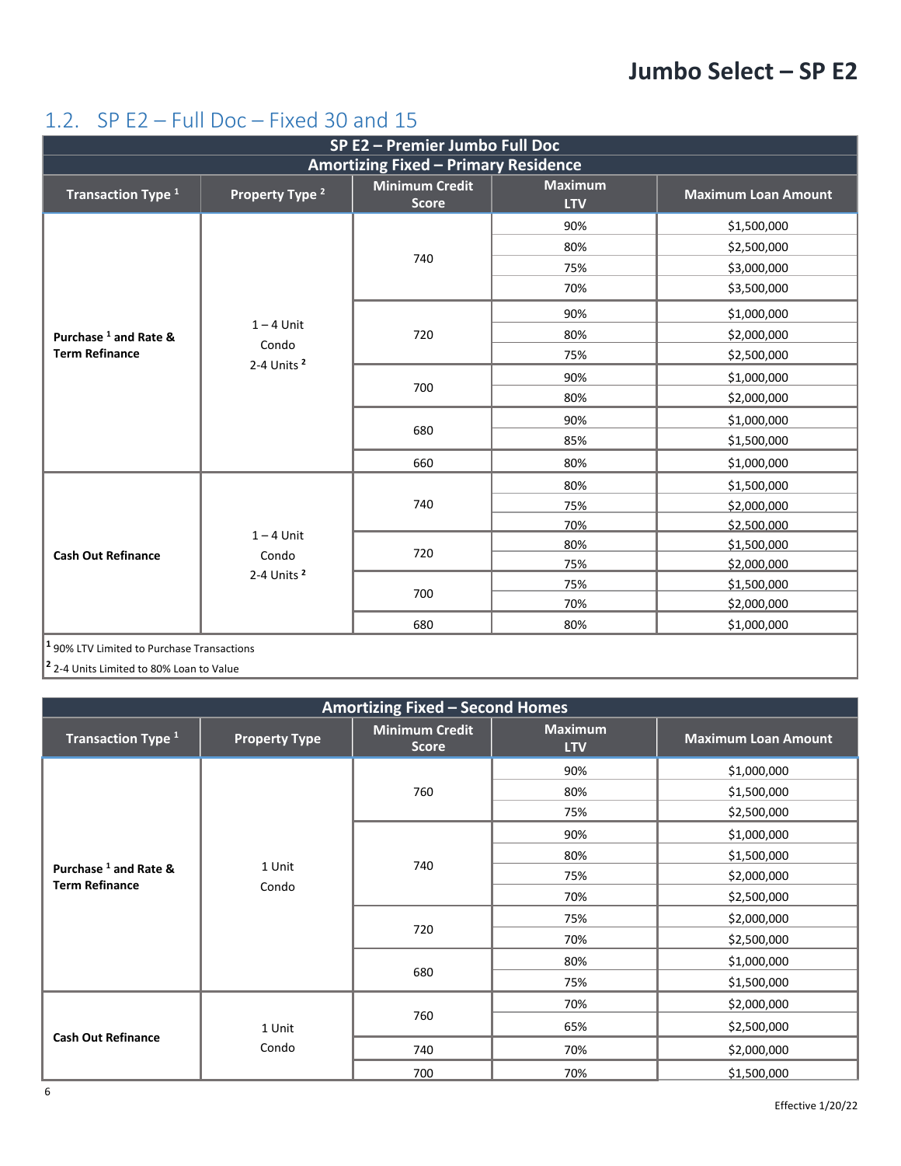### <span id="page-5-0"></span>1.2. SP E2 – Full Doc – Fixed 30 and 15

| SP E2 - Premier Jumbo Full Doc                |                                 |                                       |                              |                            |  |
|-----------------------------------------------|---------------------------------|---------------------------------------|------------------------------|----------------------------|--|
| <b>Amortizing Fixed - Primary Residence</b>   |                                 |                                       |                              |                            |  |
| Transaction Type <sup>1</sup>                 | Property Type <sup>2</sup>      | <b>Minimum Credit</b><br><b>Score</b> | <b>Maximum</b><br><b>LTV</b> | <b>Maximum Loan Amount</b> |  |
|                                               |                                 |                                       | 90%                          | \$1,500,000                |  |
|                                               |                                 |                                       | 80%                          | \$2,500,000                |  |
|                                               |                                 | 740                                   | 75%                          | \$3,000,000                |  |
|                                               |                                 |                                       | 70%                          | \$3,500,000                |  |
|                                               |                                 |                                       | 90%                          | \$1,000,000                |  |
| Purchase 1 and Rate &                         | $1 - 4$ Unit                    | 720                                   | 80%                          | \$2,000,000                |  |
| <b>Term Refinance</b>                         | Condo<br>2-4 Units <sup>2</sup> |                                       | 75%                          | \$2,500,000                |  |
|                                               |                                 | 700                                   | 90%                          | \$1,000,000                |  |
|                                               |                                 |                                       | 80%                          | \$2,000,000                |  |
|                                               |                                 | 680                                   | 90%                          | \$1,000,000                |  |
|                                               |                                 |                                       | 85%                          | \$1,500,000                |  |
|                                               |                                 | 660                                   | 80%                          | \$1,000,000                |  |
|                                               |                                 | 740                                   | 80%                          | \$1,500,000                |  |
|                                               |                                 |                                       | 75%                          | \$2,000,000                |  |
|                                               |                                 |                                       | 70%                          | \$2,500,000                |  |
|                                               | $1 - 4$ Unit                    | 720                                   | 80%                          | \$1,500,000                |  |
| <b>Cash Out Refinance</b>                     | Condo                           |                                       | 75%                          | \$2,000,000                |  |
|                                               | 2-4 Units <sup>2</sup>          |                                       | 75%                          | \$1,500,000                |  |
|                                               |                                 | 700                                   | 70%                          | \$2,000,000                |  |
|                                               |                                 | 680                                   | 80%                          | \$1,000,000                |  |
| $ 1$ 90% LTV Limited to Purchase Transactions |                                 |                                       |                              |                            |  |

**<sup>2</sup>** 2-4 Units Limited to 80% Loan to Value

| <b>Amortizing Fixed - Second Homes</b>           |                      |                                       |                              |                            |
|--------------------------------------------------|----------------------|---------------------------------------|------------------------------|----------------------------|
| Transaction Type <sup>1</sup>                    | <b>Property Type</b> | <b>Minimum Credit</b><br><b>Score</b> | <b>Maximum</b><br><b>LTV</b> | <b>Maximum Loan Amount</b> |
|                                                  |                      |                                       | 90%                          | \$1,000,000                |
|                                                  |                      | 760                                   | 80%                          | \$1,500,000                |
|                                                  |                      |                                       | 75%                          | \$2,500,000                |
|                                                  |                      |                                       | 90%                          | \$1,000,000                |
|                                                  | 1 Unit<br>Condo      | 740                                   | 80%                          | \$1,500,000                |
| Purchase $1$ and Rate &<br><b>Term Refinance</b> |                      |                                       | 75%                          | \$2,000,000                |
|                                                  |                      |                                       | 70%                          | \$2,500,000                |
|                                                  |                      | 720                                   | 75%                          | \$2,000,000                |
|                                                  |                      |                                       | 70%                          | \$2,500,000                |
|                                                  |                      | 680                                   | 80%                          | \$1,000,000                |
|                                                  |                      |                                       | 75%                          | \$1,500,000                |
|                                                  |                      |                                       | 70%                          | \$2,000,000                |
|                                                  | 1 Unit               | 760                                   | 65%                          | \$2,500,000                |
| <b>Cash Out Refinance</b>                        | Condo                | 740                                   | 70%                          | \$2,000,000                |
|                                                  |                      | 700                                   | 70%                          | \$1,500,000                |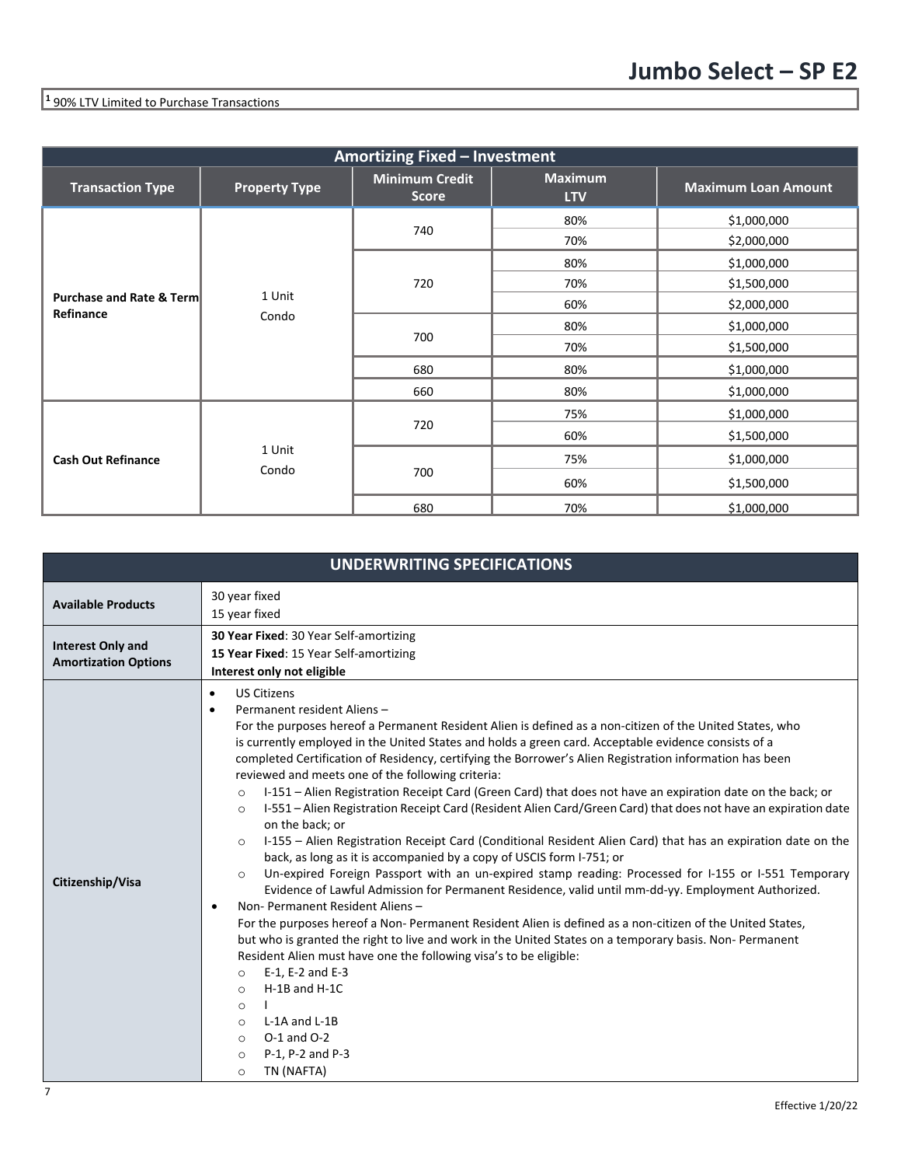# **<sup>1</sup>** 90% LTV Limited to Purchase Transactions

| <b>Amortizing Fixed - Investment</b>             |                      |                                       |                              |                            |  |
|--------------------------------------------------|----------------------|---------------------------------------|------------------------------|----------------------------|--|
| <b>Transaction Type</b>                          | <b>Property Type</b> | <b>Minimum Credit</b><br><b>Score</b> | <b>Maximum</b><br><b>LTV</b> | <b>Maximum Loan Amount</b> |  |
|                                                  |                      |                                       | 80%                          | \$1,000,000                |  |
|                                                  |                      | 740                                   | 70%                          | \$2,000,000                |  |
|                                                  |                      |                                       | 80%                          | \$1,000,000                |  |
|                                                  | 1 Unit<br>Condo      | 720                                   | 70%                          | \$1,500,000                |  |
| <b>Purchase and Rate &amp; Term</b><br>Refinance |                      |                                       | 60%                          | \$2,000,000                |  |
|                                                  |                      | 700                                   | 80%                          | \$1,000,000                |  |
|                                                  |                      |                                       | 70%                          | \$1,500,000                |  |
|                                                  |                      | 680                                   | 80%                          | \$1,000,000                |  |
|                                                  |                      | 660                                   | 80%                          | \$1,000,000                |  |
|                                                  |                      |                                       | 75%                          | \$1,000,000                |  |
|                                                  |                      | 720                                   | 60%                          | \$1,500,000                |  |
| <b>Cash Out Refinance</b>                        | 1 Unit               |                                       | 75%                          | \$1,000,000                |  |
|                                                  | Condo                | 700                                   | 60%                          | \$1,500,000                |  |
|                                                  |                      | 680                                   | 70%                          | \$1,000,000                |  |

| <b>UNDERWRITING SPECIFICATIONS</b>                      |                                                                                                                                                                                                                                                                                                                                                                                                                                                                                                                                                                                                                                                                                                                                                                                                                                                                                                                                                                                                                                                                                                                                                                                                                                                                                                                                                                                                                                                                                                                                                                                                                                                                                               |  |  |  |  |
|---------------------------------------------------------|-----------------------------------------------------------------------------------------------------------------------------------------------------------------------------------------------------------------------------------------------------------------------------------------------------------------------------------------------------------------------------------------------------------------------------------------------------------------------------------------------------------------------------------------------------------------------------------------------------------------------------------------------------------------------------------------------------------------------------------------------------------------------------------------------------------------------------------------------------------------------------------------------------------------------------------------------------------------------------------------------------------------------------------------------------------------------------------------------------------------------------------------------------------------------------------------------------------------------------------------------------------------------------------------------------------------------------------------------------------------------------------------------------------------------------------------------------------------------------------------------------------------------------------------------------------------------------------------------------------------------------------------------------------------------------------------------|--|--|--|--|
| <b>Available Products</b>                               | 30 year fixed<br>15 year fixed                                                                                                                                                                                                                                                                                                                                                                                                                                                                                                                                                                                                                                                                                                                                                                                                                                                                                                                                                                                                                                                                                                                                                                                                                                                                                                                                                                                                                                                                                                                                                                                                                                                                |  |  |  |  |
| <b>Interest Only and</b><br><b>Amortization Options</b> | 30 Year Fixed: 30 Year Self-amortizing<br>15 Year Fixed: 15 Year Self-amortizing<br>Interest only not eligible                                                                                                                                                                                                                                                                                                                                                                                                                                                                                                                                                                                                                                                                                                                                                                                                                                                                                                                                                                                                                                                                                                                                                                                                                                                                                                                                                                                                                                                                                                                                                                                |  |  |  |  |
| Citizenship/Visa                                        | <b>US Citizens</b><br>$\bullet$<br>Permanent resident Aliens-<br>$\bullet$<br>For the purposes hereof a Permanent Resident Alien is defined as a non-citizen of the United States, who<br>is currently employed in the United States and holds a green card. Acceptable evidence consists of a<br>completed Certification of Residency, certifying the Borrower's Alien Registration information has been<br>reviewed and meets one of the following criteria:<br>I-151 – Alien Registration Receipt Card (Green Card) that does not have an expiration date on the back; or<br>$\circ$<br>I-551 - Alien Registration Receipt Card (Resident Alien Card/Green Card) that does not have an expiration date<br>$\circ$<br>on the back; or<br>I-155 – Alien Registration Receipt Card (Conditional Resident Alien Card) that has an expiration date on the<br>$\circ$<br>back, as long as it is accompanied by a copy of USCIS form I-751; or<br>Un-expired Foreign Passport with an un-expired stamp reading: Processed for I-155 or I-551 Temporary<br>$\circ$<br>Evidence of Lawful Admission for Permanent Residence, valid until mm-dd-yy. Employment Authorized.<br>Non-Permanent Resident Aliens-<br>For the purposes hereof a Non-Permanent Resident Alien is defined as a non-citizen of the United States,<br>but who is granted the right to live and work in the United States on a temporary basis. Non-Permanent<br>Resident Alien must have one the following visa's to be eligible:<br>E-1, E-2 and E-3<br>$\Omega$<br>$H-1B$ and $H-1C$<br>$\circ$<br>$\circ$<br>L-1A and L-1B<br>$\circ$<br>$O-1$ and $O-2$<br>$\circ$<br>P-1, P-2 and P-3<br>$\circ$<br>TN (NAFTA)<br>$\circ$ |  |  |  |  |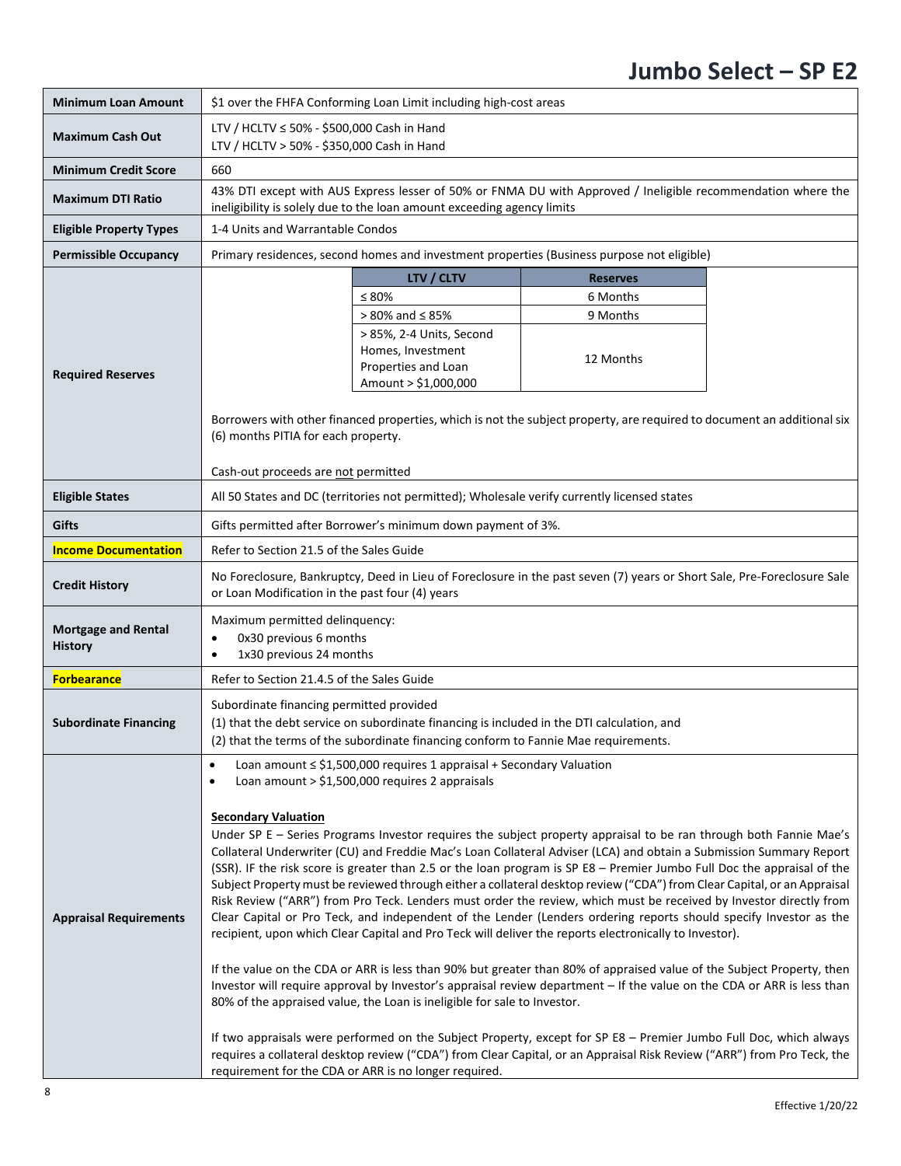| <b>Minimum Loan Amount</b>                                                                                                                          | \$1 over the FHFA Conforming Loan Limit including high-cost areas                                                                                                                                                                                                                                                                                                                                                                                                                                                                                                                                                                                                                                                                                                                                                                                                                                                                                                                                                                                                                                                                                                                                                                                                                                                                                                                                                                                                                                                         |                                                                                              |                                                                                                              |  |  |
|-----------------------------------------------------------------------------------------------------------------------------------------------------|---------------------------------------------------------------------------------------------------------------------------------------------------------------------------------------------------------------------------------------------------------------------------------------------------------------------------------------------------------------------------------------------------------------------------------------------------------------------------------------------------------------------------------------------------------------------------------------------------------------------------------------------------------------------------------------------------------------------------------------------------------------------------------------------------------------------------------------------------------------------------------------------------------------------------------------------------------------------------------------------------------------------------------------------------------------------------------------------------------------------------------------------------------------------------------------------------------------------------------------------------------------------------------------------------------------------------------------------------------------------------------------------------------------------------------------------------------------------------------------------------------------------------|----------------------------------------------------------------------------------------------|--------------------------------------------------------------------------------------------------------------|--|--|
| <b>Maximum Cash Out</b>                                                                                                                             | LTV / HCLTV ≤ 50% - \$500,000 Cash in Hand<br>LTV / HCLTV > 50% - \$350,000 Cash in Hand                                                                                                                                                                                                                                                                                                                                                                                                                                                                                                                                                                                                                                                                                                                                                                                                                                                                                                                                                                                                                                                                                                                                                                                                                                                                                                                                                                                                                                  |                                                                                              |                                                                                                              |  |  |
| <b>Minimum Credit Score</b>                                                                                                                         | 660                                                                                                                                                                                                                                                                                                                                                                                                                                                                                                                                                                                                                                                                                                                                                                                                                                                                                                                                                                                                                                                                                                                                                                                                                                                                                                                                                                                                                                                                                                                       |                                                                                              |                                                                                                              |  |  |
| <b>Maximum DTI Ratio</b>                                                                                                                            |                                                                                                                                                                                                                                                                                                                                                                                                                                                                                                                                                                                                                                                                                                                                                                                                                                                                                                                                                                                                                                                                                                                                                                                                                                                                                                                                                                                                                                                                                                                           | ineligibility is solely due to the loan amount exceeding agency limits                       | 43% DTI except with AUS Express lesser of 50% or FNMA DU with Approved / Ineligible recommendation where the |  |  |
| <b>Eligible Property Types</b>                                                                                                                      | 1-4 Units and Warrantable Condos                                                                                                                                                                                                                                                                                                                                                                                                                                                                                                                                                                                                                                                                                                                                                                                                                                                                                                                                                                                                                                                                                                                                                                                                                                                                                                                                                                                                                                                                                          |                                                                                              |                                                                                                              |  |  |
| <b>Permissible Occupancy</b>                                                                                                                        |                                                                                                                                                                                                                                                                                                                                                                                                                                                                                                                                                                                                                                                                                                                                                                                                                                                                                                                                                                                                                                                                                                                                                                                                                                                                                                                                                                                                                                                                                                                           |                                                                                              | Primary residences, second homes and investment properties (Business purpose not eligible)                   |  |  |
|                                                                                                                                                     |                                                                                                                                                                                                                                                                                                                                                                                                                                                                                                                                                                                                                                                                                                                                                                                                                                                                                                                                                                                                                                                                                                                                                                                                                                                                                                                                                                                                                                                                                                                           | LTV / CLTV                                                                                   | <b>Reserves</b>                                                                                              |  |  |
|                                                                                                                                                     |                                                                                                                                                                                                                                                                                                                                                                                                                                                                                                                                                                                                                                                                                                                                                                                                                                                                                                                                                                                                                                                                                                                                                                                                                                                                                                                                                                                                                                                                                                                           | $\leq 80\%$                                                                                  | 6 Months                                                                                                     |  |  |
|                                                                                                                                                     |                                                                                                                                                                                                                                                                                                                                                                                                                                                                                                                                                                                                                                                                                                                                                                                                                                                                                                                                                                                                                                                                                                                                                                                                                                                                                                                                                                                                                                                                                                                           | $> 80\%$ and $\leq 85\%$                                                                     | 9 Months                                                                                                     |  |  |
| <b>Required Reserves</b>                                                                                                                            |                                                                                                                                                                                                                                                                                                                                                                                                                                                                                                                                                                                                                                                                                                                                                                                                                                                                                                                                                                                                                                                                                                                                                                                                                                                                                                                                                                                                                                                                                                                           | > 85%, 2-4 Units, Second<br>Homes, Investment<br>Properties and Loan<br>Amount > \$1,000,000 | 12 Months                                                                                                    |  |  |
|                                                                                                                                                     | Borrowers with other financed properties, which is not the subject property, are required to document an additional six<br>(6) months PITIA for each property.                                                                                                                                                                                                                                                                                                                                                                                                                                                                                                                                                                                                                                                                                                                                                                                                                                                                                                                                                                                                                                                                                                                                                                                                                                                                                                                                                            |                                                                                              |                                                                                                              |  |  |
|                                                                                                                                                     | Cash-out proceeds are not permitted                                                                                                                                                                                                                                                                                                                                                                                                                                                                                                                                                                                                                                                                                                                                                                                                                                                                                                                                                                                                                                                                                                                                                                                                                                                                                                                                                                                                                                                                                       |                                                                                              |                                                                                                              |  |  |
| <b>Eligible States</b>                                                                                                                              |                                                                                                                                                                                                                                                                                                                                                                                                                                                                                                                                                                                                                                                                                                                                                                                                                                                                                                                                                                                                                                                                                                                                                                                                                                                                                                                                                                                                                                                                                                                           |                                                                                              | All 50 States and DC (territories not permitted); Wholesale verify currently licensed states                 |  |  |
| <b>Gifts</b>                                                                                                                                        | Gifts permitted after Borrower's minimum down payment of 3%.                                                                                                                                                                                                                                                                                                                                                                                                                                                                                                                                                                                                                                                                                                                                                                                                                                                                                                                                                                                                                                                                                                                                                                                                                                                                                                                                                                                                                                                              |                                                                                              |                                                                                                              |  |  |
| <b>Income Documentation</b>                                                                                                                         | Refer to Section 21.5 of the Sales Guide                                                                                                                                                                                                                                                                                                                                                                                                                                                                                                                                                                                                                                                                                                                                                                                                                                                                                                                                                                                                                                                                                                                                                                                                                                                                                                                                                                                                                                                                                  |                                                                                              |                                                                                                              |  |  |
| <b>Credit History</b>                                                                                                                               | No Foreclosure, Bankruptcy, Deed in Lieu of Foreclosure in the past seven (7) years or Short Sale, Pre-Foreclosure Sale<br>or Loan Modification in the past four (4) years                                                                                                                                                                                                                                                                                                                                                                                                                                                                                                                                                                                                                                                                                                                                                                                                                                                                                                                                                                                                                                                                                                                                                                                                                                                                                                                                                |                                                                                              |                                                                                                              |  |  |
| <b>Mortgage and Rental</b><br><b>History</b>                                                                                                        | Maximum permitted delinquency:<br>0x30 previous 6 months<br>1x30 previous 24 months                                                                                                                                                                                                                                                                                                                                                                                                                                                                                                                                                                                                                                                                                                                                                                                                                                                                                                                                                                                                                                                                                                                                                                                                                                                                                                                                                                                                                                       |                                                                                              |                                                                                                              |  |  |
| <b>Forbearance</b>                                                                                                                                  | Refer to Section 21.4.5 of the Sales Guide                                                                                                                                                                                                                                                                                                                                                                                                                                                                                                                                                                                                                                                                                                                                                                                                                                                                                                                                                                                                                                                                                                                                                                                                                                                                                                                                                                                                                                                                                |                                                                                              |                                                                                                              |  |  |
| <b>Subordinate Financing</b>                                                                                                                        | Subordinate financing permitted provided<br>(1) that the debt service on subordinate financing is included in the DTI calculation, and<br>(2) that the terms of the subordinate financing conform to Fannie Mae requirements.                                                                                                                                                                                                                                                                                                                                                                                                                                                                                                                                                                                                                                                                                                                                                                                                                                                                                                                                                                                                                                                                                                                                                                                                                                                                                             |                                                                                              |                                                                                                              |  |  |
| Loan amount ≤ \$1,500,000 requires 1 appraisal + Secondary Valuation<br>$\bullet$<br>Loan amount $>$ \$1,500,000 requires 2 appraisals<br>$\bullet$ |                                                                                                                                                                                                                                                                                                                                                                                                                                                                                                                                                                                                                                                                                                                                                                                                                                                                                                                                                                                                                                                                                                                                                                                                                                                                                                                                                                                                                                                                                                                           |                                                                                              |                                                                                                              |  |  |
| <b>Appraisal Requirements</b>                                                                                                                       | <b>Secondary Valuation</b><br>Under SP E - Series Programs Investor requires the subject property appraisal to be ran through both Fannie Mae's<br>Collateral Underwriter (CU) and Freddie Mac's Loan Collateral Adviser (LCA) and obtain a Submission Summary Report<br>(SSR). IF the risk score is greater than 2.5 or the loan program is SP E8 - Premier Jumbo Full Doc the appraisal of the<br>Subject Property must be reviewed through either a collateral desktop review ("CDA") from Clear Capital, or an Appraisal<br>Risk Review ("ARR") from Pro Teck. Lenders must order the review, which must be received by Investor directly from<br>Clear Capital or Pro Teck, and independent of the Lender (Lenders ordering reports should specify Investor as the<br>recipient, upon which Clear Capital and Pro Teck will deliver the reports electronically to Investor).<br>If the value on the CDA or ARR is less than 90% but greater than 80% of appraised value of the Subject Property, then<br>Investor will require approval by Investor's appraisal review department - If the value on the CDA or ARR is less than<br>80% of the appraised value, the Loan is ineligible for sale to Investor.<br>If two appraisals were performed on the Subject Property, except for SP E8 - Premier Jumbo Full Doc, which always<br>requires a collateral desktop review ("CDA") from Clear Capital, or an Appraisal Risk Review ("ARR") from Pro Teck, the<br>requirement for the CDA or ARR is no longer required. |                                                                                              |                                                                                                              |  |  |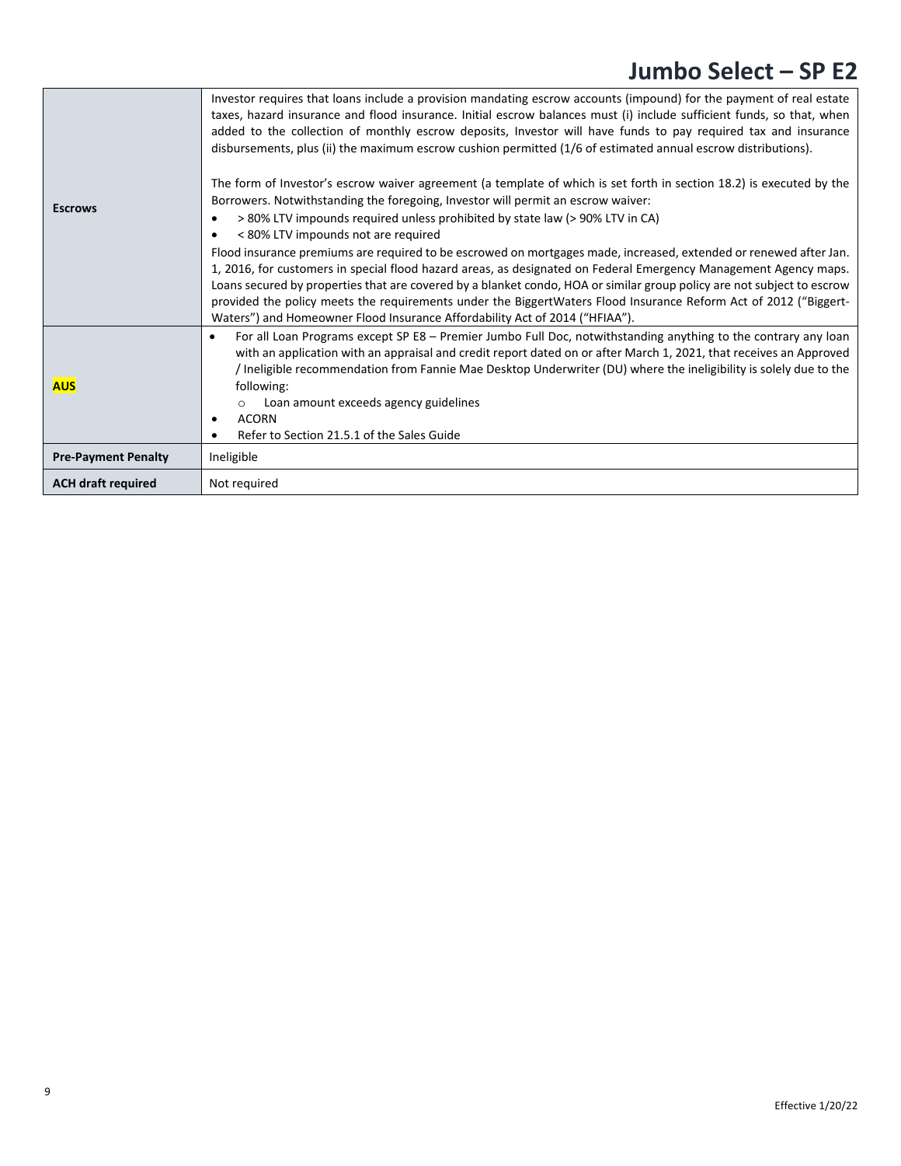| <b>Escrows</b>             | Investor requires that loans include a provision mandating escrow accounts (impound) for the payment of real estate<br>taxes, hazard insurance and flood insurance. Initial escrow balances must (i) include sufficient funds, so that, when<br>added to the collection of monthly escrow deposits, Investor will have funds to pay required tax and insurance<br>disbursements, plus (ii) the maximum escrow cushion permitted (1/6 of estimated annual escrow distributions).<br>The form of Investor's escrow waiver agreement (a template of which is set forth in section 18.2) is executed by the<br>Borrowers. Notwithstanding the foregoing, Investor will permit an escrow waiver:<br>> 80% LTV impounds required unless prohibited by state law (> 90% LTV in CA)<br>< 80% LTV impounds not are required<br>Flood insurance premiums are required to be escrowed on mortgages made, increased, extended or renewed after Jan.<br>1, 2016, for customers in special flood hazard areas, as designated on Federal Emergency Management Agency maps.<br>Loans secured by properties that are covered by a blanket condo, HOA or similar group policy are not subject to escrow<br>provided the policy meets the requirements under the BiggertWaters Flood Insurance Reform Act of 2012 ("Biggert-<br>Waters") and Homeowner Flood Insurance Affordability Act of 2014 ("HFIAA"). |
|----------------------------|------------------------------------------------------------------------------------------------------------------------------------------------------------------------------------------------------------------------------------------------------------------------------------------------------------------------------------------------------------------------------------------------------------------------------------------------------------------------------------------------------------------------------------------------------------------------------------------------------------------------------------------------------------------------------------------------------------------------------------------------------------------------------------------------------------------------------------------------------------------------------------------------------------------------------------------------------------------------------------------------------------------------------------------------------------------------------------------------------------------------------------------------------------------------------------------------------------------------------------------------------------------------------------------------------------------------------------------------------------------------------------------|
| <b>AUS</b>                 | For all Loan Programs except SP E8 - Premier Jumbo Full Doc, notwithstanding anything to the contrary any loan<br>$\bullet$<br>with an application with an appraisal and credit report dated on or after March 1, 2021, that receives an Approved<br>Ineligible recommendation from Fannie Mae Desktop Underwriter (DU) where the ineligibility is solely due to the<br>following:<br>Loan amount exceeds agency guidelines<br>$\circ$<br><b>ACORN</b><br>٠<br>Refer to Section 21.5.1 of the Sales Guide                                                                                                                                                                                                                                                                                                                                                                                                                                                                                                                                                                                                                                                                                                                                                                                                                                                                                |
| <b>Pre-Payment Penalty</b> | Ineligible                                                                                                                                                                                                                                                                                                                                                                                                                                                                                                                                                                                                                                                                                                                                                                                                                                                                                                                                                                                                                                                                                                                                                                                                                                                                                                                                                                               |
| <b>ACH draft required</b>  | Not required                                                                                                                                                                                                                                                                                                                                                                                                                                                                                                                                                                                                                                                                                                                                                                                                                                                                                                                                                                                                                                                                                                                                                                                                                                                                                                                                                                             |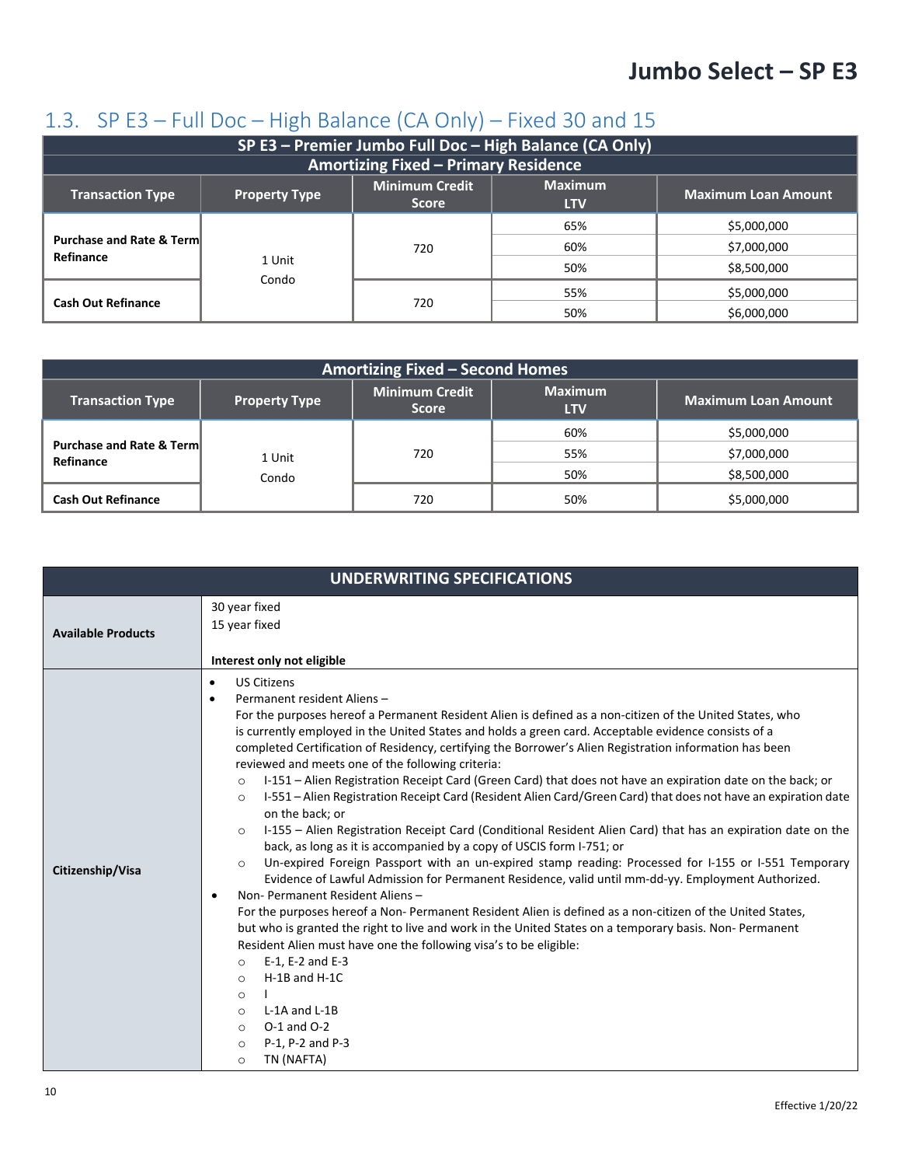#### <span id="page-9-0"></span>1.3. SP E3 – Full Doc – High Balance (CA Only) – Fixed 30 and 15

| SP E3 - Premier Jumbo Full Doc - High Balance (CA Only)                                                                                                |                 |                                             |     |             |  |
|--------------------------------------------------------------------------------------------------------------------------------------------------------|-----------------|---------------------------------------------|-----|-------------|--|
|                                                                                                                                                        |                 | <b>Amortizing Fixed - Primary Residence</b> |     |             |  |
| <b>Maximum</b><br><b>Minimum Credit</b><br><b>Maximum Loan Amount</b><br><b>Transaction Type</b><br><b>Property Type</b><br><b>Score</b><br><b>LTV</b> |                 |                                             |     |             |  |
|                                                                                                                                                        |                 |                                             | 65% | \$5,000,000 |  |
| <b>Purchase and Rate &amp; Term</b><br>Refinance                                                                                                       |                 | 720                                         | 60% | \$7,000,000 |  |
|                                                                                                                                                        | 1 Unit<br>Condo |                                             | 50% | \$8,500,000 |  |
|                                                                                                                                                        |                 |                                             | 55% | \$5,000,000 |  |
| <b>Cash Out Refinance</b>                                                                                                                              |                 | 720                                         | 50% | \$6,000,000 |  |

| <b>Amortizing Fixed - Second Homes</b>           |                      |                                       |                              |                            |
|--------------------------------------------------|----------------------|---------------------------------------|------------------------------|----------------------------|
| <b>Transaction Type</b>                          | <b>Property Type</b> | <b>Minimum Credit</b><br><b>Score</b> | <b>Maximum</b><br><b>LTV</b> | <b>Maximum Loan Amount</b> |
|                                                  |                      |                                       | 60%                          | \$5,000,000                |
| <b>Purchase and Rate &amp; Term</b><br>Refinance | 1 Unit               | 720                                   | 55%                          | \$7,000,000                |
|                                                  | Condo                |                                       | 50%                          | \$8,500,000                |
| <b>Cash Out Refinance</b>                        |                      | 720                                   | 50%                          | \$5,000,000                |

|                           | <b>UNDERWRITING SPECIFICATIONS</b>                                                                                                                                                                                                                                                                                                                                                                                                                                                                                                                                                                                                                                                                                                                                                                                                                                                                                                                                                                                                                                                                                                                                                                                                                                                                                                                                                                                                                                                                                                                                                                                                                                                           |
|---------------------------|----------------------------------------------------------------------------------------------------------------------------------------------------------------------------------------------------------------------------------------------------------------------------------------------------------------------------------------------------------------------------------------------------------------------------------------------------------------------------------------------------------------------------------------------------------------------------------------------------------------------------------------------------------------------------------------------------------------------------------------------------------------------------------------------------------------------------------------------------------------------------------------------------------------------------------------------------------------------------------------------------------------------------------------------------------------------------------------------------------------------------------------------------------------------------------------------------------------------------------------------------------------------------------------------------------------------------------------------------------------------------------------------------------------------------------------------------------------------------------------------------------------------------------------------------------------------------------------------------------------------------------------------------------------------------------------------|
| <b>Available Products</b> | 30 year fixed<br>15 year fixed<br>Interest only not eligible                                                                                                                                                                                                                                                                                                                                                                                                                                                                                                                                                                                                                                                                                                                                                                                                                                                                                                                                                                                                                                                                                                                                                                                                                                                                                                                                                                                                                                                                                                                                                                                                                                 |
| Citizenship/Visa          | <b>US Citizens</b><br>$\bullet$<br>Permanent resident Aliens-<br>$\bullet$<br>For the purposes hereof a Permanent Resident Alien is defined as a non-citizen of the United States, who<br>is currently employed in the United States and holds a green card. Acceptable evidence consists of a<br>completed Certification of Residency, certifying the Borrower's Alien Registration information has been<br>reviewed and meets one of the following criteria:<br>I-151 - Alien Registration Receipt Card (Green Card) that does not have an expiration date on the back; or<br>$\circ$<br>I-551 – Alien Registration Receipt Card (Resident Alien Card/Green Card) that does not have an expiration date<br>$\circ$<br>on the back; or<br>I-155 – Alien Registration Receipt Card (Conditional Resident Alien Card) that has an expiration date on the<br>$\circ$<br>back, as long as it is accompanied by a copy of USCIS form I-751; or<br>Un-expired Foreign Passport with an un-expired stamp reading: Processed for I-155 or I-551 Temporary<br>$\circ$<br>Evidence of Lawful Admission for Permanent Residence, valid until mm-dd-yy. Employment Authorized.<br>Non-Permanent Resident Aliens-<br>For the purposes hereof a Non-Permanent Resident Alien is defined as a non-citizen of the United States,<br>but who is granted the right to live and work in the United States on a temporary basis. Non-Permanent<br>Resident Alien must have one the following visa's to be eligible:<br>E-1, E-2 and E-3<br>$\circ$<br>$H-1B$ and $H-1C$<br>$\circ$<br>$\circ$<br>L-1A and L-1B<br>$\circ$<br>$O-1$ and $O-2$<br>$\circ$<br>P-1, P-2 and P-3<br>$\circ$<br>TN (NAFTA)<br>$\circ$ |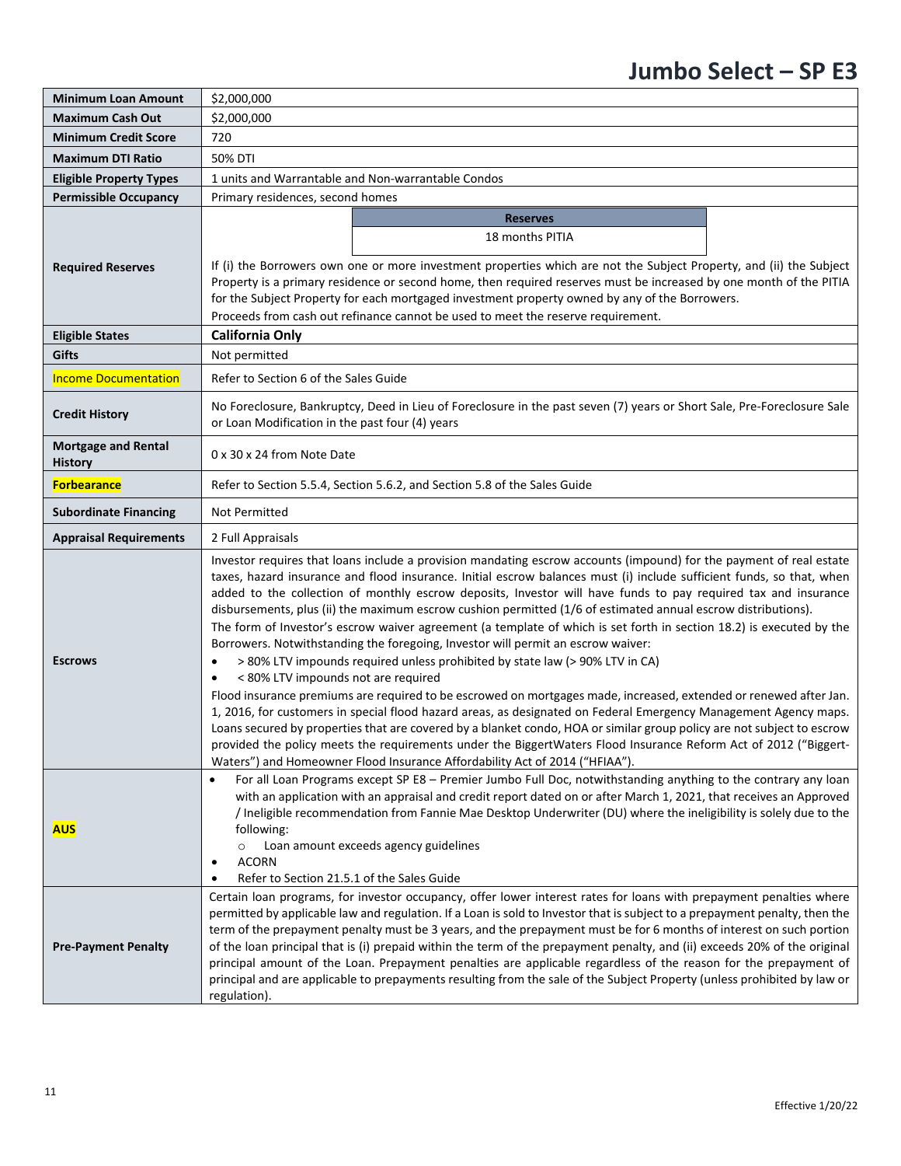| <b>Minimum Loan Amount</b>                   | \$2,000,000                                                                                                                                                                                                                                                                                                                                                                                                                                                                                                                                                                                                                                                                                                                                                                                                                                                                                                                                                                                                                                                                                                                                                                                                                                                                                                                                                                              |  |  |
|----------------------------------------------|------------------------------------------------------------------------------------------------------------------------------------------------------------------------------------------------------------------------------------------------------------------------------------------------------------------------------------------------------------------------------------------------------------------------------------------------------------------------------------------------------------------------------------------------------------------------------------------------------------------------------------------------------------------------------------------------------------------------------------------------------------------------------------------------------------------------------------------------------------------------------------------------------------------------------------------------------------------------------------------------------------------------------------------------------------------------------------------------------------------------------------------------------------------------------------------------------------------------------------------------------------------------------------------------------------------------------------------------------------------------------------------|--|--|
| <b>Maximum Cash Out</b>                      | \$2,000,000                                                                                                                                                                                                                                                                                                                                                                                                                                                                                                                                                                                                                                                                                                                                                                                                                                                                                                                                                                                                                                                                                                                                                                                                                                                                                                                                                                              |  |  |
| <b>Minimum Credit Score</b>                  | 720                                                                                                                                                                                                                                                                                                                                                                                                                                                                                                                                                                                                                                                                                                                                                                                                                                                                                                                                                                                                                                                                                                                                                                                                                                                                                                                                                                                      |  |  |
| <b>Maximum DTI Ratio</b>                     | 50% DTI                                                                                                                                                                                                                                                                                                                                                                                                                                                                                                                                                                                                                                                                                                                                                                                                                                                                                                                                                                                                                                                                                                                                                                                                                                                                                                                                                                                  |  |  |
| <b>Eligible Property Types</b>               | 1 units and Warrantable and Non-warrantable Condos                                                                                                                                                                                                                                                                                                                                                                                                                                                                                                                                                                                                                                                                                                                                                                                                                                                                                                                                                                                                                                                                                                                                                                                                                                                                                                                                       |  |  |
| <b>Permissible Occupancy</b>                 | Primary residences, second homes                                                                                                                                                                                                                                                                                                                                                                                                                                                                                                                                                                                                                                                                                                                                                                                                                                                                                                                                                                                                                                                                                                                                                                                                                                                                                                                                                         |  |  |
| <b>Required Reserves</b>                     | <b>Reserves</b><br>18 months PITIA<br>If (i) the Borrowers own one or more investment properties which are not the Subject Property, and (ii) the Subject<br>Property is a primary residence or second home, then required reserves must be increased by one month of the PITIA<br>for the Subject Property for each mortgaged investment property owned by any of the Borrowers.<br>Proceeds from cash out refinance cannot be used to meet the reserve requirement.                                                                                                                                                                                                                                                                                                                                                                                                                                                                                                                                                                                                                                                                                                                                                                                                                                                                                                                    |  |  |
| <b>Eligible States</b>                       | <b>California Only</b>                                                                                                                                                                                                                                                                                                                                                                                                                                                                                                                                                                                                                                                                                                                                                                                                                                                                                                                                                                                                                                                                                                                                                                                                                                                                                                                                                                   |  |  |
| <b>Gifts</b>                                 | Not permitted                                                                                                                                                                                                                                                                                                                                                                                                                                                                                                                                                                                                                                                                                                                                                                                                                                                                                                                                                                                                                                                                                                                                                                                                                                                                                                                                                                            |  |  |
| <b>Income Documentation</b>                  | Refer to Section 6 of the Sales Guide                                                                                                                                                                                                                                                                                                                                                                                                                                                                                                                                                                                                                                                                                                                                                                                                                                                                                                                                                                                                                                                                                                                                                                                                                                                                                                                                                    |  |  |
| <b>Credit History</b>                        | No Foreclosure, Bankruptcy, Deed in Lieu of Foreclosure in the past seven (7) years or Short Sale, Pre-Foreclosure Sale<br>or Loan Modification in the past four (4) years                                                                                                                                                                                                                                                                                                                                                                                                                                                                                                                                                                                                                                                                                                                                                                                                                                                                                                                                                                                                                                                                                                                                                                                                               |  |  |
| <b>Mortgage and Rental</b><br><b>History</b> | 0 x 30 x 24 from Note Date                                                                                                                                                                                                                                                                                                                                                                                                                                                                                                                                                                                                                                                                                                                                                                                                                                                                                                                                                                                                                                                                                                                                                                                                                                                                                                                                                               |  |  |
| <b>Forbearance</b>                           | Refer to Section 5.5.4, Section 5.6.2, and Section 5.8 of the Sales Guide                                                                                                                                                                                                                                                                                                                                                                                                                                                                                                                                                                                                                                                                                                                                                                                                                                                                                                                                                                                                                                                                                                                                                                                                                                                                                                                |  |  |
| <b>Subordinate Financing</b>                 | Not Permitted                                                                                                                                                                                                                                                                                                                                                                                                                                                                                                                                                                                                                                                                                                                                                                                                                                                                                                                                                                                                                                                                                                                                                                                                                                                                                                                                                                            |  |  |
| <b>Appraisal Requirements</b>                | 2 Full Appraisals                                                                                                                                                                                                                                                                                                                                                                                                                                                                                                                                                                                                                                                                                                                                                                                                                                                                                                                                                                                                                                                                                                                                                                                                                                                                                                                                                                        |  |  |
| <b>Escrows</b>                               | Investor requires that loans include a provision mandating escrow accounts (impound) for the payment of real estate<br>taxes, hazard insurance and flood insurance. Initial escrow balances must (i) include sufficient funds, so that, when<br>added to the collection of monthly escrow deposits, Investor will have funds to pay required tax and insurance<br>disbursements, plus (ii) the maximum escrow cushion permitted (1/6 of estimated annual escrow distributions).<br>The form of Investor's escrow waiver agreement (a template of which is set forth in section 18.2) is executed by the<br>Borrowers. Notwithstanding the foregoing, Investor will permit an escrow waiver:<br>> 80% LTV impounds required unless prohibited by state law (> 90% LTV in CA)<br>< 80% LTV impounds not are required<br>Flood insurance premiums are required to be escrowed on mortgages made, increased, extended or renewed after Jan.<br>1, 2016, for customers in special flood hazard areas, as designated on Federal Emergency Management Agency maps.<br>Loans secured by properties that are covered by a blanket condo, HOA or similar group policy are not subject to escrow<br>provided the policy meets the requirements under the BiggertWaters Flood Insurance Reform Act of 2012 ("Biggert-<br>Waters") and Homeowner Flood Insurance Affordability Act of 2014 ("HFIAA"). |  |  |
| <b>AUS</b>                                   | For all Loan Programs except SP E8 - Premier Jumbo Full Doc, notwithstanding anything to the contrary any loan<br>$\bullet$<br>with an application with an appraisal and credit report dated on or after March 1, 2021, that receives an Approved<br>/ Ineligible recommendation from Fannie Mae Desktop Underwriter (DU) where the ineligibility is solely due to the<br>following:<br>Loan amount exceeds agency guidelines<br><b>ACORN</b><br>$\bullet$<br>Refer to Section 21.5.1 of the Sales Guide<br>Certain loan programs, for investor occupancy, offer lower interest rates for loans with prepayment penalties where<br>permitted by applicable law and regulation. If a Loan is sold to Investor that is subject to a prepayment penalty, then the                                                                                                                                                                                                                                                                                                                                                                                                                                                                                                                                                                                                                           |  |  |
| <b>Pre-Payment Penalty</b>                   | term of the prepayment penalty must be 3 years, and the prepayment must be for 6 months of interest on such portion<br>of the loan principal that is (i) prepaid within the term of the prepayment penalty, and (ii) exceeds 20% of the original<br>principal amount of the Loan. Prepayment penalties are applicable regardless of the reason for the prepayment of<br>principal and are applicable to prepayments resulting from the sale of the Subject Property (unless prohibited by law or<br>regulation).                                                                                                                                                                                                                                                                                                                                                                                                                                                                                                                                                                                                                                                                                                                                                                                                                                                                         |  |  |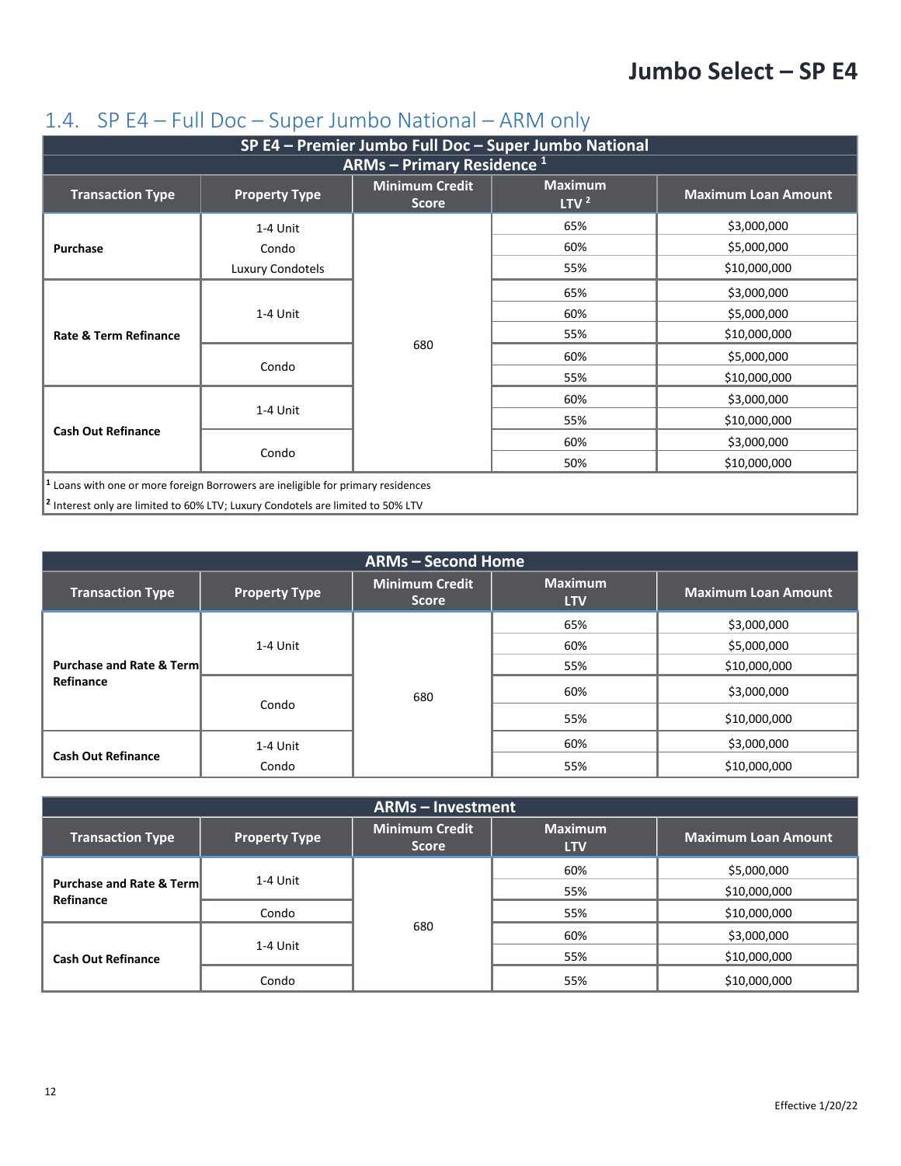#### <span id="page-11-0"></span>1.4. SP E4 – Full Doc – Super Jumbo National – ARM only

| SP E4 - Premier Jumbo Full Doc - Super Jumbo National                                       |                      |                                       |                                    |                            |
|---------------------------------------------------------------------------------------------|----------------------|---------------------------------------|------------------------------------|----------------------------|
|                                                                                             |                      | <b>ARMs - Primary Residence 1</b>     |                                    |                            |
| <b>Transaction Type</b>                                                                     | <b>Property Type</b> | <b>Minimum Credit</b><br><b>Score</b> | <b>Maximum</b><br>LTV <sup>2</sup> | <b>Maximum Loan Amount</b> |
|                                                                                             | 1-4 Unit             |                                       | 65%                                | \$3,000,000                |
| Purchase                                                                                    | Condo                |                                       | 60%                                | \$5,000,000                |
|                                                                                             | Luxury Condotels     |                                       | 55%                                | \$10,000,000               |
|                                                                                             | 1-4 Unit             |                                       | 65%                                | \$3,000,000                |
|                                                                                             |                      | 680                                   | 60%                                | \$5,000,000                |
| Rate & Term Refinance                                                                       |                      |                                       | 55%                                | \$10,000,000               |
|                                                                                             | Condo                |                                       | 60%                                | \$5,000,000                |
|                                                                                             |                      |                                       | 55%                                | \$10,000,000               |
|                                                                                             | 1-4 Unit             |                                       | 60%                                | \$3,000,000                |
|                                                                                             |                      |                                       | 55%                                | \$10,000,000               |
| <b>Cash Out Refinance</b>                                                                   |                      |                                       | 60%                                | \$3,000,000                |
|                                                                                             | Condo                |                                       | 50%                                | \$10,000,000               |
| <sup>1</sup> Loans with one or more foreign Borrowers are ineligible for primary residences |                      |                                       |                                    |                            |
| <sup>2</sup> Interest only are limited to 60% LTV; Luxury Condotels are limited to 50% LTV  |                      |                                       |                                    |                            |

| <b>ARMs - Second Home</b>           |                      |                                       |                              |                            |
|-------------------------------------|----------------------|---------------------------------------|------------------------------|----------------------------|
| <b>Transaction Type</b>             | <b>Property Type</b> | <b>Minimum Credit</b><br><b>Score</b> | <b>Maximum</b><br><b>LTV</b> | <b>Maximum Loan Amount</b> |
|                                     |                      |                                       | 65%                          | \$3,000,000                |
|                                     | 1-4 Unit             | 680                                   | 60%                          | \$5,000,000                |
| <b>Purchase and Rate &amp; Term</b> |                      |                                       | 55%                          | \$10,000,000               |
| Refinance                           | Condo                |                                       | 60%                          | \$3,000,000                |
|                                     |                      |                                       | 55%                          | \$10,000,000               |
| <b>Cash Out Refinance</b>           | 1-4 Unit             |                                       | 60%                          | \$3,000,000                |
|                                     | Condo                |                                       | 55%                          | \$10,000,000               |

| <b>ARMs - Investment</b>                         |                      |                                       |                              |                            |
|--------------------------------------------------|----------------------|---------------------------------------|------------------------------|----------------------------|
| <b>Transaction Type</b>                          | <b>Property Type</b> | <b>Minimum Credit</b><br><b>Score</b> | <b>Maximum</b><br><b>LTV</b> | <b>Maximum Loan Amount</b> |
| <b>Purchase and Rate &amp; Term</b><br>Refinance | 1-4 Unit             | 680                                   | 60%                          | \$5,000,000                |
|                                                  |                      |                                       | 55%                          | \$10,000,000               |
|                                                  | Condo                |                                       | 55%                          | \$10,000,000               |
| <b>Cash Out Refinance</b>                        | 1-4 Unit             |                                       | 60%                          | \$3,000,000                |
|                                                  |                      |                                       | 55%                          | \$10,000,000               |
|                                                  | Condo                |                                       | 55%                          | \$10,000,000               |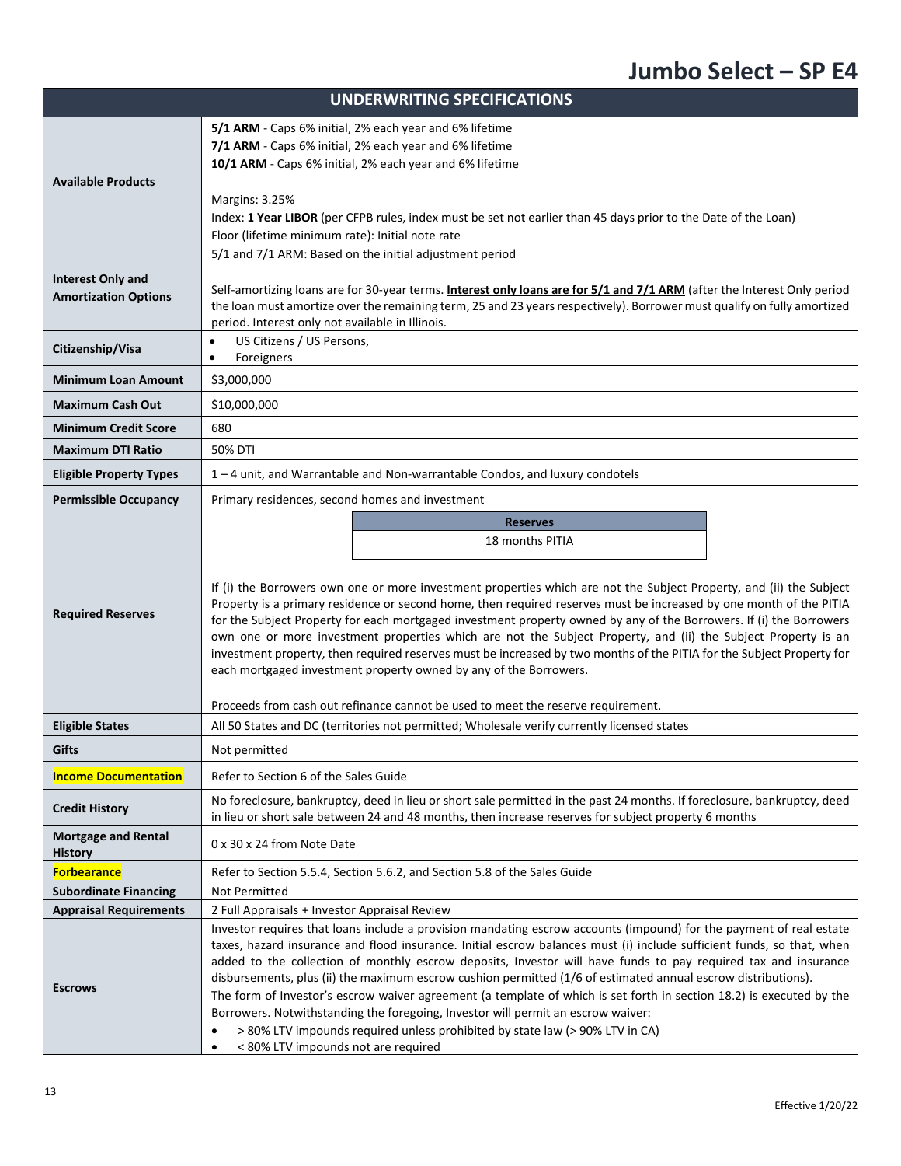|                                                         | <b>UNDERWRITING SPECIFICATIONS</b>                                                                                                                                                                                                                                                                                                                                                                                                                                                                                                                                                                                                                                                                                                                                                                                                                                               |  |  |  |
|---------------------------------------------------------|----------------------------------------------------------------------------------------------------------------------------------------------------------------------------------------------------------------------------------------------------------------------------------------------------------------------------------------------------------------------------------------------------------------------------------------------------------------------------------------------------------------------------------------------------------------------------------------------------------------------------------------------------------------------------------------------------------------------------------------------------------------------------------------------------------------------------------------------------------------------------------|--|--|--|
| <b>Available Products</b>                               | 5/1 ARM - Caps 6% initial, 2% each year and 6% lifetime<br>7/1 ARM - Caps 6% initial, 2% each year and 6% lifetime<br>10/1 ARM - Caps 6% initial, 2% each year and 6% lifetime<br><b>Margins: 3.25%</b><br>Index: 1 Year LIBOR (per CFPB rules, index must be set not earlier than 45 days prior to the Date of the Loan)<br>Floor (lifetime minimum rate): Initial note rate                                                                                                                                                                                                                                                                                                                                                                                                                                                                                                    |  |  |  |
| <b>Interest Only and</b><br><b>Amortization Options</b> | 5/1 and 7/1 ARM: Based on the initial adjustment period<br>Self-amortizing loans are for 30-year terms. Interest only loans are for 5/1 and 7/1 ARM (after the Interest Only period<br>the loan must amortize over the remaining term, 25 and 23 years respectively). Borrower must qualify on fully amortized<br>period. Interest only not available in Illinois.                                                                                                                                                                                                                                                                                                                                                                                                                                                                                                               |  |  |  |
| Citizenship/Visa                                        | US Citizens / US Persons,<br>$\bullet$<br>Foreigners<br>$\bullet$                                                                                                                                                                                                                                                                                                                                                                                                                                                                                                                                                                                                                                                                                                                                                                                                                |  |  |  |
| <b>Minimum Loan Amount</b>                              | \$3,000,000                                                                                                                                                                                                                                                                                                                                                                                                                                                                                                                                                                                                                                                                                                                                                                                                                                                                      |  |  |  |
| <b>Maximum Cash Out</b>                                 | \$10,000,000                                                                                                                                                                                                                                                                                                                                                                                                                                                                                                                                                                                                                                                                                                                                                                                                                                                                     |  |  |  |
| <b>Minimum Credit Score</b>                             | 680                                                                                                                                                                                                                                                                                                                                                                                                                                                                                                                                                                                                                                                                                                                                                                                                                                                                              |  |  |  |
| <b>Maximum DTI Ratio</b>                                | 50% DTI                                                                                                                                                                                                                                                                                                                                                                                                                                                                                                                                                                                                                                                                                                                                                                                                                                                                          |  |  |  |
| <b>Eligible Property Types</b>                          | 1-4 unit, and Warrantable and Non-warrantable Condos, and luxury condotels                                                                                                                                                                                                                                                                                                                                                                                                                                                                                                                                                                                                                                                                                                                                                                                                       |  |  |  |
| <b>Permissible Occupancy</b>                            | Primary residences, second homes and investment                                                                                                                                                                                                                                                                                                                                                                                                                                                                                                                                                                                                                                                                                                                                                                                                                                  |  |  |  |
| <b>Required Reserves</b>                                | <b>Reserves</b><br>18 months PITIA<br>If (i) the Borrowers own one or more investment properties which are not the Subject Property, and (ii) the Subject<br>Property is a primary residence or second home, then required reserves must be increased by one month of the PITIA<br>for the Subject Property for each mortgaged investment property owned by any of the Borrowers. If (i) the Borrowers<br>own one or more investment properties which are not the Subject Property, and (ii) the Subject Property is an<br>investment property, then required reserves must be increased by two months of the PITIA for the Subject Property for<br>each mortgaged investment property owned by any of the Borrowers.<br>Proceeds from cash out refinance cannot be used to meet the reserve requirement.                                                                        |  |  |  |
| <b>Eligible States</b>                                  | All 50 States and DC (territories not permitted; Wholesale verify currently licensed states                                                                                                                                                                                                                                                                                                                                                                                                                                                                                                                                                                                                                                                                                                                                                                                      |  |  |  |
| Gifts                                                   | Not permitted                                                                                                                                                                                                                                                                                                                                                                                                                                                                                                                                                                                                                                                                                                                                                                                                                                                                    |  |  |  |
| <b>Income Documentation</b>                             | Refer to Section 6 of the Sales Guide                                                                                                                                                                                                                                                                                                                                                                                                                                                                                                                                                                                                                                                                                                                                                                                                                                            |  |  |  |
| <b>Credit History</b>                                   | No foreclosure, bankruptcy, deed in lieu or short sale permitted in the past 24 months. If foreclosure, bankruptcy, deed<br>in lieu or short sale between 24 and 48 months, then increase reserves for subject property 6 months                                                                                                                                                                                                                                                                                                                                                                                                                                                                                                                                                                                                                                                 |  |  |  |
| <b>Mortgage and Rental</b><br><b>History</b>            | 0 x 30 x 24 from Note Date                                                                                                                                                                                                                                                                                                                                                                                                                                                                                                                                                                                                                                                                                                                                                                                                                                                       |  |  |  |
| <b>Forbearance</b>                                      | Refer to Section 5.5.4, Section 5.6.2, and Section 5.8 of the Sales Guide                                                                                                                                                                                                                                                                                                                                                                                                                                                                                                                                                                                                                                                                                                                                                                                                        |  |  |  |
| <b>Subordinate Financing</b>                            | Not Permitted                                                                                                                                                                                                                                                                                                                                                                                                                                                                                                                                                                                                                                                                                                                                                                                                                                                                    |  |  |  |
| <b>Appraisal Requirements</b><br><b>Escrows</b>         | 2 Full Appraisals + Investor Appraisal Review<br>Investor requires that loans include a provision mandating escrow accounts (impound) for the payment of real estate<br>taxes, hazard insurance and flood insurance. Initial escrow balances must (i) include sufficient funds, so that, when<br>added to the collection of monthly escrow deposits, Investor will have funds to pay required tax and insurance<br>disbursements, plus (ii) the maximum escrow cushion permitted (1/6 of estimated annual escrow distributions).<br>The form of Investor's escrow waiver agreement (a template of which is set forth in section 18.2) is executed by the<br>Borrowers. Notwithstanding the foregoing, Investor will permit an escrow waiver:<br>> 80% LTV impounds required unless prohibited by state law (> 90% LTV in CA)<br>< 80% LTV impounds not are required<br>$\bullet$ |  |  |  |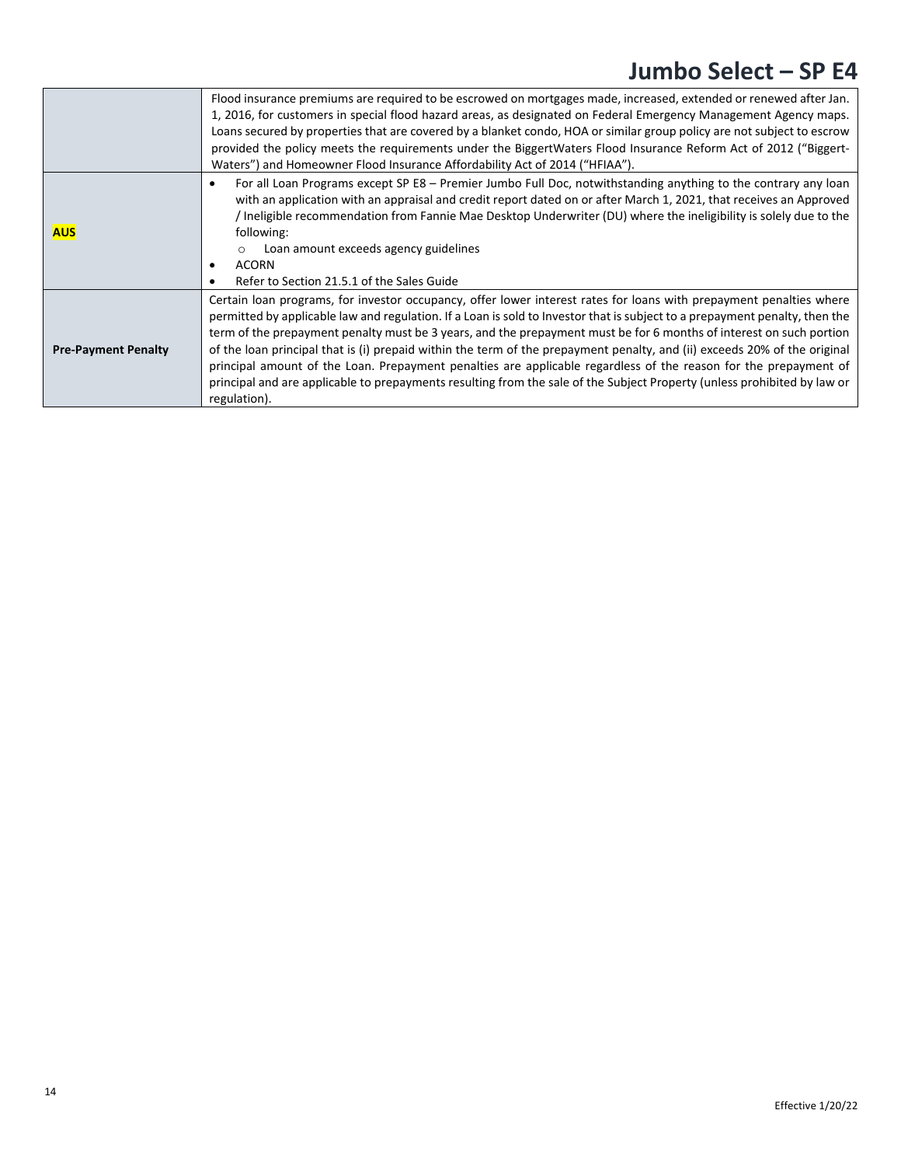|                            | Flood insurance premiums are required to be escrowed on mortgages made, increased, extended or renewed after Jan.<br>1, 2016, for customers in special flood hazard areas, as designated on Federal Emergency Management Agency maps.<br>Loans secured by properties that are covered by a blanket condo, HOA or similar group policy are not subject to escrow<br>provided the policy meets the requirements under the BiggertWaters Flood Insurance Reform Act of 2012 ("Biggert-<br>Waters") and Homeowner Flood Insurance Affordability Act of 2014 ("HFIAA").                                                                                                                                                                                                     |
|----------------------------|------------------------------------------------------------------------------------------------------------------------------------------------------------------------------------------------------------------------------------------------------------------------------------------------------------------------------------------------------------------------------------------------------------------------------------------------------------------------------------------------------------------------------------------------------------------------------------------------------------------------------------------------------------------------------------------------------------------------------------------------------------------------|
| <b>AUS</b>                 | For all Loan Programs except SP E8 - Premier Jumbo Full Doc, notwithstanding anything to the contrary any loan<br>٠<br>with an application with an appraisal and credit report dated on or after March 1, 2021, that receives an Approved<br>Ineligible recommendation from Fannie Mae Desktop Underwriter (DU) where the ineligibility is solely due to the<br>following:<br>Loan amount exceeds agency guidelines<br>$\circ$<br><b>ACORN</b><br>٠<br>Refer to Section 21.5.1 of the Sales Guide                                                                                                                                                                                                                                                                      |
| <b>Pre-Payment Penalty</b> | Certain loan programs, for investor occupancy, offer lower interest rates for loans with prepayment penalties where<br>permitted by applicable law and regulation. If a Loan is sold to Investor that is subject to a prepayment penalty, then the<br>term of the prepayment penalty must be 3 years, and the prepayment must be for 6 months of interest on such portion<br>of the loan principal that is (i) prepaid within the term of the prepayment penalty, and (ii) exceeds 20% of the original<br>principal amount of the Loan. Prepayment penalties are applicable regardless of the reason for the prepayment of<br>principal and are applicable to prepayments resulting from the sale of the Subject Property (unless prohibited by law or<br>regulation). |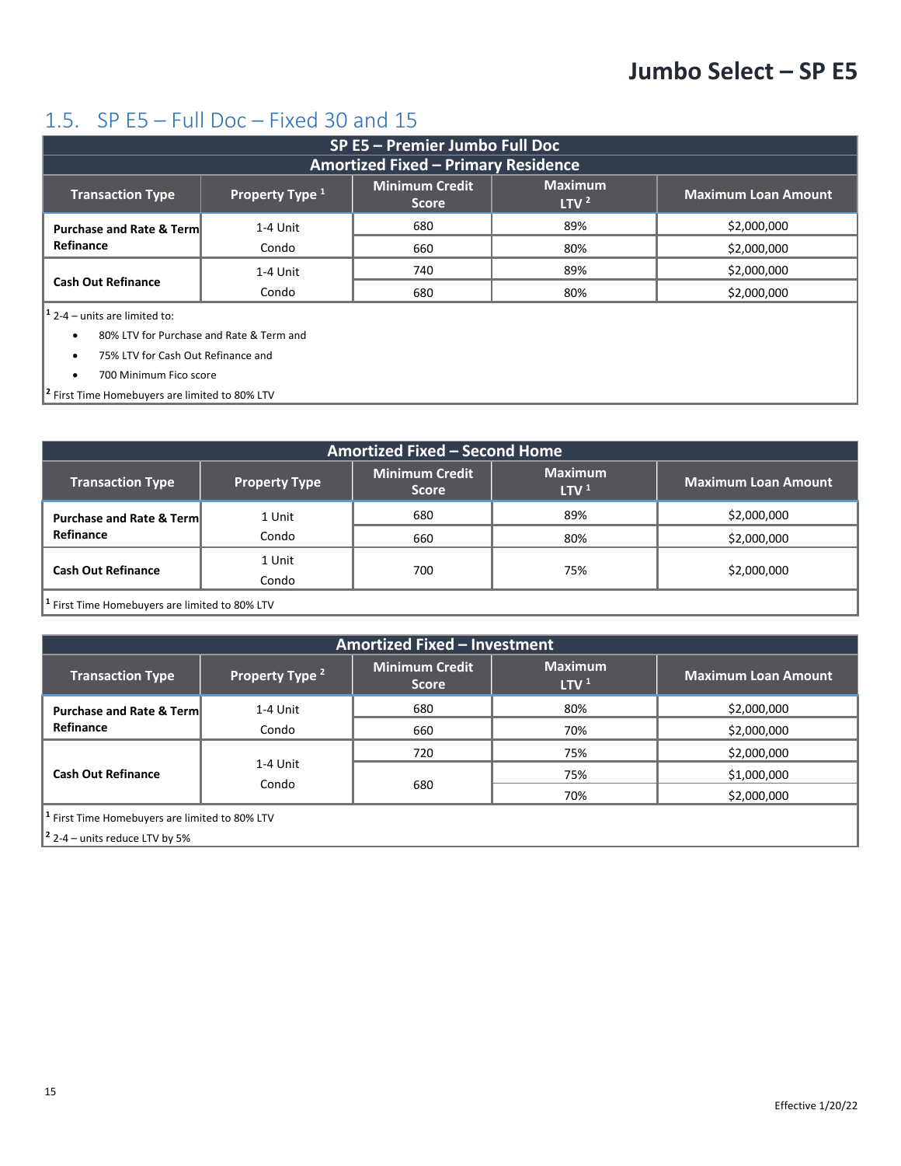## <span id="page-14-0"></span>1.5. SP E5 – Full Doc – Fixed 30 and 15

| <b>SP E5 - Premier Jumbo Full Doc</b>                                                                                                                   |          |                                            |     |             |  |  |
|---------------------------------------------------------------------------------------------------------------------------------------------------------|----------|--------------------------------------------|-----|-------------|--|--|
|                                                                                                                                                         |          | <b>Amortized Fixed - Primary Residence</b> |     |             |  |  |
| <b>Maximum</b><br><b>Minimum Credit</b><br>Property Type 1<br><b>Maximum Loan Amount</b><br><b>Transaction Type</b><br>LTV <sup>2</sup><br><b>Score</b> |          |                                            |     |             |  |  |
| <b>Purchase and Rate &amp; Term</b>                                                                                                                     | 1-4 Unit | 680                                        | 89% | \$2,000,000 |  |  |
| Refinance                                                                                                                                               | Condo    | 660                                        | 80% | \$2,000,000 |  |  |
|                                                                                                                                                         | 1-4 Unit | 740                                        | 89% | \$2,000,000 |  |  |
| <b>Cash Out Refinance</b>                                                                                                                               | Condo    | 680                                        | 80% | \$2,000,000 |  |  |
| $1$ 2-4 – units are limited to:                                                                                                                         |          |                                            |     |             |  |  |
| 80% LTV for Purchase and Rate & Term and<br>$\bullet$                                                                                                   |          |                                            |     |             |  |  |
| 75% LTV for Cash Out Refinance and                                                                                                                      |          |                                            |     |             |  |  |

• 700 Minimum Fico score

**<sup>2</sup>** First Time Homebuyers are limited to 80% LTV

| Amortized Fixed - Second Home                             |                      |                                       |                                    |                            |
|-----------------------------------------------------------|----------------------|---------------------------------------|------------------------------------|----------------------------|
| <b>Transaction Type</b>                                   | <b>Property Type</b> | <b>Minimum Credit</b><br><b>Score</b> | <b>Maximum</b><br>LTV <sup>1</sup> | <b>Maximum Loan Amount</b> |
| <b>Purchase and Rate &amp; Term</b>                       | 1 Unit               | 680                                   | 89%                                | \$2,000,000                |
| Refinance                                                 | Condo                | 660                                   | 80%                                | \$2,000,000                |
| <b>Cash Out Refinance</b>                                 | 1 Unit               |                                       |                                    |                            |
|                                                           | Condo                | 700                                   | 75%                                | \$2,000,000                |
| <sup>1</sup> First Time Homebuyers are limited to 80% LTV |                      |                                       |                                    |                            |

| Amortized Fixed - Investment                                                                                                                                                                                                                                                                                                                                                                                                             |                            |                                       |                                    |                            |
|------------------------------------------------------------------------------------------------------------------------------------------------------------------------------------------------------------------------------------------------------------------------------------------------------------------------------------------------------------------------------------------------------------------------------------------|----------------------------|---------------------------------------|------------------------------------|----------------------------|
| <b>Transaction Type</b>                                                                                                                                                                                                                                                                                                                                                                                                                  | Property Type <sup>2</sup> | <b>Minimum Credit</b><br><b>Score</b> | <b>Maximum</b><br>LTV <sup>1</sup> | <b>Maximum Loan Amount</b> |
| <b>Purchase and Rate &amp; Terml</b>                                                                                                                                                                                                                                                                                                                                                                                                     | 1-4 Unit                   | 680                                   | 80%                                | \$2,000,000                |
| Refinance                                                                                                                                                                                                                                                                                                                                                                                                                                | Condo                      | 660                                   | 70%                                | \$2,000,000                |
|                                                                                                                                                                                                                                                                                                                                                                                                                                          |                            | 720                                   | 75%                                | \$2,000,000                |
| <b>Cash Out Refinance</b>                                                                                                                                                                                                                                                                                                                                                                                                                | 1-4 Unit                   |                                       | 75%                                | \$1,000,000                |
|                                                                                                                                                                                                                                                                                                                                                                                                                                          | Condo                      | 680                                   | 70%                                | \$2,000,000                |
| $1$ First Time Homebuyers are limited to 80% LTV<br>$\overline{2}$ $\overline{2}$ $\overline{2}$ $\overline{2}$ $\overline{2}$ $\overline{2}$ $\overline{2}$ $\overline{2}$ $\overline{2}$ $\overline{2}$ $\overline{2}$ $\overline{2}$ $\overline{2}$ $\overline{2}$ $\overline{2}$ $\overline{2}$ $\overline{2}$ $\overline{2}$ $\overline{2}$ $\overline{2}$ $\overline{2}$ $\overline{2}$ $\overline{2}$ $\overline{2}$ $\overline{$ |                            |                                       |                                    |                            |

**<sup>2</sup>** 2-4 – units reduce LTV by 5%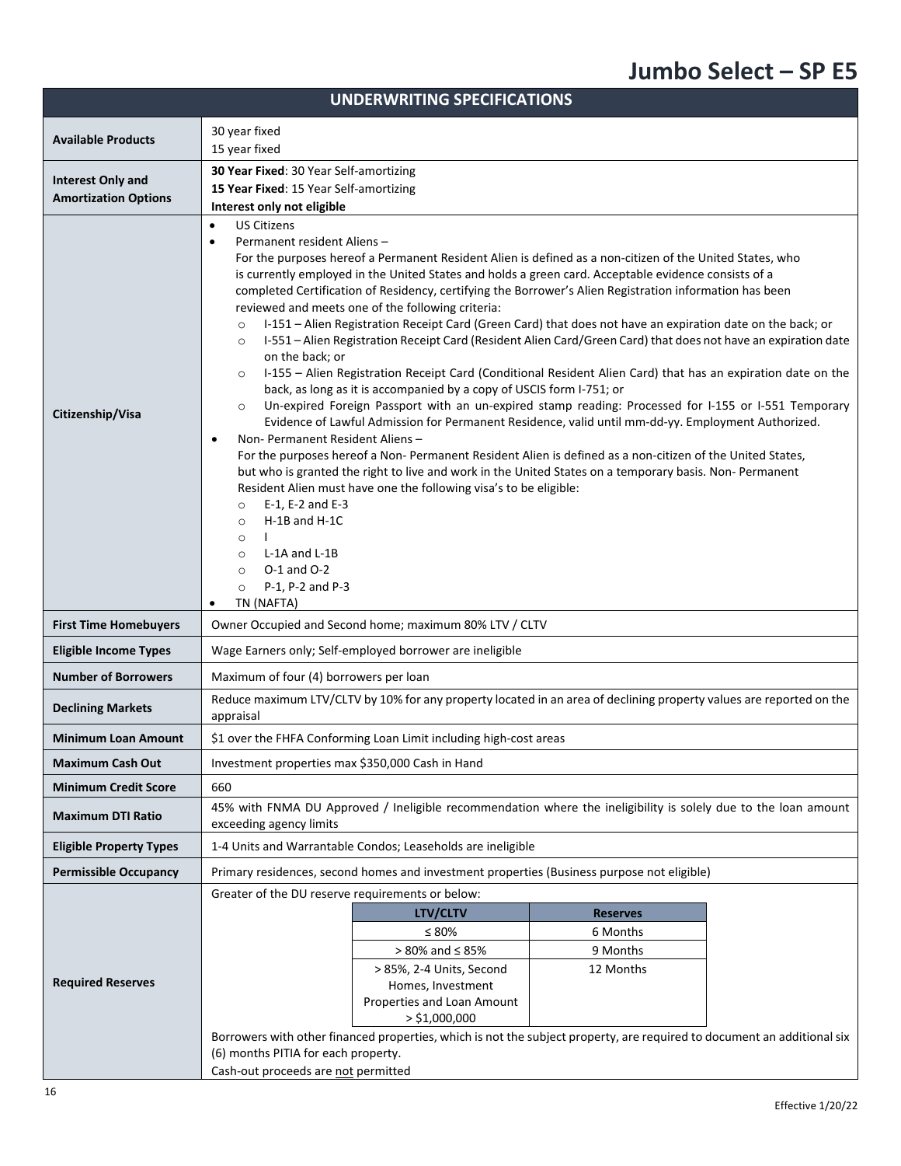| <b>UNDERWRITING SPECIFICATIONS</b> |                                                                                                                                                                                                                                                                                                                                                                                                                                                                                                                                                                                                                                                                                                                                                                                                                                                                                                                                                                                                                                                                                                                                                                                                                                                                                                                                                                                                                                                                                                                                                                                                                                                                                                             |  |  |  |
|------------------------------------|-------------------------------------------------------------------------------------------------------------------------------------------------------------------------------------------------------------------------------------------------------------------------------------------------------------------------------------------------------------------------------------------------------------------------------------------------------------------------------------------------------------------------------------------------------------------------------------------------------------------------------------------------------------------------------------------------------------------------------------------------------------------------------------------------------------------------------------------------------------------------------------------------------------------------------------------------------------------------------------------------------------------------------------------------------------------------------------------------------------------------------------------------------------------------------------------------------------------------------------------------------------------------------------------------------------------------------------------------------------------------------------------------------------------------------------------------------------------------------------------------------------------------------------------------------------------------------------------------------------------------------------------------------------------------------------------------------------|--|--|--|
| <b>Available Products</b>          | 30 year fixed                                                                                                                                                                                                                                                                                                                                                                                                                                                                                                                                                                                                                                                                                                                                                                                                                                                                                                                                                                                                                                                                                                                                                                                                                                                                                                                                                                                                                                                                                                                                                                                                                                                                                               |  |  |  |
|                                    | 15 year fixed                                                                                                                                                                                                                                                                                                                                                                                                                                                                                                                                                                                                                                                                                                                                                                                                                                                                                                                                                                                                                                                                                                                                                                                                                                                                                                                                                                                                                                                                                                                                                                                                                                                                                               |  |  |  |
| <b>Interest Only and</b>           | 30 Year Fixed: 30 Year Self-amortizing                                                                                                                                                                                                                                                                                                                                                                                                                                                                                                                                                                                                                                                                                                                                                                                                                                                                                                                                                                                                                                                                                                                                                                                                                                                                                                                                                                                                                                                                                                                                                                                                                                                                      |  |  |  |
| <b>Amortization Options</b>        | 15 Year Fixed: 15 Year Self-amortizing                                                                                                                                                                                                                                                                                                                                                                                                                                                                                                                                                                                                                                                                                                                                                                                                                                                                                                                                                                                                                                                                                                                                                                                                                                                                                                                                                                                                                                                                                                                                                                                                                                                                      |  |  |  |
|                                    | Interest only not eligible                                                                                                                                                                                                                                                                                                                                                                                                                                                                                                                                                                                                                                                                                                                                                                                                                                                                                                                                                                                                                                                                                                                                                                                                                                                                                                                                                                                                                                                                                                                                                                                                                                                                                  |  |  |  |
| Citizenship/Visa                   | <b>US Citizens</b><br>$\bullet$<br>Permanent resident Aliens-<br>$\bullet$<br>For the purposes hereof a Permanent Resident Alien is defined as a non-citizen of the United States, who<br>is currently employed in the United States and holds a green card. Acceptable evidence consists of a<br>completed Certification of Residency, certifying the Borrower's Alien Registration information has been<br>reviewed and meets one of the following criteria:<br>I-151 - Alien Registration Receipt Card (Green Card) that does not have an expiration date on the back; or<br>$\circ$<br>I-551 - Alien Registration Receipt Card (Resident Alien Card/Green Card) that does not have an expiration date<br>$\circ$<br>on the back; or<br>I-155 - Alien Registration Receipt Card (Conditional Resident Alien Card) that has an expiration date on the<br>$\circ$<br>back, as long as it is accompanied by a copy of USCIS form I-751; or<br>Un-expired Foreign Passport with an un-expired stamp reading: Processed for I-155 or I-551 Temporary<br>$\circ$<br>Evidence of Lawful Admission for Permanent Residence, valid until mm-dd-yy. Employment Authorized.<br>Non- Permanent Resident Aliens -<br>$\bullet$<br>For the purposes hereof a Non- Permanent Resident Alien is defined as a non-citizen of the United States,<br>but who is granted the right to live and work in the United States on a temporary basis. Non- Permanent<br>Resident Alien must have one the following visa's to be eligible:<br>E-1, E-2 and E-3<br>$\circ$<br>H-1B and H-1C<br>$\circ$<br>$\circ$<br>L-1A and L-1B<br>$\circ$<br>$O-1$ and $O-2$<br>$\circ$<br>P-1, P-2 and P-3<br>$\circ$<br>TN (NAFTA)<br>$\bullet$ |  |  |  |
| <b>First Time Homebuyers</b>       | Owner Occupied and Second home; maximum 80% LTV / CLTV                                                                                                                                                                                                                                                                                                                                                                                                                                                                                                                                                                                                                                                                                                                                                                                                                                                                                                                                                                                                                                                                                                                                                                                                                                                                                                                                                                                                                                                                                                                                                                                                                                                      |  |  |  |
| <b>Eligible Income Types</b>       | Wage Earners only; Self-employed borrower are ineligible                                                                                                                                                                                                                                                                                                                                                                                                                                                                                                                                                                                                                                                                                                                                                                                                                                                                                                                                                                                                                                                                                                                                                                                                                                                                                                                                                                                                                                                                                                                                                                                                                                                    |  |  |  |
| <b>Number of Borrowers</b>         | Maximum of four (4) borrowers per loan                                                                                                                                                                                                                                                                                                                                                                                                                                                                                                                                                                                                                                                                                                                                                                                                                                                                                                                                                                                                                                                                                                                                                                                                                                                                                                                                                                                                                                                                                                                                                                                                                                                                      |  |  |  |
| <b>Declining Markets</b>           | Reduce maximum LTV/CLTV by 10% for any property located in an area of declining property values are reported on the<br>appraisal                                                                                                                                                                                                                                                                                                                                                                                                                                                                                                                                                                                                                                                                                                                                                                                                                                                                                                                                                                                                                                                                                                                                                                                                                                                                                                                                                                                                                                                                                                                                                                            |  |  |  |
| <b>Minimum Loan Amount</b>         | \$1 over the FHFA Conforming Loan Limit including high-cost areas                                                                                                                                                                                                                                                                                                                                                                                                                                                                                                                                                                                                                                                                                                                                                                                                                                                                                                                                                                                                                                                                                                                                                                                                                                                                                                                                                                                                                                                                                                                                                                                                                                           |  |  |  |
| <b>Maximum Cash Out</b>            | Investment properties max \$350,000 Cash in Hand                                                                                                                                                                                                                                                                                                                                                                                                                                                                                                                                                                                                                                                                                                                                                                                                                                                                                                                                                                                                                                                                                                                                                                                                                                                                                                                                                                                                                                                                                                                                                                                                                                                            |  |  |  |
| <b>Minimum Credit Score</b>        | 660                                                                                                                                                                                                                                                                                                                                                                                                                                                                                                                                                                                                                                                                                                                                                                                                                                                                                                                                                                                                                                                                                                                                                                                                                                                                                                                                                                                                                                                                                                                                                                                                                                                                                                         |  |  |  |
| <b>Maximum DTI Ratio</b>           | 45% with FNMA DU Approved / Ineligible recommendation where the ineligibility is solely due to the loan amount<br>exceeding agency limits                                                                                                                                                                                                                                                                                                                                                                                                                                                                                                                                                                                                                                                                                                                                                                                                                                                                                                                                                                                                                                                                                                                                                                                                                                                                                                                                                                                                                                                                                                                                                                   |  |  |  |
| <b>Eligible Property Types</b>     | 1-4 Units and Warrantable Condos; Leaseholds are ineligible                                                                                                                                                                                                                                                                                                                                                                                                                                                                                                                                                                                                                                                                                                                                                                                                                                                                                                                                                                                                                                                                                                                                                                                                                                                                                                                                                                                                                                                                                                                                                                                                                                                 |  |  |  |
| <b>Permissible Occupancy</b>       | Primary residences, second homes and investment properties (Business purpose not eligible)                                                                                                                                                                                                                                                                                                                                                                                                                                                                                                                                                                                                                                                                                                                                                                                                                                                                                                                                                                                                                                                                                                                                                                                                                                                                                                                                                                                                                                                                                                                                                                                                                  |  |  |  |
|                                    | Greater of the DU reserve requirements or below:                                                                                                                                                                                                                                                                                                                                                                                                                                                                                                                                                                                                                                                                                                                                                                                                                                                                                                                                                                                                                                                                                                                                                                                                                                                                                                                                                                                                                                                                                                                                                                                                                                                            |  |  |  |
|                                    | <b>LTV/CLTV</b><br><b>Reserves</b>                                                                                                                                                                                                                                                                                                                                                                                                                                                                                                                                                                                                                                                                                                                                                                                                                                                                                                                                                                                                                                                                                                                                                                                                                                                                                                                                                                                                                                                                                                                                                                                                                                                                          |  |  |  |
|                                    | $\leq 80\%$<br>6 Months                                                                                                                                                                                                                                                                                                                                                                                                                                                                                                                                                                                                                                                                                                                                                                                                                                                                                                                                                                                                                                                                                                                                                                                                                                                                                                                                                                                                                                                                                                                                                                                                                                                                                     |  |  |  |
|                                    | $> 80\%$ and $\leq 85\%$<br>9 Months                                                                                                                                                                                                                                                                                                                                                                                                                                                                                                                                                                                                                                                                                                                                                                                                                                                                                                                                                                                                                                                                                                                                                                                                                                                                                                                                                                                                                                                                                                                                                                                                                                                                        |  |  |  |
| <b>Required Reserves</b>           | > 85%, 2-4 Units, Second<br>12 Months<br>Homes, Investment                                                                                                                                                                                                                                                                                                                                                                                                                                                                                                                                                                                                                                                                                                                                                                                                                                                                                                                                                                                                                                                                                                                                                                                                                                                                                                                                                                                                                                                                                                                                                                                                                                                  |  |  |  |
|                                    | Properties and Loan Amount                                                                                                                                                                                                                                                                                                                                                                                                                                                                                                                                                                                                                                                                                                                                                                                                                                                                                                                                                                                                                                                                                                                                                                                                                                                                                                                                                                                                                                                                                                                                                                                                                                                                                  |  |  |  |
|                                    | $>$ \$1,000,000                                                                                                                                                                                                                                                                                                                                                                                                                                                                                                                                                                                                                                                                                                                                                                                                                                                                                                                                                                                                                                                                                                                                                                                                                                                                                                                                                                                                                                                                                                                                                                                                                                                                                             |  |  |  |
|                                    | Borrowers with other financed properties, which is not the subject property, are required to document an additional six                                                                                                                                                                                                                                                                                                                                                                                                                                                                                                                                                                                                                                                                                                                                                                                                                                                                                                                                                                                                                                                                                                                                                                                                                                                                                                                                                                                                                                                                                                                                                                                     |  |  |  |
|                                    | (6) months PITIA for each property.                                                                                                                                                                                                                                                                                                                                                                                                                                                                                                                                                                                                                                                                                                                                                                                                                                                                                                                                                                                                                                                                                                                                                                                                                                                                                                                                                                                                                                                                                                                                                                                                                                                                         |  |  |  |
|                                    | Cash-out proceeds are not permitted                                                                                                                                                                                                                                                                                                                                                                                                                                                                                                                                                                                                                                                                                                                                                                                                                                                                                                                                                                                                                                                                                                                                                                                                                                                                                                                                                                                                                                                                                                                                                                                                                                                                         |  |  |  |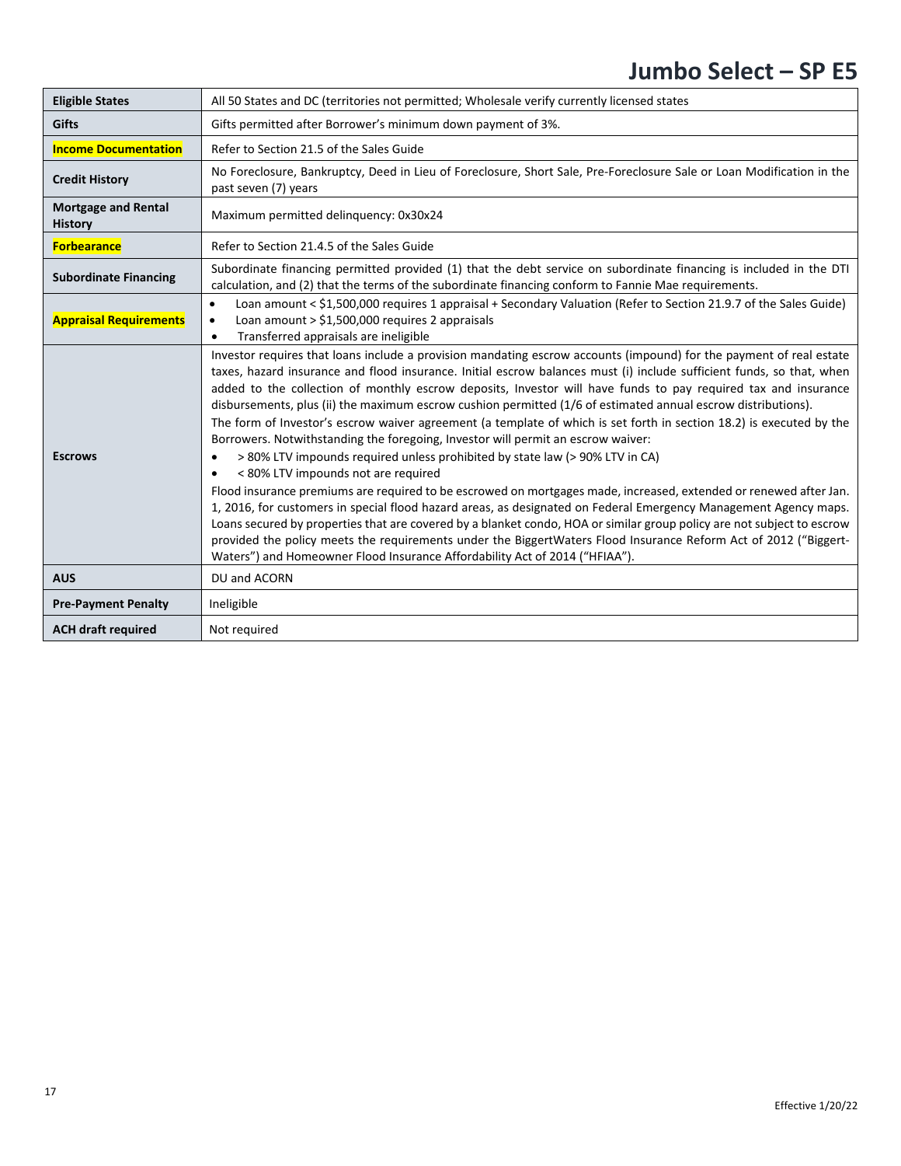| <b>Eligible States</b>                       | All 50 States and DC (territories not permitted; Wholesale verify currently licensed states                                                                                                                                                                                                                                                                                                                                                                                                                                                                                                                                                                                                                                                                                                                                                                                                                                                                                                                                                                                                                                                                                                                                                                                                                                                                                              |
|----------------------------------------------|------------------------------------------------------------------------------------------------------------------------------------------------------------------------------------------------------------------------------------------------------------------------------------------------------------------------------------------------------------------------------------------------------------------------------------------------------------------------------------------------------------------------------------------------------------------------------------------------------------------------------------------------------------------------------------------------------------------------------------------------------------------------------------------------------------------------------------------------------------------------------------------------------------------------------------------------------------------------------------------------------------------------------------------------------------------------------------------------------------------------------------------------------------------------------------------------------------------------------------------------------------------------------------------------------------------------------------------------------------------------------------------|
| <b>Gifts</b>                                 | Gifts permitted after Borrower's minimum down payment of 3%.                                                                                                                                                                                                                                                                                                                                                                                                                                                                                                                                                                                                                                                                                                                                                                                                                                                                                                                                                                                                                                                                                                                                                                                                                                                                                                                             |
| <b>Income Documentation</b>                  | Refer to Section 21.5 of the Sales Guide                                                                                                                                                                                                                                                                                                                                                                                                                                                                                                                                                                                                                                                                                                                                                                                                                                                                                                                                                                                                                                                                                                                                                                                                                                                                                                                                                 |
| <b>Credit History</b>                        | No Foreclosure, Bankruptcy, Deed in Lieu of Foreclosure, Short Sale, Pre-Foreclosure Sale or Loan Modification in the<br>past seven (7) years                                                                                                                                                                                                                                                                                                                                                                                                                                                                                                                                                                                                                                                                                                                                                                                                                                                                                                                                                                                                                                                                                                                                                                                                                                            |
| <b>Mortgage and Rental</b><br><b>History</b> | Maximum permitted delinquency: 0x30x24                                                                                                                                                                                                                                                                                                                                                                                                                                                                                                                                                                                                                                                                                                                                                                                                                                                                                                                                                                                                                                                                                                                                                                                                                                                                                                                                                   |
| <b>Forbearance</b>                           | Refer to Section 21.4.5 of the Sales Guide                                                                                                                                                                                                                                                                                                                                                                                                                                                                                                                                                                                                                                                                                                                                                                                                                                                                                                                                                                                                                                                                                                                                                                                                                                                                                                                                               |
| <b>Subordinate Financing</b>                 | Subordinate financing permitted provided (1) that the debt service on subordinate financing is included in the DTI<br>calculation, and (2) that the terms of the subordinate financing conform to Fannie Mae requirements.                                                                                                                                                                                                                                                                                                                                                                                                                                                                                                                                                                                                                                                                                                                                                                                                                                                                                                                                                                                                                                                                                                                                                               |
| <b>Appraisal Requirements</b>                | Loan amount < \$1,500,000 requires 1 appraisal + Secondary Valuation (Refer to Section 21.9.7 of the Sales Guide)<br>$\bullet$<br>Loan amount > \$1,500,000 requires 2 appraisals<br>$\bullet$<br>Transferred appraisals are ineligible                                                                                                                                                                                                                                                                                                                                                                                                                                                                                                                                                                                                                                                                                                                                                                                                                                                                                                                                                                                                                                                                                                                                                  |
| <b>Escrows</b>                               | Investor requires that loans include a provision mandating escrow accounts (impound) for the payment of real estate<br>taxes, hazard insurance and flood insurance. Initial escrow balances must (i) include sufficient funds, so that, when<br>added to the collection of monthly escrow deposits, Investor will have funds to pay required tax and insurance<br>disbursements, plus (ii) the maximum escrow cushion permitted (1/6 of estimated annual escrow distributions).<br>The form of Investor's escrow waiver agreement (a template of which is set forth in section 18.2) is executed by the<br>Borrowers. Notwithstanding the foregoing, Investor will permit an escrow waiver:<br>> 80% LTV impounds required unless prohibited by state law (> 90% LTV in CA)<br>< 80% LTV impounds not are required<br>Flood insurance premiums are required to be escrowed on mortgages made, increased, extended or renewed after Jan.<br>1, 2016, for customers in special flood hazard areas, as designated on Federal Emergency Management Agency maps.<br>Loans secured by properties that are covered by a blanket condo, HOA or similar group policy are not subject to escrow<br>provided the policy meets the requirements under the BiggertWaters Flood Insurance Reform Act of 2012 ("Biggert-<br>Waters") and Homeowner Flood Insurance Affordability Act of 2014 ("HFIAA"). |
| <b>AUS</b>                                   | DU and ACORN                                                                                                                                                                                                                                                                                                                                                                                                                                                                                                                                                                                                                                                                                                                                                                                                                                                                                                                                                                                                                                                                                                                                                                                                                                                                                                                                                                             |
| <b>Pre-Payment Penalty</b>                   | Ineligible                                                                                                                                                                                                                                                                                                                                                                                                                                                                                                                                                                                                                                                                                                                                                                                                                                                                                                                                                                                                                                                                                                                                                                                                                                                                                                                                                                               |
| <b>ACH draft required</b>                    | Not required                                                                                                                                                                                                                                                                                                                                                                                                                                                                                                                                                                                                                                                                                                                                                                                                                                                                                                                                                                                                                                                                                                                                                                                                                                                                                                                                                                             |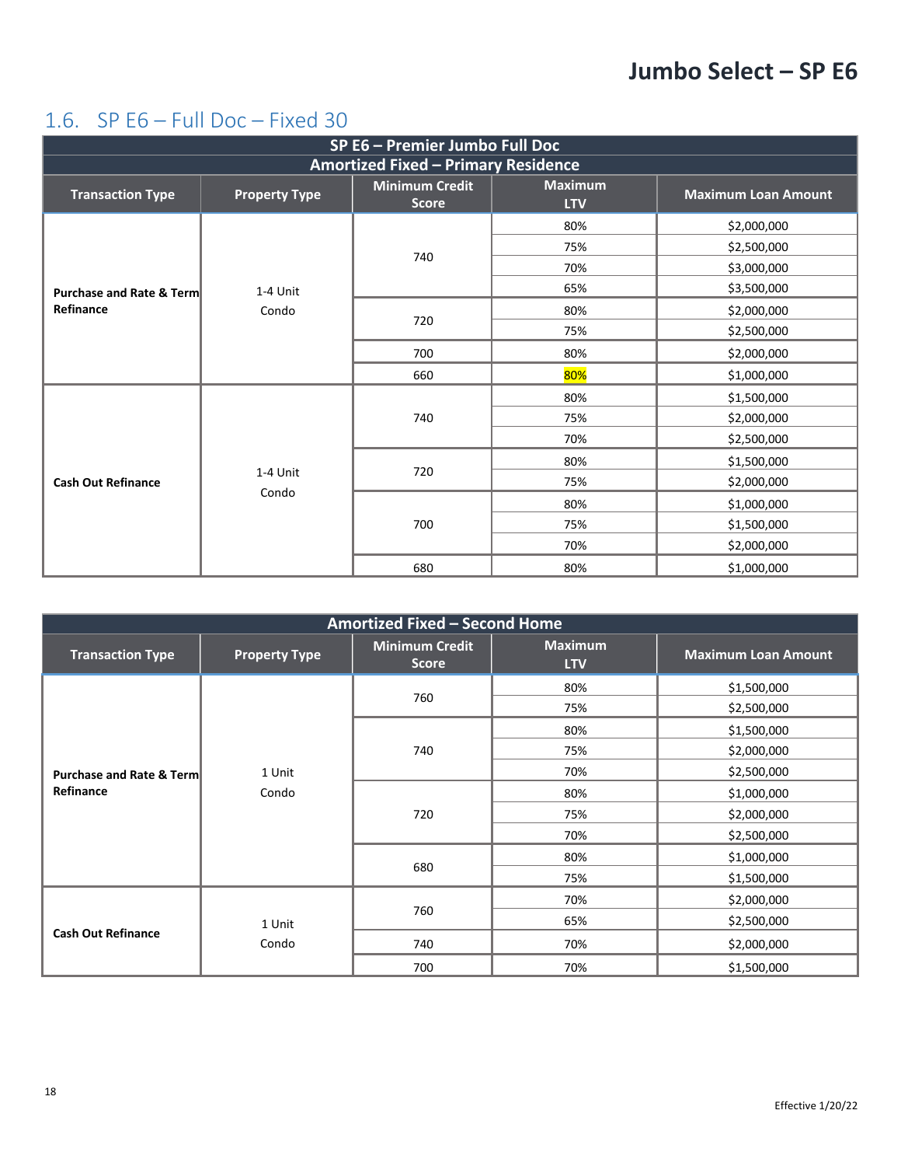#### <span id="page-17-0"></span>1.6. SP E6 – Full Doc – Fixed 30

| SP E6 - Premier Jumbo Full Doc             |                      |                                       |                              |                            |  |
|--------------------------------------------|----------------------|---------------------------------------|------------------------------|----------------------------|--|
| <b>Amortized Fixed - Primary Residence</b> |                      |                                       |                              |                            |  |
| <b>Transaction Type</b>                    | <b>Property Type</b> | <b>Minimum Credit</b><br><b>Score</b> | <b>Maximum</b><br><b>LTV</b> | <b>Maximum Loan Amount</b> |  |
|                                            |                      |                                       | 80%                          | \$2,000,000                |  |
|                                            |                      | 740                                   | 75%                          | \$2,500,000                |  |
|                                            |                      |                                       | 70%                          | \$3,000,000                |  |
| <b>Purchase and Rate &amp; Term</b>        | 1-4 Unit             |                                       | 65%                          | \$3,500,000                |  |
| Refinance                                  | Condo                |                                       | 80%                          | \$2,000,000                |  |
|                                            |                      | 720                                   | 75%                          | \$2,500,000                |  |
|                                            |                      | 700                                   | 80%                          | \$2,000,000                |  |
|                                            |                      | 660                                   | 80%                          | \$1,000,000                |  |
|                                            |                      | 740                                   | 80%                          | \$1,500,000                |  |
|                                            |                      |                                       | 75%                          | \$2,000,000                |  |
|                                            |                      |                                       | 70%                          | \$2,500,000                |  |
|                                            |                      |                                       | 80%                          | \$1,500,000                |  |
| <b>Cash Out Refinance</b>                  | 1-4 Unit             | 720                                   | 75%                          | \$2,000,000                |  |
|                                            | Condo                |                                       | 80%                          | \$1,000,000                |  |
|                                            |                      | 700<br>680                            | 75%                          | \$1,500,000                |  |
|                                            |                      |                                       | 70%                          | \$2,000,000                |  |
|                                            |                      |                                       | 80%                          | \$1,000,000                |  |

| Amortized Fixed - Second Home |                      |                                       |                              |                            |  |
|-------------------------------|----------------------|---------------------------------------|------------------------------|----------------------------|--|
| <b>Transaction Type</b>       | <b>Property Type</b> | <b>Minimum Credit</b><br><b>Score</b> | <b>Maximum</b><br><b>LTV</b> | <b>Maximum Loan Amount</b> |  |
|                               |                      |                                       | 80%                          | \$1,500,000                |  |
|                               |                      | 760                                   | 75%                          | \$2,500,000                |  |
|                               |                      |                                       | 80%                          | \$1,500,000                |  |
|                               |                      | 740                                   | 75%                          | \$2,000,000                |  |
| Purchase and Rate & Term      | 1 Unit               |                                       | 70%                          | \$2,500,000                |  |
| Refinance                     | Condo                | 720<br>680                            | 80%                          | \$1,000,000                |  |
|                               |                      |                                       | 75%                          | \$2,000,000                |  |
|                               |                      |                                       | 70%                          | \$2,500,000                |  |
|                               |                      |                                       | 80%                          | \$1,000,000                |  |
|                               |                      |                                       | 75%                          | \$1,500,000                |  |
|                               |                      |                                       | 70%                          | \$2,000,000                |  |
|                               | 1 Unit               | 760                                   | 65%                          | \$2,500,000                |  |
| <b>Cash Out Refinance</b>     | Condo                | 740                                   | 70%                          | \$2,000,000                |  |
|                               |                      | 700                                   | 70%                          | \$1,500,000                |  |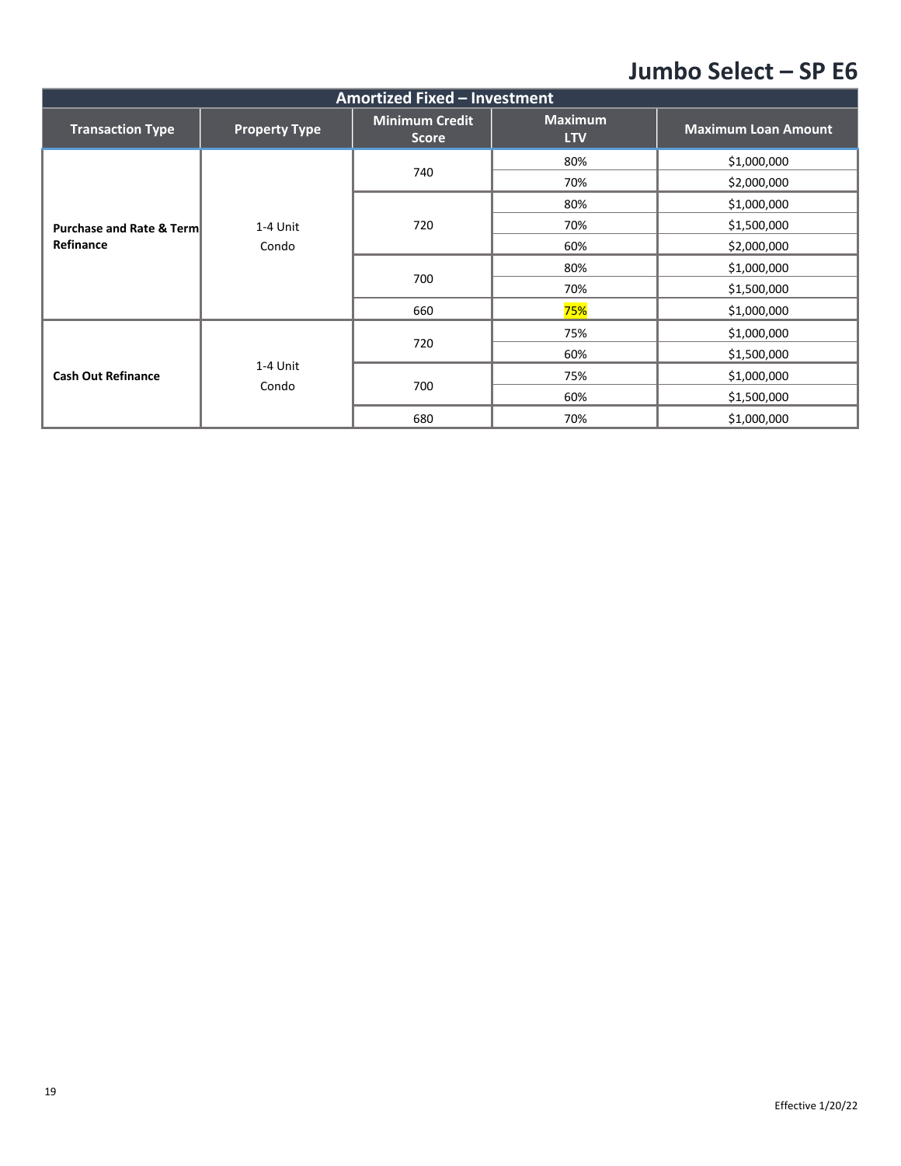| Amortized Fixed - Investment        |                      |                                       |                              |                            |  |
|-------------------------------------|----------------------|---------------------------------------|------------------------------|----------------------------|--|
| <b>Transaction Type</b>             | <b>Property Type</b> | <b>Minimum Credit</b><br><b>Score</b> | <b>Maximum</b><br><b>LTV</b> | <b>Maximum Loan Amount</b> |  |
|                                     |                      |                                       | 80%                          | \$1,000,000                |  |
|                                     |                      | 740                                   | 70%                          | \$2,000,000                |  |
|                                     |                      |                                       | 80%                          | \$1,000,000                |  |
| <b>Purchase and Rate &amp; Term</b> | 1-4 Unit             | 720                                   | 70%                          | \$1,500,000                |  |
| Refinance                           | Condo                | 700                                   | 60%                          | \$2,000,000                |  |
|                                     |                      |                                       | 80%                          | \$1,000,000                |  |
|                                     |                      |                                       | 70%                          | \$1,500,000                |  |
|                                     |                      | 660                                   | 75%                          | \$1,000,000                |  |
|                                     |                      | 720                                   | 75%                          | \$1,000,000                |  |
| <b>Cash Out Refinance</b>           |                      |                                       | 60%                          | \$1,500,000                |  |
|                                     | 1-4 Unit             |                                       | 75%                          | \$1,000,000                |  |
|                                     | Condo                | 700                                   | 60%                          | \$1,500,000                |  |
|                                     |                      | 680                                   | 70%                          | \$1,000,000                |  |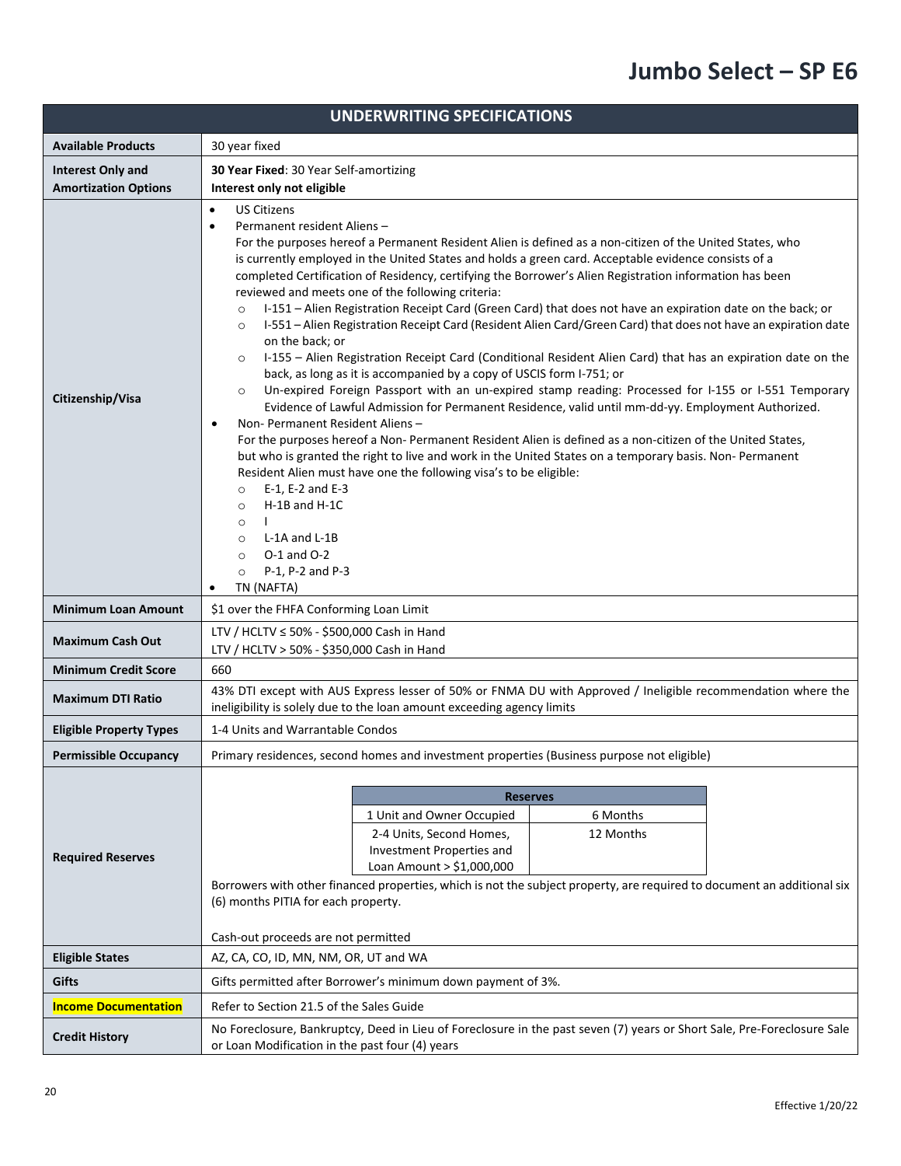| <b>UNDERWRITING SPECIFICATIONS</b> |                                                                                                                                                                                                                                                                                                                                                                                                                                                                                                                                                                                                                                                                                                                                                                                                                                                                                                                                                                                                                                                                                                                                                                                                                                                                                                                                                                                                                                                                                                                                                                                                                                                                                                  |  |  |  |
|------------------------------------|--------------------------------------------------------------------------------------------------------------------------------------------------------------------------------------------------------------------------------------------------------------------------------------------------------------------------------------------------------------------------------------------------------------------------------------------------------------------------------------------------------------------------------------------------------------------------------------------------------------------------------------------------------------------------------------------------------------------------------------------------------------------------------------------------------------------------------------------------------------------------------------------------------------------------------------------------------------------------------------------------------------------------------------------------------------------------------------------------------------------------------------------------------------------------------------------------------------------------------------------------------------------------------------------------------------------------------------------------------------------------------------------------------------------------------------------------------------------------------------------------------------------------------------------------------------------------------------------------------------------------------------------------------------------------------------------------|--|--|--|
| <b>Available Products</b>          | 30 year fixed                                                                                                                                                                                                                                                                                                                                                                                                                                                                                                                                                                                                                                                                                                                                                                                                                                                                                                                                                                                                                                                                                                                                                                                                                                                                                                                                                                                                                                                                                                                                                                                                                                                                                    |  |  |  |
| <b>Interest Only and</b>           | 30 Year Fixed: 30 Year Self-amortizing                                                                                                                                                                                                                                                                                                                                                                                                                                                                                                                                                                                                                                                                                                                                                                                                                                                                                                                                                                                                                                                                                                                                                                                                                                                                                                                                                                                                                                                                                                                                                                                                                                                           |  |  |  |
| <b>Amortization Options</b>        | Interest only not eligible                                                                                                                                                                                                                                                                                                                                                                                                                                                                                                                                                                                                                                                                                                                                                                                                                                                                                                                                                                                                                                                                                                                                                                                                                                                                                                                                                                                                                                                                                                                                                                                                                                                                       |  |  |  |
| Citizenship/Visa                   | <b>US Citizens</b><br>$\bullet$<br>Permanent resident Aliens-<br>$\bullet$<br>For the purposes hereof a Permanent Resident Alien is defined as a non-citizen of the United States, who<br>is currently employed in the United States and holds a green card. Acceptable evidence consists of a<br>completed Certification of Residency, certifying the Borrower's Alien Registration information has been<br>reviewed and meets one of the following criteria:<br>I-151 - Alien Registration Receipt Card (Green Card) that does not have an expiration date on the back; or<br>$\circ$<br>I-551 - Alien Registration Receipt Card (Resident Alien Card/Green Card) that does not have an expiration date<br>$\circ$<br>on the back; or<br>I-155 - Alien Registration Receipt Card (Conditional Resident Alien Card) that has an expiration date on the<br>$\circ$<br>back, as long as it is accompanied by a copy of USCIS form I-751; or<br>Un-expired Foreign Passport with an un-expired stamp reading: Processed for I-155 or I-551 Temporary<br>$\circ$<br>Evidence of Lawful Admission for Permanent Residence, valid until mm-dd-yy. Employment Authorized.<br>Non-Permanent Resident Aliens-<br>$\bullet$<br>For the purposes hereof a Non- Permanent Resident Alien is defined as a non-citizen of the United States,<br>but who is granted the right to live and work in the United States on a temporary basis. Non-Permanent<br>Resident Alien must have one the following visa's to be eligible:<br>E-1, E-2 and E-3<br>$\circ$<br>H-1B and H-1C<br>$\circ$<br>$\circ$<br>L-1A and L-1B<br>$\circ$<br>$O-1$ and $O-2$<br>$\circ$<br>P-1, P-2 and P-3<br>$\circ$<br>TN (NAFTA)<br>٠ |  |  |  |
| <b>Minimum Loan Amount</b>         | \$1 over the FHFA Conforming Loan Limit                                                                                                                                                                                                                                                                                                                                                                                                                                                                                                                                                                                                                                                                                                                                                                                                                                                                                                                                                                                                                                                                                                                                                                                                                                                                                                                                                                                                                                                                                                                                                                                                                                                          |  |  |  |
| <b>Maximum Cash Out</b>            | LTV / HCLTV $\leq$ 50% - \$500,000 Cash in Hand<br>LTV / HCLTV > 50% - \$350,000 Cash in Hand                                                                                                                                                                                                                                                                                                                                                                                                                                                                                                                                                                                                                                                                                                                                                                                                                                                                                                                                                                                                                                                                                                                                                                                                                                                                                                                                                                                                                                                                                                                                                                                                    |  |  |  |
| <b>Minimum Credit Score</b>        | 660                                                                                                                                                                                                                                                                                                                                                                                                                                                                                                                                                                                                                                                                                                                                                                                                                                                                                                                                                                                                                                                                                                                                                                                                                                                                                                                                                                                                                                                                                                                                                                                                                                                                                              |  |  |  |
| <b>Maximum DTI Ratio</b>           | 43% DTI except with AUS Express lesser of 50% or FNMA DU with Approved / Ineligible recommendation where the<br>ineligibility is solely due to the loan amount exceeding agency limits                                                                                                                                                                                                                                                                                                                                                                                                                                                                                                                                                                                                                                                                                                                                                                                                                                                                                                                                                                                                                                                                                                                                                                                                                                                                                                                                                                                                                                                                                                           |  |  |  |
| <b>Eligible Property Types</b>     | 1-4 Units and Warrantable Condos                                                                                                                                                                                                                                                                                                                                                                                                                                                                                                                                                                                                                                                                                                                                                                                                                                                                                                                                                                                                                                                                                                                                                                                                                                                                                                                                                                                                                                                                                                                                                                                                                                                                 |  |  |  |
| <b>Permissible Occupancy</b>       | Primary residences, second homes and investment properties (Business purpose not eligible)                                                                                                                                                                                                                                                                                                                                                                                                                                                                                                                                                                                                                                                                                                                                                                                                                                                                                                                                                                                                                                                                                                                                                                                                                                                                                                                                                                                                                                                                                                                                                                                                       |  |  |  |
| <b>Required Reserves</b>           | <b>Reserves</b><br>1 Unit and Owner Occupied<br>6 Months<br>12 Months<br>2-4 Units, Second Homes,<br>Investment Properties and<br>Loan Amount > \$1,000,000<br>Borrowers with other financed properties, which is not the subject property, are required to document an additional six<br>(6) months PITIA for each property.<br>Cash-out proceeds are not permitted                                                                                                                                                                                                                                                                                                                                                                                                                                                                                                                                                                                                                                                                                                                                                                                                                                                                                                                                                                                                                                                                                                                                                                                                                                                                                                                             |  |  |  |
| <b>Eligible States</b>             | AZ, CA, CO, ID, MN, NM, OR, UT and WA                                                                                                                                                                                                                                                                                                                                                                                                                                                                                                                                                                                                                                                                                                                                                                                                                                                                                                                                                                                                                                                                                                                                                                                                                                                                                                                                                                                                                                                                                                                                                                                                                                                            |  |  |  |
| Gifts                              | Gifts permitted after Borrower's minimum down payment of 3%.                                                                                                                                                                                                                                                                                                                                                                                                                                                                                                                                                                                                                                                                                                                                                                                                                                                                                                                                                                                                                                                                                                                                                                                                                                                                                                                                                                                                                                                                                                                                                                                                                                     |  |  |  |
| <b>Income Documentation</b>        | Refer to Section 21.5 of the Sales Guide                                                                                                                                                                                                                                                                                                                                                                                                                                                                                                                                                                                                                                                                                                                                                                                                                                                                                                                                                                                                                                                                                                                                                                                                                                                                                                                                                                                                                                                                                                                                                                                                                                                         |  |  |  |
| <b>Credit History</b>              | No Foreclosure, Bankruptcy, Deed in Lieu of Foreclosure in the past seven (7) years or Short Sale, Pre-Foreclosure Sale<br>or Loan Modification in the past four (4) years                                                                                                                                                                                                                                                                                                                                                                                                                                                                                                                                                                                                                                                                                                                                                                                                                                                                                                                                                                                                                                                                                                                                                                                                                                                                                                                                                                                                                                                                                                                       |  |  |  |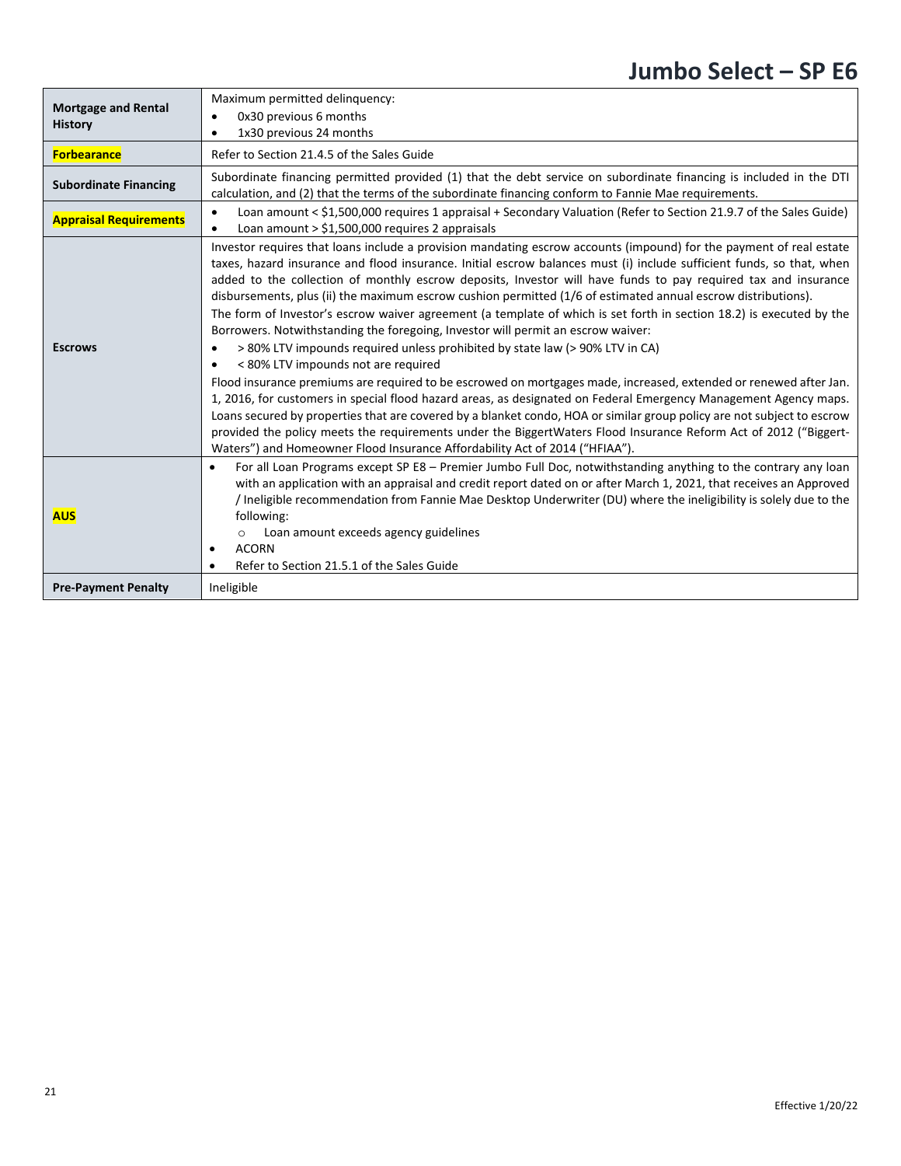| <b>Mortgage and Rental</b><br><b>History</b> | Maximum permitted delinguency:<br>0x30 previous 6 months<br>1x30 previous 24 months                                                                                                                                                                                                                                                                                                                                                                                                                                                                                                                                                                                                                                                                                                                                                                                                                                                                                                                                                                                                                                                                                                                                                                                                                                                                                                                                |
|----------------------------------------------|--------------------------------------------------------------------------------------------------------------------------------------------------------------------------------------------------------------------------------------------------------------------------------------------------------------------------------------------------------------------------------------------------------------------------------------------------------------------------------------------------------------------------------------------------------------------------------------------------------------------------------------------------------------------------------------------------------------------------------------------------------------------------------------------------------------------------------------------------------------------------------------------------------------------------------------------------------------------------------------------------------------------------------------------------------------------------------------------------------------------------------------------------------------------------------------------------------------------------------------------------------------------------------------------------------------------------------------------------------------------------------------------------------------------|
| <b>Forbearance</b>                           | Refer to Section 21.4.5 of the Sales Guide                                                                                                                                                                                                                                                                                                                                                                                                                                                                                                                                                                                                                                                                                                                                                                                                                                                                                                                                                                                                                                                                                                                                                                                                                                                                                                                                                                         |
| <b>Subordinate Financing</b>                 | Subordinate financing permitted provided (1) that the debt service on subordinate financing is included in the DTI<br>calculation, and (2) that the terms of the subordinate financing conform to Fannie Mae requirements.                                                                                                                                                                                                                                                                                                                                                                                                                                                                                                                                                                                                                                                                                                                                                                                                                                                                                                                                                                                                                                                                                                                                                                                         |
| <b>Appraisal Requirements</b>                | Loan amount < \$1,500,000 requires 1 appraisal + Secondary Valuation (Refer to Section 21.9.7 of the Sales Guide)<br>$\bullet$<br>Loan amount $>$ \$1,500,000 requires 2 appraisals<br>٠                                                                                                                                                                                                                                                                                                                                                                                                                                                                                                                                                                                                                                                                                                                                                                                                                                                                                                                                                                                                                                                                                                                                                                                                                           |
| <b>Escrows</b>                               | Investor requires that loans include a provision mandating escrow accounts (impound) for the payment of real estate<br>taxes, hazard insurance and flood insurance. Initial escrow balances must (i) include sufficient funds, so that, when<br>added to the collection of monthly escrow deposits, Investor will have funds to pay required tax and insurance<br>disbursements, plus (ii) the maximum escrow cushion permitted (1/6 of estimated annual escrow distributions).<br>The form of Investor's escrow waiver agreement (a template of which is set forth in section 18.2) is executed by the<br>Borrowers. Notwithstanding the foregoing, Investor will permit an escrow waiver:<br>> 80% LTV impounds required unless prohibited by state law (> 90% LTV in CA)<br>$\bullet$<br>< 80% LTV impounds not are required<br>$\bullet$<br>Flood insurance premiums are required to be escrowed on mortgages made, increased, extended or renewed after Jan.<br>1, 2016, for customers in special flood hazard areas, as designated on Federal Emergency Management Agency maps.<br>Loans secured by properties that are covered by a blanket condo, HOA or similar group policy are not subject to escrow<br>provided the policy meets the requirements under the BiggertWaters Flood Insurance Reform Act of 2012 ("Biggert-<br>Waters") and Homeowner Flood Insurance Affordability Act of 2014 ("HFIAA"). |
| <b>AUS</b>                                   | For all Loan Programs except SP E8 - Premier Jumbo Full Doc, notwithstanding anything to the contrary any loan<br>$\bullet$<br>with an application with an appraisal and credit report dated on or after March 1, 2021, that receives an Approved<br>/ Ineligible recommendation from Fannie Mae Desktop Underwriter (DU) where the ineligibility is solely due to the<br>following:<br>Loan amount exceeds agency guidelines<br>$\circ$<br><b>ACORN</b><br>$\bullet$<br>Refer to Section 21.5.1 of the Sales Guide<br>$\bullet$                                                                                                                                                                                                                                                                                                                                                                                                                                                                                                                                                                                                                                                                                                                                                                                                                                                                                   |
| <b>Pre-Payment Penalty</b>                   | Ineligible                                                                                                                                                                                                                                                                                                                                                                                                                                                                                                                                                                                                                                                                                                                                                                                                                                                                                                                                                                                                                                                                                                                                                                                                                                                                                                                                                                                                         |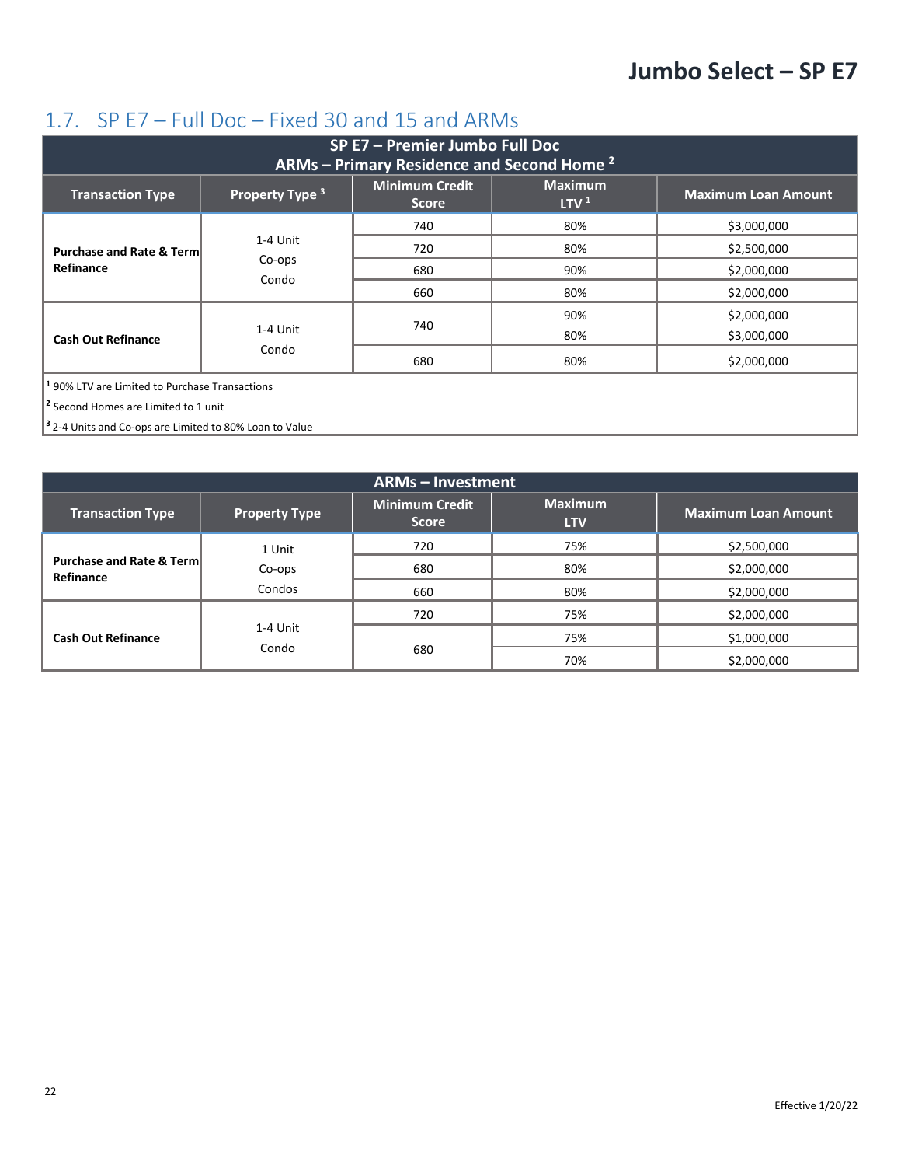#### <span id="page-21-0"></span>1.7. SP E7 – Full Doc – Fixed 30 and 15 and ARMs

| SP E7 - Premier Jumbo Full Doc                                                                                                                                     |                                                              |     |     |             |  |  |
|--------------------------------------------------------------------------------------------------------------------------------------------------------------------|--------------------------------------------------------------|-----|-----|-------------|--|--|
|                                                                                                                                                                    | <b>ARMs</b> – Primary Residence and Second Home <sup>2</sup> |     |     |             |  |  |
| <b>Maximum</b><br><b>Minimum Credit</b><br>Property Type <sup>3</sup><br><b>Maximum Loan Amount</b><br><b>Transaction Type</b><br>LTV <sup>1</sup><br><b>Score</b> |                                                              |     |     |             |  |  |
|                                                                                                                                                                    |                                                              | 740 | 80% | \$3,000,000 |  |  |
| <b>Purchase and Rate &amp; Term</b>                                                                                                                                | 1-4 Unit                                                     | 720 | 80% | \$2,500,000 |  |  |
| Refinance                                                                                                                                                          | Co-ops<br>Condo                                              | 680 | 90% | \$2,000,000 |  |  |
|                                                                                                                                                                    |                                                              | 660 | 80% | \$2,000,000 |  |  |
|                                                                                                                                                                    |                                                              |     | 90% | \$2,000,000 |  |  |
| <b>Cash Out Refinance</b>                                                                                                                                          | 1-4 Unit                                                     | 740 | 80% | \$3,000,000 |  |  |
|                                                                                                                                                                    | Condo                                                        | 680 | 80% | \$2,000,000 |  |  |
| $ $ <sup>1</sup> 90% LTV are Limited to Purchase Transactions                                                                                                      |                                                              |     |     |             |  |  |
| <sup>2</sup> Second Homes are Limited to 1 unit                                                                                                                    |                                                              |     |     |             |  |  |

**<sup>3</sup>**2-4 Units and Co-ops are Limited to 80% Loan to Value

| <b>ARMs - Investment</b>                         |                      |                                       |                              |                            |
|--------------------------------------------------|----------------------|---------------------------------------|------------------------------|----------------------------|
| <b>Transaction Type</b>                          | <b>Property Type</b> | <b>Minimum Credit</b><br><b>Score</b> | <b>Maximum</b><br><b>LTV</b> | <b>Maximum Loan Amount</b> |
| <b>Purchase and Rate &amp; Term</b><br>Refinance | 1 Unit               | 720                                   | 75%                          | \$2,500,000                |
|                                                  | Co-ops               | 680                                   | 80%                          | \$2,000,000                |
|                                                  | Condos               | 660                                   | 80%                          | \$2,000,000                |
| <b>Cash Out Refinance</b>                        |                      | 720                                   | 75%                          | \$2,000,000                |
|                                                  | 1-4 Unit             |                                       | 75%                          | \$1,000,000                |
|                                                  | Condo                | 680                                   | 70%                          | \$2,000,000                |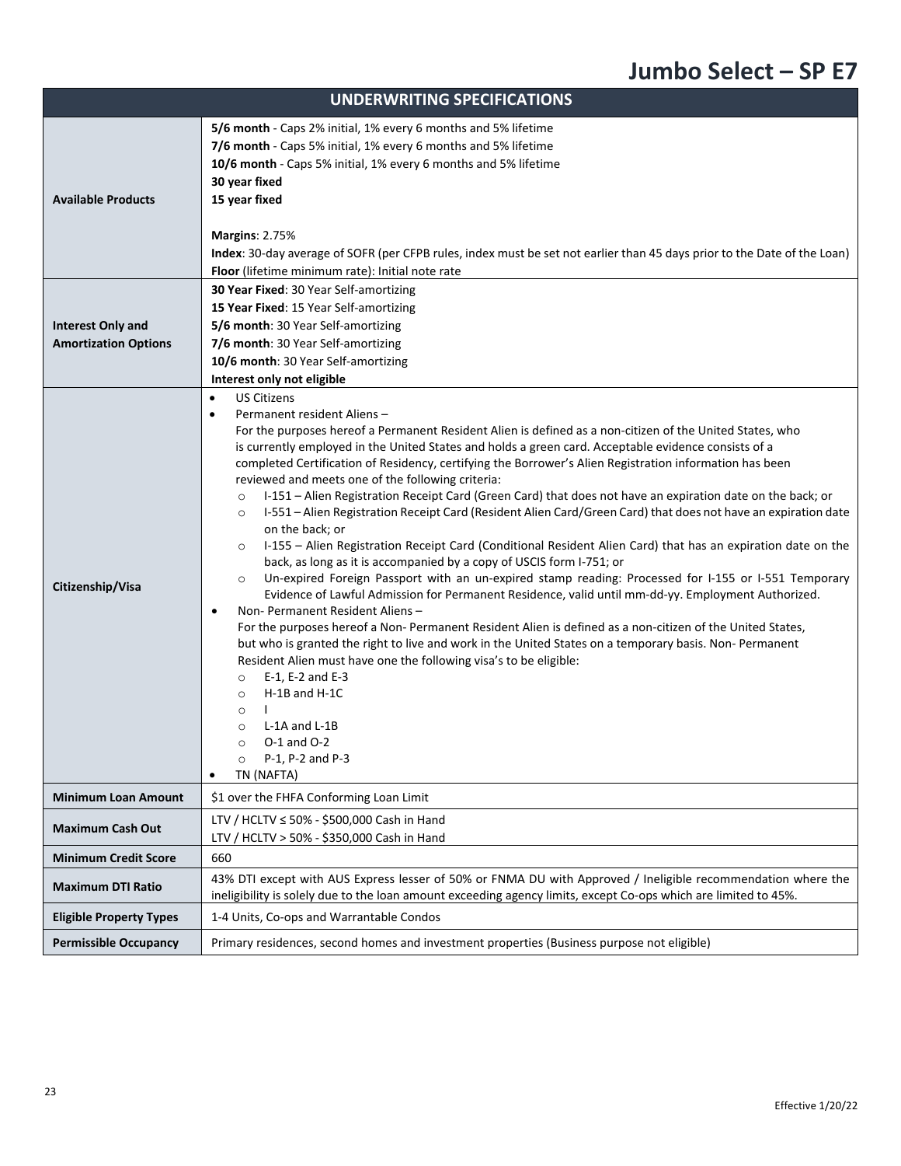|                                                         | <b>UNDERWRITING SPECIFICATIONS</b>                                                                                                                                                                                                                                                                                                                                                                                                                                                                                                                                                                                                                                                                                                                                                                                                                                                                                                                                                                                                                                                                                                                                                                                                                                                                                                                                                                                                                                                                                                                                                                                                                                                          |
|---------------------------------------------------------|---------------------------------------------------------------------------------------------------------------------------------------------------------------------------------------------------------------------------------------------------------------------------------------------------------------------------------------------------------------------------------------------------------------------------------------------------------------------------------------------------------------------------------------------------------------------------------------------------------------------------------------------------------------------------------------------------------------------------------------------------------------------------------------------------------------------------------------------------------------------------------------------------------------------------------------------------------------------------------------------------------------------------------------------------------------------------------------------------------------------------------------------------------------------------------------------------------------------------------------------------------------------------------------------------------------------------------------------------------------------------------------------------------------------------------------------------------------------------------------------------------------------------------------------------------------------------------------------------------------------------------------------------------------------------------------------|
| <b>Available Products</b>                               | 5/6 month - Caps 2% initial, 1% every 6 months and 5% lifetime<br>7/6 month - Caps 5% initial, 1% every 6 months and 5% lifetime<br>10/6 month - Caps 5% initial, 1% every 6 months and 5% lifetime<br>30 year fixed<br>15 year fixed<br><b>Margins: 2.75%</b><br>Index: 30-day average of SOFR (per CFPB rules, index must be set not earlier than 45 days prior to the Date of the Loan)<br>Floor (lifetime minimum rate): Initial note rate                                                                                                                                                                                                                                                                                                                                                                                                                                                                                                                                                                                                                                                                                                                                                                                                                                                                                                                                                                                                                                                                                                                                                                                                                                              |
| <b>Interest Only and</b><br><b>Amortization Options</b> | 30 Year Fixed: 30 Year Self-amortizing<br>15 Year Fixed: 15 Year Self-amortizing<br>5/6 month: 30 Year Self-amortizing<br>7/6 month: 30 Year Self-amortizing<br>10/6 month: 30 Year Self-amortizing<br>Interest only not eligible                                                                                                                                                                                                                                                                                                                                                                                                                                                                                                                                                                                                                                                                                                                                                                                                                                                                                                                                                                                                                                                                                                                                                                                                                                                                                                                                                                                                                                                           |
| Citizenship/Visa                                        | <b>US Citizens</b><br>$\bullet$<br>Permanent resident Aliens -<br>$\bullet$<br>For the purposes hereof a Permanent Resident Alien is defined as a non-citizen of the United States, who<br>is currently employed in the United States and holds a green card. Acceptable evidence consists of a<br>completed Certification of Residency, certifying the Borrower's Alien Registration information has been<br>reviewed and meets one of the following criteria:<br>I-151 - Alien Registration Receipt Card (Green Card) that does not have an expiration date on the back; or<br>$\circ$<br>I-551 - Alien Registration Receipt Card (Resident Alien Card/Green Card) that does not have an expiration date<br>$\circ$<br>on the back; or<br>I-155 - Alien Registration Receipt Card (Conditional Resident Alien Card) that has an expiration date on the<br>$\circ$<br>back, as long as it is accompanied by a copy of USCIS form I-751; or<br>Un-expired Foreign Passport with an un-expired stamp reading: Processed for I-155 or I-551 Temporary<br>$\circ$<br>Evidence of Lawful Admission for Permanent Residence, valid until mm-dd-yy. Employment Authorized.<br>Non-Permanent Resident Aliens-<br>$\bullet$<br>For the purposes hereof a Non-Permanent Resident Alien is defined as a non-citizen of the United States,<br>but who is granted the right to live and work in the United States on a temporary basis. Non-Permanent<br>Resident Alien must have one the following visa's to be eligible:<br>E-1, E-2 and E-3<br>$\circ$<br>H-1B and H-1C<br>$\circ$<br>$\circ$<br>L-1A and L-1B<br>$\circ$<br>$O-1$ and $O-2$<br>$\circ$<br>P-1, P-2 and P-3<br>$\circ$<br>TN (NAFTA) |
| <b>Minimum Loan Amount</b>                              | \$1 over the FHFA Conforming Loan Limit                                                                                                                                                                                                                                                                                                                                                                                                                                                                                                                                                                                                                                                                                                                                                                                                                                                                                                                                                                                                                                                                                                                                                                                                                                                                                                                                                                                                                                                                                                                                                                                                                                                     |
| <b>Maximum Cash Out</b>                                 | LTV / HCLTV ≤ 50% - \$500,000 Cash in Hand<br>LTV / HCLTV > 50% - \$350,000 Cash in Hand                                                                                                                                                                                                                                                                                                                                                                                                                                                                                                                                                                                                                                                                                                                                                                                                                                                                                                                                                                                                                                                                                                                                                                                                                                                                                                                                                                                                                                                                                                                                                                                                    |
| <b>Minimum Credit Score</b>                             | 660                                                                                                                                                                                                                                                                                                                                                                                                                                                                                                                                                                                                                                                                                                                                                                                                                                                                                                                                                                                                                                                                                                                                                                                                                                                                                                                                                                                                                                                                                                                                                                                                                                                                                         |
| <b>Maximum DTI Ratio</b>                                | 43% DTI except with AUS Express lesser of 50% or FNMA DU with Approved / Ineligible recommendation where the<br>ineligibility is solely due to the loan amount exceeding agency limits, except Co-ops which are limited to 45%.                                                                                                                                                                                                                                                                                                                                                                                                                                                                                                                                                                                                                                                                                                                                                                                                                                                                                                                                                                                                                                                                                                                                                                                                                                                                                                                                                                                                                                                             |
| <b>Eligible Property Types</b>                          | 1-4 Units, Co-ops and Warrantable Condos                                                                                                                                                                                                                                                                                                                                                                                                                                                                                                                                                                                                                                                                                                                                                                                                                                                                                                                                                                                                                                                                                                                                                                                                                                                                                                                                                                                                                                                                                                                                                                                                                                                    |
| <b>Permissible Occupancy</b>                            | Primary residences, second homes and investment properties (Business purpose not eligible)                                                                                                                                                                                                                                                                                                                                                                                                                                                                                                                                                                                                                                                                                                                                                                                                                                                                                                                                                                                                                                                                                                                                                                                                                                                                                                                                                                                                                                                                                                                                                                                                  |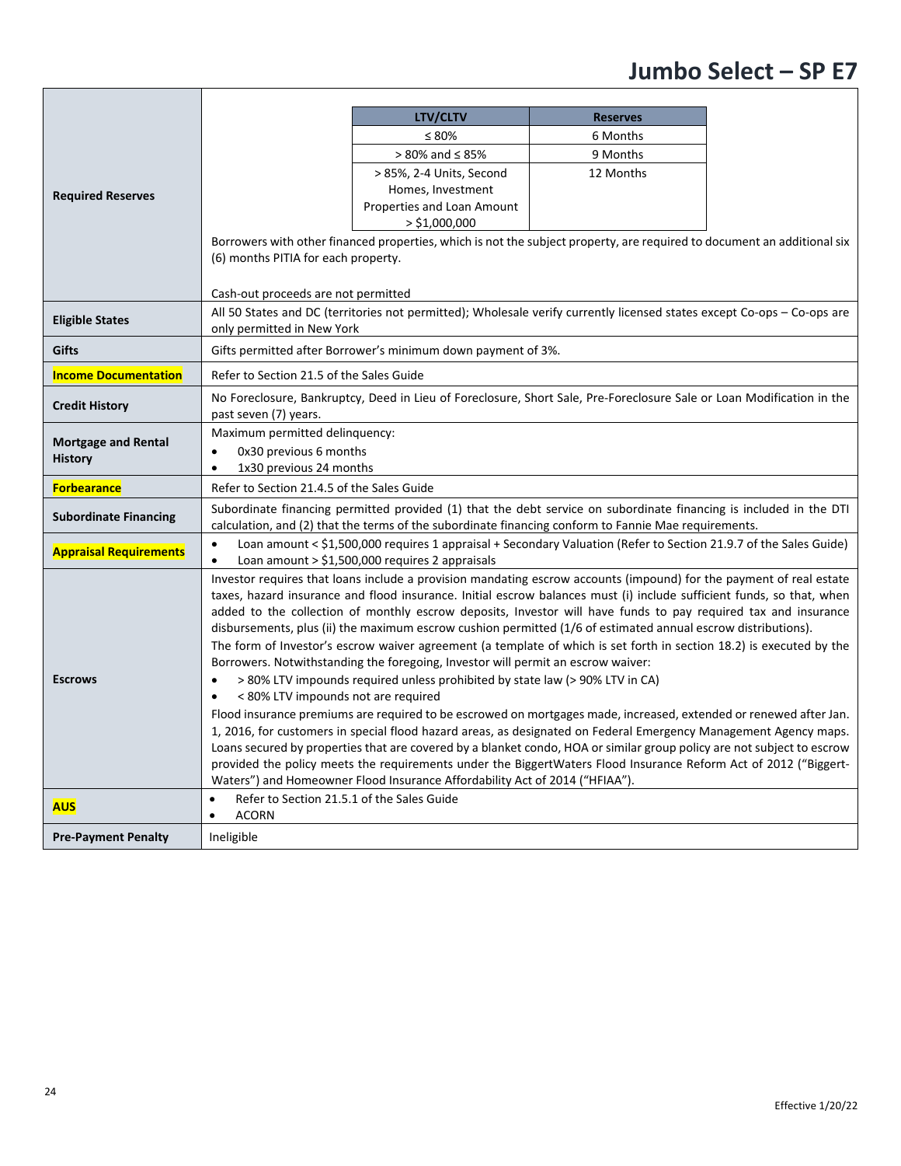|                               |                                                                                                                                                                                                                                       | LTV/CLTV<br>$\leq 80\%$                                                                                                                                                                         | <b>Reserves</b><br>6 Months |  |  |  |
|-------------------------------|---------------------------------------------------------------------------------------------------------------------------------------------------------------------------------------------------------------------------------------|-------------------------------------------------------------------------------------------------------------------------------------------------------------------------------------------------|-----------------------------|--|--|--|
|                               |                                                                                                                                                                                                                                       | $> 80\%$ and $\leq 85\%$                                                                                                                                                                        | 9 Months                    |  |  |  |
|                               |                                                                                                                                                                                                                                       | > 85%, 2-4 Units, Second                                                                                                                                                                        | 12 Months                   |  |  |  |
|                               |                                                                                                                                                                                                                                       | Homes, Investment                                                                                                                                                                               |                             |  |  |  |
| <b>Required Reserves</b>      |                                                                                                                                                                                                                                       | Properties and Loan Amount                                                                                                                                                                      |                             |  |  |  |
|                               |                                                                                                                                                                                                                                       | $>$ \$1,000,000                                                                                                                                                                                 |                             |  |  |  |
|                               |                                                                                                                                                                                                                                       | Borrowers with other financed properties, which is not the subject property, are required to document an additional six                                                                         |                             |  |  |  |
|                               | (6) months PITIA for each property.                                                                                                                                                                                                   |                                                                                                                                                                                                 |                             |  |  |  |
|                               |                                                                                                                                                                                                                                       |                                                                                                                                                                                                 |                             |  |  |  |
|                               | Cash-out proceeds are not permitted                                                                                                                                                                                                   | All 50 States and DC (territories not permitted); Wholesale verify currently licensed states except Co-ops - Co-ops are                                                                         |                             |  |  |  |
| <b>Eligible States</b>        | only permitted in New York                                                                                                                                                                                                            |                                                                                                                                                                                                 |                             |  |  |  |
| <b>Gifts</b>                  |                                                                                                                                                                                                                                       | Gifts permitted after Borrower's minimum down payment of 3%.                                                                                                                                    |                             |  |  |  |
|                               |                                                                                                                                                                                                                                       |                                                                                                                                                                                                 |                             |  |  |  |
| <b>Income Documentation</b>   | Refer to Section 21.5 of the Sales Guide                                                                                                                                                                                              |                                                                                                                                                                                                 |                             |  |  |  |
| <b>Credit History</b>         | past seven (7) years.                                                                                                                                                                                                                 | No Foreclosure, Bankruptcy, Deed in Lieu of Foreclosure, Short Sale, Pre-Foreclosure Sale or Loan Modification in the                                                                           |                             |  |  |  |
| <b>Mortgage and Rental</b>    | Maximum permitted delinquency:                                                                                                                                                                                                        |                                                                                                                                                                                                 |                             |  |  |  |
| <b>History</b>                | 0x30 previous 6 months<br>$\bullet$                                                                                                                                                                                                   |                                                                                                                                                                                                 |                             |  |  |  |
|                               | 1x30 previous 24 months<br>$\bullet$                                                                                                                                                                                                  |                                                                                                                                                                                                 |                             |  |  |  |
| <b>Forbearance</b>            | Refer to Section 21.4.5 of the Sales Guide                                                                                                                                                                                            |                                                                                                                                                                                                 |                             |  |  |  |
| <b>Subordinate Financing</b>  | Subordinate financing permitted provided (1) that the debt service on subordinate financing is included in the DTI<br>calculation, and (2) that the terms of the subordinate financing conform to Fannie Mae requirements.            |                                                                                                                                                                                                 |                             |  |  |  |
| <b>Appraisal Requirements</b> | Loan amount < \$1,500,000 requires 1 appraisal + Secondary Valuation (Refer to Section 21.9.7 of the Sales Guide)<br>$\bullet$<br>Loan amount $>$ \$1,500,000 requires 2 appraisals<br>$\bullet$                                      |                                                                                                                                                                                                 |                             |  |  |  |
|                               |                                                                                                                                                                                                                                       | Investor requires that loans include a provision mandating escrow accounts (impound) for the payment of real estate                                                                             |                             |  |  |  |
|                               | taxes, hazard insurance and flood insurance. Initial escrow balances must (i) include sufficient funds, so that, when                                                                                                                 |                                                                                                                                                                                                 |                             |  |  |  |
|                               | added to the collection of monthly escrow deposits, Investor will have funds to pay required tax and insurance                                                                                                                        |                                                                                                                                                                                                 |                             |  |  |  |
|                               | disbursements, plus (ii) the maximum escrow cushion permitted (1/6 of estimated annual escrow distributions).<br>The form of Investor's escrow waiver agreement (a template of which is set forth in section 18.2) is executed by the |                                                                                                                                                                                                 |                             |  |  |  |
|                               |                                                                                                                                                                                                                                       |                                                                                                                                                                                                 |                             |  |  |  |
| <b>Escrows</b>                | Borrowers. Notwithstanding the foregoing, Investor will permit an escrow waiver:<br>> 80% LTV impounds required unless prohibited by state law (> 90% LTV in CA)<br>$\bullet$                                                         |                                                                                                                                                                                                 |                             |  |  |  |
|                               | < 80% LTV impounds not are required<br>$\bullet$                                                                                                                                                                                      |                                                                                                                                                                                                 |                             |  |  |  |
|                               | Flood insurance premiums are required to be escrowed on mortgages made, increased, extended or renewed after Jan.                                                                                                                     |                                                                                                                                                                                                 |                             |  |  |  |
|                               |                                                                                                                                                                                                                                       | 1, 2016, for customers in special flood hazard areas, as designated on Federal Emergency Management Agency maps.                                                                                |                             |  |  |  |
|                               |                                                                                                                                                                                                                                       | Loans secured by properties that are covered by a blanket condo, HOA or similar group policy are not subject to escrow                                                                          |                             |  |  |  |
|                               |                                                                                                                                                                                                                                       | provided the policy meets the requirements under the BiggertWaters Flood Insurance Reform Act of 2012 ("Biggert-<br>Waters") and Homeowner Flood Insurance Affordability Act of 2014 ("HFIAA"). |                             |  |  |  |
|                               | Refer to Section 21.5.1 of the Sales Guide<br>$\bullet$                                                                                                                                                                               |                                                                                                                                                                                                 |                             |  |  |  |
| <b>AUS</b>                    | <b>ACORN</b><br>$\bullet$                                                                                                                                                                                                             |                                                                                                                                                                                                 |                             |  |  |  |
| <b>Pre-Payment Penalty</b>    | Ineligible                                                                                                                                                                                                                            |                                                                                                                                                                                                 |                             |  |  |  |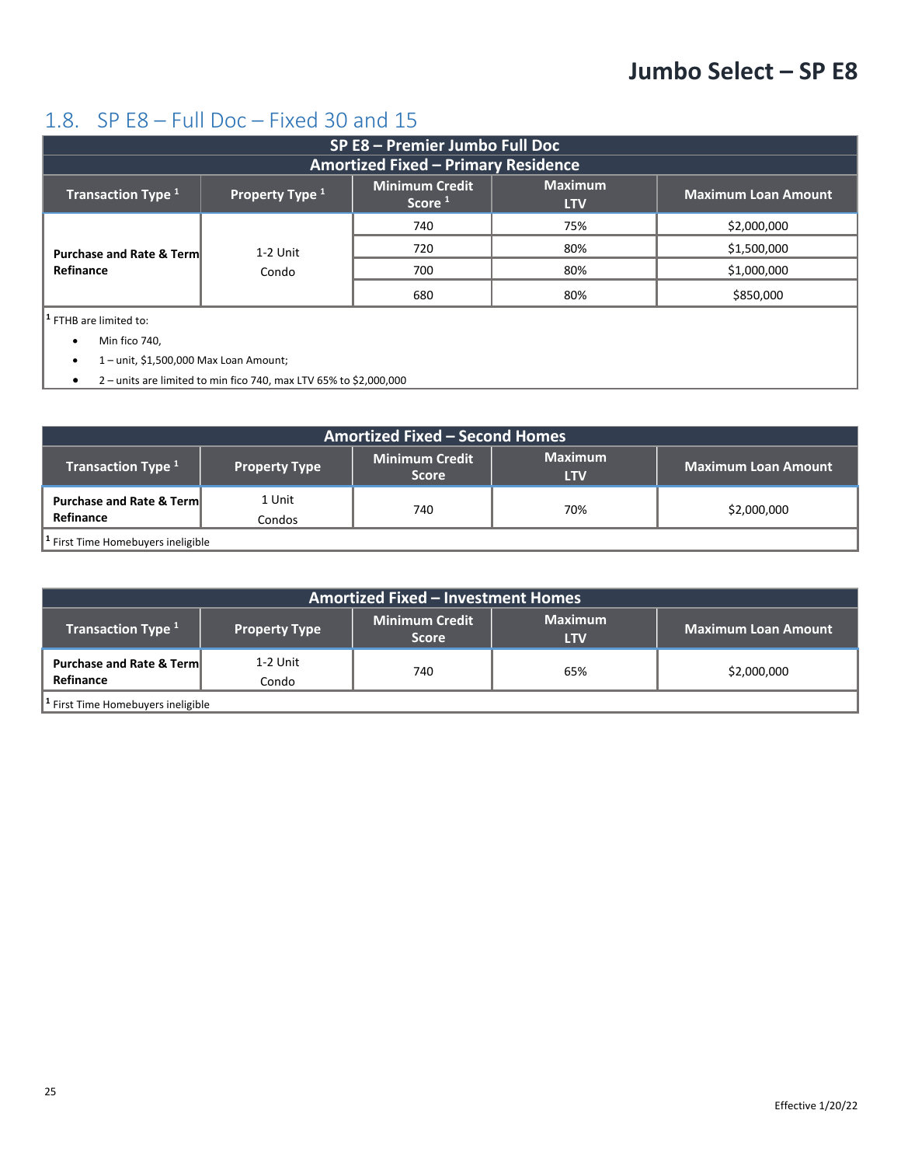#### <span id="page-24-0"></span>1.8. SP E8 – Full Doc – Fixed 30 and 15

| SP E8 - Premier Jumbo Full Doc                   |                   |                                             |                              |                            |
|--------------------------------------------------|-------------------|---------------------------------------------|------------------------------|----------------------------|
| <b>Amortized Fixed - Primary Residence</b>       |                   |                                             |                              |                            |
| Transaction Type <sup>1</sup>                    | Property Type 1   | <b>Minimum Credit</b><br>Score <sup>1</sup> | <b>Maximum</b><br><b>LTV</b> | <b>Maximum Loan Amount</b> |
| <b>Purchase and Rate &amp; Term</b><br>Refinance | 1-2 Unit<br>Condo | 740                                         | 75%                          | \$2,000,000                |
|                                                  |                   | 720                                         | 80%                          | \$1,500,000                |
|                                                  |                   | 700                                         | 80%                          | \$1,000,000                |
|                                                  |                   | 680                                         | 80%                          | \$850,000                  |
| $ $ <sup>1</sup> FTHB are limited to:            |                   |                                             |                              |                            |
| Min fico 740,                                    |                   |                                             |                              |                            |
|                                                  |                   |                                             |                              |                            |

• 1 – unit, \$1,500,000 Max Loan Amount;

• 2 – units are limited to min fico 740, max LTV 65% to \$2,000,000

| <b>Amortized Fixed - Second Homes</b>            |                      |                                       |                              |                            |
|--------------------------------------------------|----------------------|---------------------------------------|------------------------------|----------------------------|
| <b>Transaction Type 1</b>                        | <b>Property Type</b> | <b>Minimum Credit</b><br><b>Score</b> | <b>Maximum</b><br><b>LTV</b> | <b>Maximum Loan Amount</b> |
| <b>Purchase and Rate &amp; Term</b><br>Refinance | 1 Unit<br>Condos     | 740                                   | 70%                          | \$2,000,000                |
| <sup>1</sup> First Time Homebuyers ineligible    |                      |                                       |                              |                            |

| <b>Amortized Fixed - Investment Homes</b>        |                      |                                       |                              |                            |
|--------------------------------------------------|----------------------|---------------------------------------|------------------------------|----------------------------|
| Transaction Type <sup>1</sup>                    | <b>Property Type</b> | <b>Minimum Credit</b><br><b>Score</b> | <b>Maximum</b><br><b>LTV</b> | <b>Maximum Loan Amount</b> |
| <b>Purchase and Rate &amp; Term</b><br>Refinance | 1-2 Unit<br>Condo    | 740                                   | 65%                          | \$2,000,000                |
| <sup>1</sup> First Time Homebuyers ineligible    |                      |                                       |                              |                            |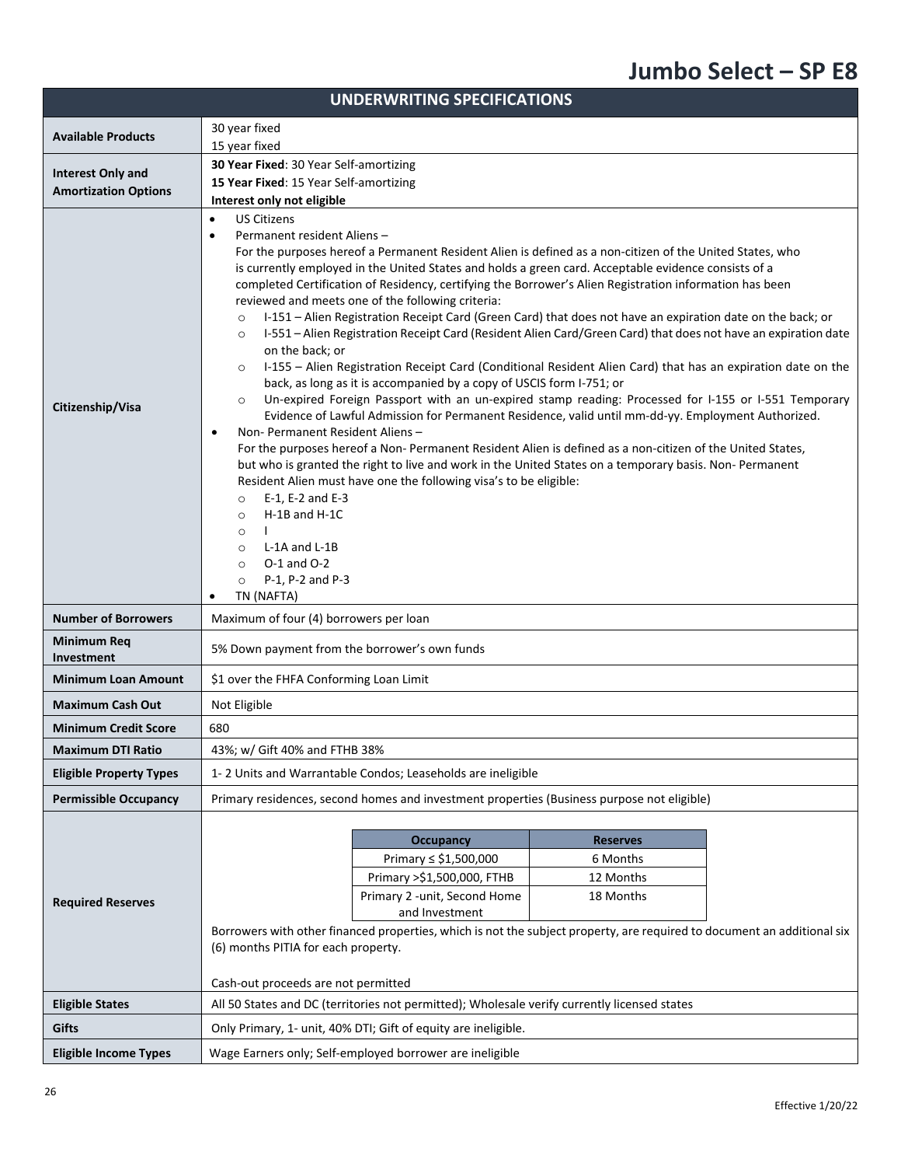| <b>UNDERWRITING SPECIFICATIONS</b> |                                                                                                                                                                                                                                                                                                                                                                                                                                                                                                                                                                                                                                                                                                                                                                                                                                                                                                                                                                                                                                                                                                                                                                                                                                                                                                                                                                                                                                                                                                                                                                                                                                                                          |  |  |  |
|------------------------------------|--------------------------------------------------------------------------------------------------------------------------------------------------------------------------------------------------------------------------------------------------------------------------------------------------------------------------------------------------------------------------------------------------------------------------------------------------------------------------------------------------------------------------------------------------------------------------------------------------------------------------------------------------------------------------------------------------------------------------------------------------------------------------------------------------------------------------------------------------------------------------------------------------------------------------------------------------------------------------------------------------------------------------------------------------------------------------------------------------------------------------------------------------------------------------------------------------------------------------------------------------------------------------------------------------------------------------------------------------------------------------------------------------------------------------------------------------------------------------------------------------------------------------------------------------------------------------------------------------------------------------------------------------------------------------|--|--|--|
|                                    | 30 year fixed                                                                                                                                                                                                                                                                                                                                                                                                                                                                                                                                                                                                                                                                                                                                                                                                                                                                                                                                                                                                                                                                                                                                                                                                                                                                                                                                                                                                                                                                                                                                                                                                                                                            |  |  |  |
| <b>Available Products</b>          | 15 year fixed                                                                                                                                                                                                                                                                                                                                                                                                                                                                                                                                                                                                                                                                                                                                                                                                                                                                                                                                                                                                                                                                                                                                                                                                                                                                                                                                                                                                                                                                                                                                                                                                                                                            |  |  |  |
| <b>Interest Only and</b>           | 30 Year Fixed: 30 Year Self-amortizing                                                                                                                                                                                                                                                                                                                                                                                                                                                                                                                                                                                                                                                                                                                                                                                                                                                                                                                                                                                                                                                                                                                                                                                                                                                                                                                                                                                                                                                                                                                                                                                                                                   |  |  |  |
| <b>Amortization Options</b>        | 15 Year Fixed: 15 Year Self-amortizing                                                                                                                                                                                                                                                                                                                                                                                                                                                                                                                                                                                                                                                                                                                                                                                                                                                                                                                                                                                                                                                                                                                                                                                                                                                                                                                                                                                                                                                                                                                                                                                                                                   |  |  |  |
|                                    | Interest only not eligible<br><b>US Citizens</b><br>$\bullet$                                                                                                                                                                                                                                                                                                                                                                                                                                                                                                                                                                                                                                                                                                                                                                                                                                                                                                                                                                                                                                                                                                                                                                                                                                                                                                                                                                                                                                                                                                                                                                                                            |  |  |  |
| Citizenship/Visa                   | Permanent resident Aliens -<br>$\bullet$<br>For the purposes hereof a Permanent Resident Alien is defined as a non-citizen of the United States, who<br>is currently employed in the United States and holds a green card. Acceptable evidence consists of a<br>completed Certification of Residency, certifying the Borrower's Alien Registration information has been<br>reviewed and meets one of the following criteria:<br>I-151 - Alien Registration Receipt Card (Green Card) that does not have an expiration date on the back; or<br>$\circ$<br>I-551 - Alien Registration Receipt Card (Resident Alien Card/Green Card) that does not have an expiration date<br>$\circ$<br>on the back; or<br>I-155 - Alien Registration Receipt Card (Conditional Resident Alien Card) that has an expiration date on the<br>$\circ$<br>back, as long as it is accompanied by a copy of USCIS form I-751; or<br>Un-expired Foreign Passport with an un-expired stamp reading: Processed for I-155 or I-551 Temporary<br>$\circ$<br>Evidence of Lawful Admission for Permanent Residence, valid until mm-dd-yy. Employment Authorized.<br>Non- Permanent Resident Aliens -<br>$\bullet$<br>For the purposes hereof a Non-Permanent Resident Alien is defined as a non-citizen of the United States,<br>but who is granted the right to live and work in the United States on a temporary basis. Non- Permanent<br>Resident Alien must have one the following visa's to be eligible:<br>E-1, E-2 and E-3<br>$\circ$<br>H-1B and H-1C<br>$\circ$<br>$\circ$<br>L-1A and L-1B<br>$\circ$<br>$O-1$ and $O-2$<br>$\circ$<br>P-1, P-2 and P-3<br>$\circ$<br>TN (NAFTA)<br>$\bullet$ |  |  |  |
| <b>Number of Borrowers</b>         | Maximum of four (4) borrowers per loan                                                                                                                                                                                                                                                                                                                                                                                                                                                                                                                                                                                                                                                                                                                                                                                                                                                                                                                                                                                                                                                                                                                                                                                                                                                                                                                                                                                                                                                                                                                                                                                                                                   |  |  |  |
| Minimum Req<br>Investment          | 5% Down payment from the borrower's own funds                                                                                                                                                                                                                                                                                                                                                                                                                                                                                                                                                                                                                                                                                                                                                                                                                                                                                                                                                                                                                                                                                                                                                                                                                                                                                                                                                                                                                                                                                                                                                                                                                            |  |  |  |
| <b>Minimum Loan Amount</b>         | \$1 over the FHFA Conforming Loan Limit                                                                                                                                                                                                                                                                                                                                                                                                                                                                                                                                                                                                                                                                                                                                                                                                                                                                                                                                                                                                                                                                                                                                                                                                                                                                                                                                                                                                                                                                                                                                                                                                                                  |  |  |  |
| <b>Maximum Cash Out</b>            | Not Eligible                                                                                                                                                                                                                                                                                                                                                                                                                                                                                                                                                                                                                                                                                                                                                                                                                                                                                                                                                                                                                                                                                                                                                                                                                                                                                                                                                                                                                                                                                                                                                                                                                                                             |  |  |  |
| <b>Minimum Credit Score</b>        | 680                                                                                                                                                                                                                                                                                                                                                                                                                                                                                                                                                                                                                                                                                                                                                                                                                                                                                                                                                                                                                                                                                                                                                                                                                                                                                                                                                                                                                                                                                                                                                                                                                                                                      |  |  |  |
| <b>Maximum DTI Ratio</b>           | 43%; w/ Gift 40% and FTHB 38%                                                                                                                                                                                                                                                                                                                                                                                                                                                                                                                                                                                                                                                                                                                                                                                                                                                                                                                                                                                                                                                                                                                                                                                                                                                                                                                                                                                                                                                                                                                                                                                                                                            |  |  |  |
| <b>Eligible Property Types</b>     | 1-2 Units and Warrantable Condos; Leaseholds are ineligible                                                                                                                                                                                                                                                                                                                                                                                                                                                                                                                                                                                                                                                                                                                                                                                                                                                                                                                                                                                                                                                                                                                                                                                                                                                                                                                                                                                                                                                                                                                                                                                                              |  |  |  |
| <b>Permissible Occupancy</b>       | Primary residences, second homes and investment properties (Business purpose not eligible)                                                                                                                                                                                                                                                                                                                                                                                                                                                                                                                                                                                                                                                                                                                                                                                                                                                                                                                                                                                                                                                                                                                                                                                                                                                                                                                                                                                                                                                                                                                                                                               |  |  |  |
| <b>Required Reserves</b>           | <b>Reserves</b><br><b>Occupancy</b><br>Primary ≤ \$1,500,000<br>6 Months<br>Primary >\$1,500,000, FTHB<br>12 Months<br>Primary 2 - unit, Second Home<br>18 Months<br>and Investment<br>Borrowers with other financed properties, which is not the subject property, are required to document an additional six<br>(6) months PITIA for each property.                                                                                                                                                                                                                                                                                                                                                                                                                                                                                                                                                                                                                                                                                                                                                                                                                                                                                                                                                                                                                                                                                                                                                                                                                                                                                                                    |  |  |  |
|                                    | Cash-out proceeds are not permitted                                                                                                                                                                                                                                                                                                                                                                                                                                                                                                                                                                                                                                                                                                                                                                                                                                                                                                                                                                                                                                                                                                                                                                                                                                                                                                                                                                                                                                                                                                                                                                                                                                      |  |  |  |
| <b>Eligible States</b>             | All 50 States and DC (territories not permitted); Wholesale verify currently licensed states                                                                                                                                                                                                                                                                                                                                                                                                                                                                                                                                                                                                                                                                                                                                                                                                                                                                                                                                                                                                                                                                                                                                                                                                                                                                                                                                                                                                                                                                                                                                                                             |  |  |  |
| Gifts                              | Only Primary, 1- unit, 40% DTI; Gift of equity are ineligible.                                                                                                                                                                                                                                                                                                                                                                                                                                                                                                                                                                                                                                                                                                                                                                                                                                                                                                                                                                                                                                                                                                                                                                                                                                                                                                                                                                                                                                                                                                                                                                                                           |  |  |  |
| <b>Eligible Income Types</b>       | Wage Earners only; Self-employed borrower are ineligible                                                                                                                                                                                                                                                                                                                                                                                                                                                                                                                                                                                                                                                                                                                                                                                                                                                                                                                                                                                                                                                                                                                                                                                                                                                                                                                                                                                                                                                                                                                                                                                                                 |  |  |  |